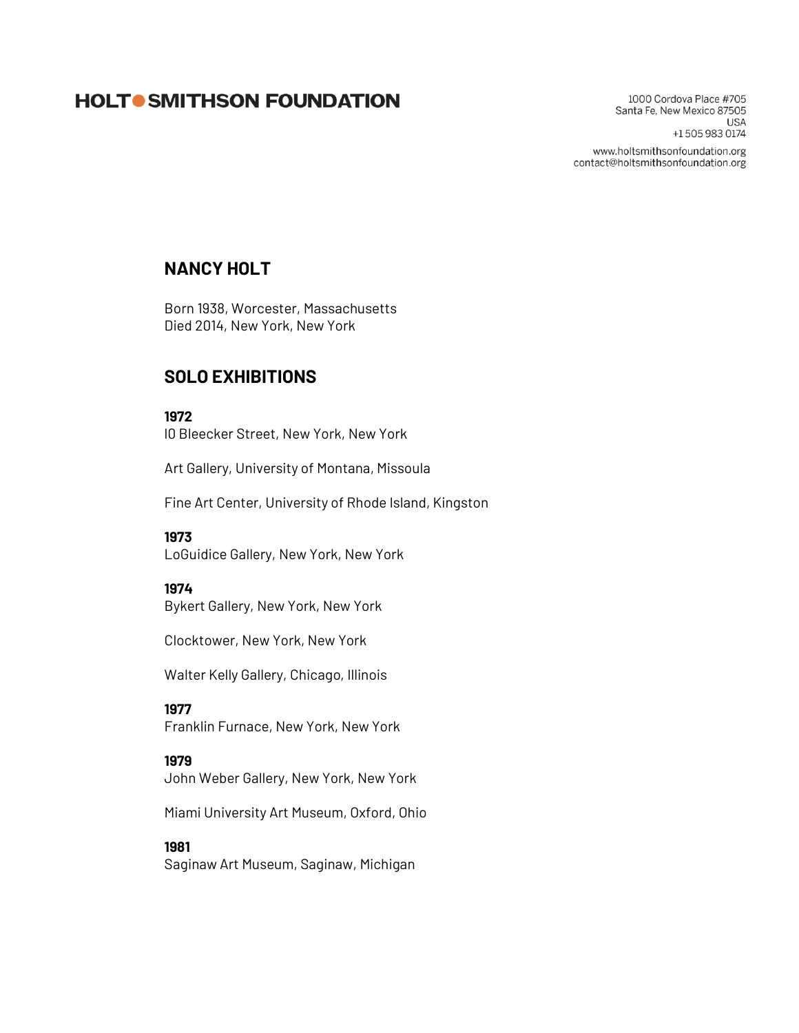# **HOLTO SMITHSON FOUNDATION**

1000 Cordova Place #705 Santa Fe, New Mexico 87505 **USA** +1 505 983 0174

www.holtsmithsonfoundation.org contact@holtsmithsonfoundation.org

# **NANCY HOLT**

Born 1938, Worcester, Massachusetts Died 2014, New York, New York

# **SOLO EXHIBITIONS**

**1972** l0 Bleecker Street, New York, New York

Art Gallery, University of Montana, Missoula

Fine Art Center, University of Rhode Island, Kingston

# **1973**

LoGuidice Gallery, New York, New York

## **1974**

Bykert Gallery, New York, New York

Clocktower, New York, New York

Walter Kelly Gallery, Chicago, Illinois

## **1977**

Franklin Furnace, New York, New York

## **1979**

John Weber Gallery, New York, New York

Miami University Art Museum, Oxford, Ohio

## **1981**

Saginaw Art Museum, Saginaw, Michigan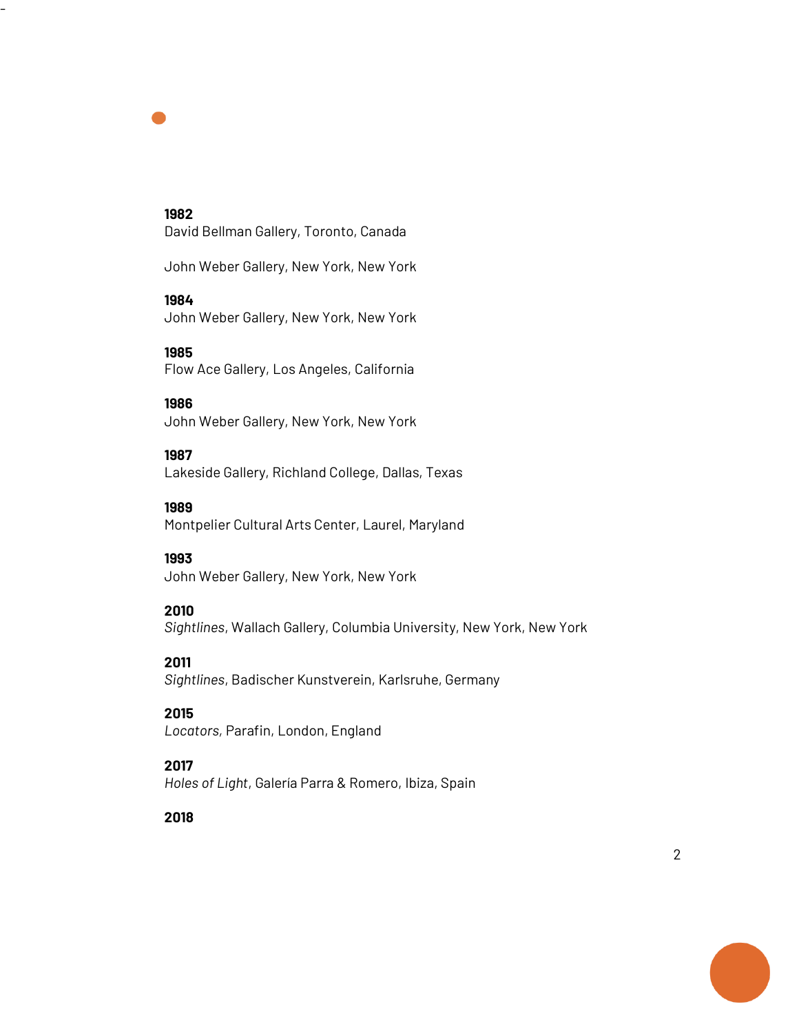# **1982**

-

David Bellman Gallery, Toronto, Canada

John Weber Gallery, New York, New York

**1984**

John Weber Gallery, New York, New York

**1985** Flow Ace Gallery, Los Angeles, California

**1986** 

John Weber Gallery, New York, New York

## **1987**

Lakeside Gallery, Richland College, Dallas, Texas

#### **1989**

Montpelier Cultural Arts Center, Laurel, Maryland

#### **1993**

John Weber Gallery, New York, New York

## **2010**

*Sightlines*, Wallach Gallery, Columbia University, New York, New York

## **2011**

*Sightlines*, Badischer Kunstverein, Karlsruhe, Germany

# **2015**

*Locators,* Parafin, London, England

#### **2017**

*Holes of Light*, Galería Parra & Romero, Ibiza, Spain

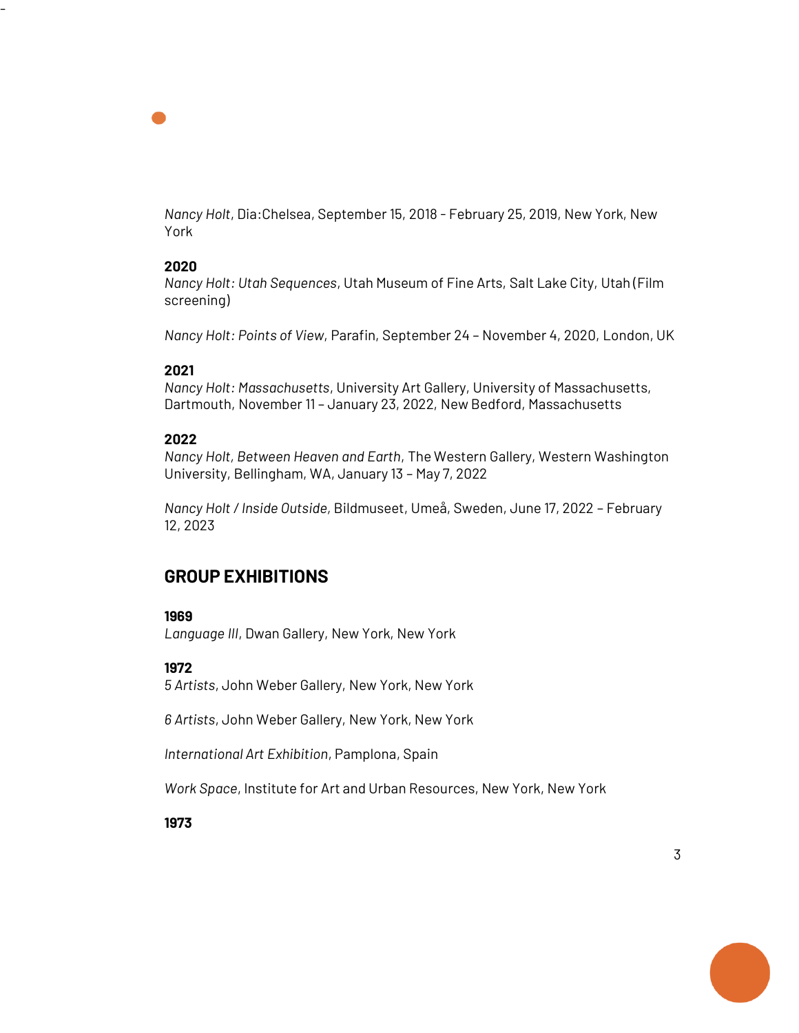*Nancy Holt*, Dia:Chelsea, September 15, 2018 - February 25, 2019, New York, New York

# **2020**

-

*Nancy Holt: Utah Sequences*, Utah Museum of Fine Arts, Salt Lake City, Utah (Film screening)

*Nancy Holt: Points of View*, Parafin, September 24 – November 4, 2020, London, UK

## **2021**

*Nancy Holt: Massachusetts*, University Art Gallery, University of Massachusetts, Dartmouth, November 11 – January 23, 2022, New Bedford, Massachusetts

# **2022**

*Nancy Holt, Between Heaven and Earth*, The Western Gallery, Western Washington University, Bellingham, WA, January 13 – May 7, 2022

*Nancy Holt / Inside Outside,* Bildmuseet, Umeå, Sweden, June 17, 2022 – February 12, 2023

# **GROUP EXHIBITIONS**

## **1969**

*Language III*, Dwan Gallery, New York, New York

# **1972**

*5 Artists*, John Weber Gallery, New York, New York

*6 Artists*, John Weber Gallery, New York, New York

*International Art Exhibition*, Pamplona, Spain

*Work Space*, Institute for Art and Urban Resources, New York, New York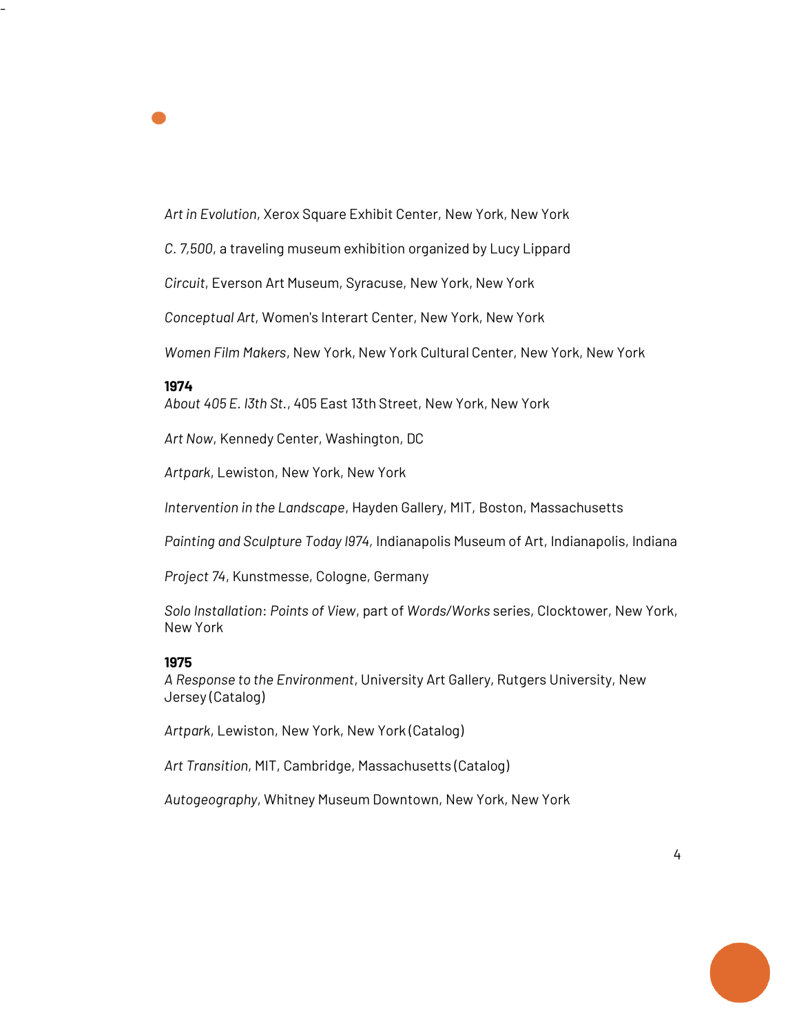*Art in Evolution*, Xerox Square Exhibit Center, New York, New York

*C. 7,500*, a traveling museum exhibition organized by Lucy Lippard

*Circuit*, Everson Art Museum, Syracuse, New York, New York

*Conceptual Art*, Women's Interart Center, New York, New York

*Women Film Makers*, New York, New York Cultural Center, New York, New York

## **1974**

-

*About 405 E. l3th St.*, 405 East 13th Street, New York, New York

*Art Now*, Kennedy Center, Washington, DC

*Artpark*, Lewiston, New York, New York

*Intervention in the Landscape*, Hayden Gallery, MIT, Boston, Massachusetts

*Painting and Sculpture Today l974,* Indianapolis Museum of Art, Indianapolis, Indiana

*Project 74*, Kunstmesse, Cologne, Germany

*Solo Installation*: *Points of View*, part of *Words/Works* series, Clocktower, New York, New York

## **1975**

*A Response to the Environment*, University Art Gallery, Rutgers University, New Jersey (Catalog)

*Artpark*, Lewiston, New York, New York (Catalog)

*Art Transition*, MIT, Cambridge, Massachusetts (Catalog)

*Autogeography*, Whitney Museum Downtown, New York, New York

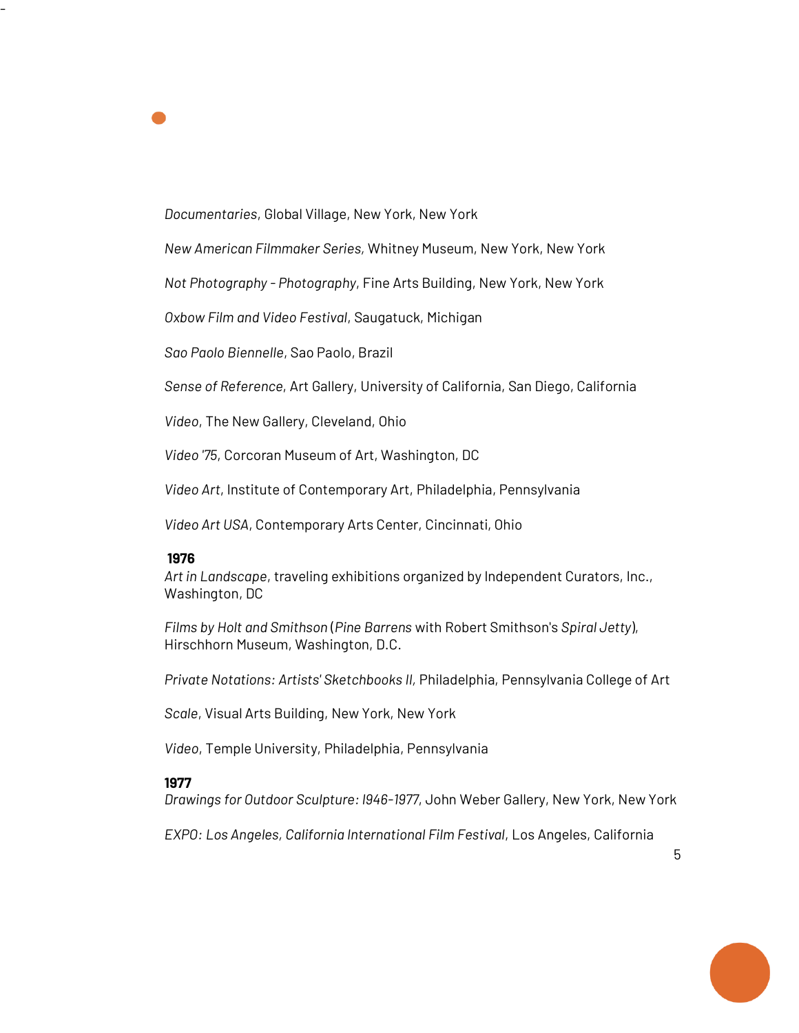*Documentaries*, Global Village, New York, New York

*New American Filmmaker Series,* Whitney Museum, New York, New York

*Not Photography - Photography*, Fine Arts Building, New York, New York

*Oxbow Film and Video Festival*, Saugatuck, Michigan

*Sao Paolo Biennelle*, Sao Paolo, Brazil

*Sense of Reference*, Art Gallery, University of California, San Diego, California

*Video*, The New Gallery, Cleveland, Ohio

*Video '75*, Corcoran Museum of Art, Washington, DC

*Video Art*, Institute of Contemporary Art, Philadelphia, Pennsylvania

*Video Art USA*, Contemporary Arts Center, Cincinnati, Ohio

# **1976**

-

*Art in Landscape*, traveling exhibitions organized by Independent Curators, Inc., Washington, DC

*Films by Holt and Smithson* (*Pine Barrens* with Robert Smithson's *Spiral Jetty*), Hirschhorn Museum, Washington, D.C.

*Private Notations: Artists' Sketchbooks II,* Philadelphia, Pennsylvania College of Art

*Scale*, Visual Arts Building, New York, New York

*Video*, Temple University, Philadelphia, Pennsylvania

# **1977**

*Drawings for Outdoor Sculpture: l946-1977*, John Weber Gallery, New York, New York

*EXPO: Los Angeles, California International Film Festival*, Los Angeles, California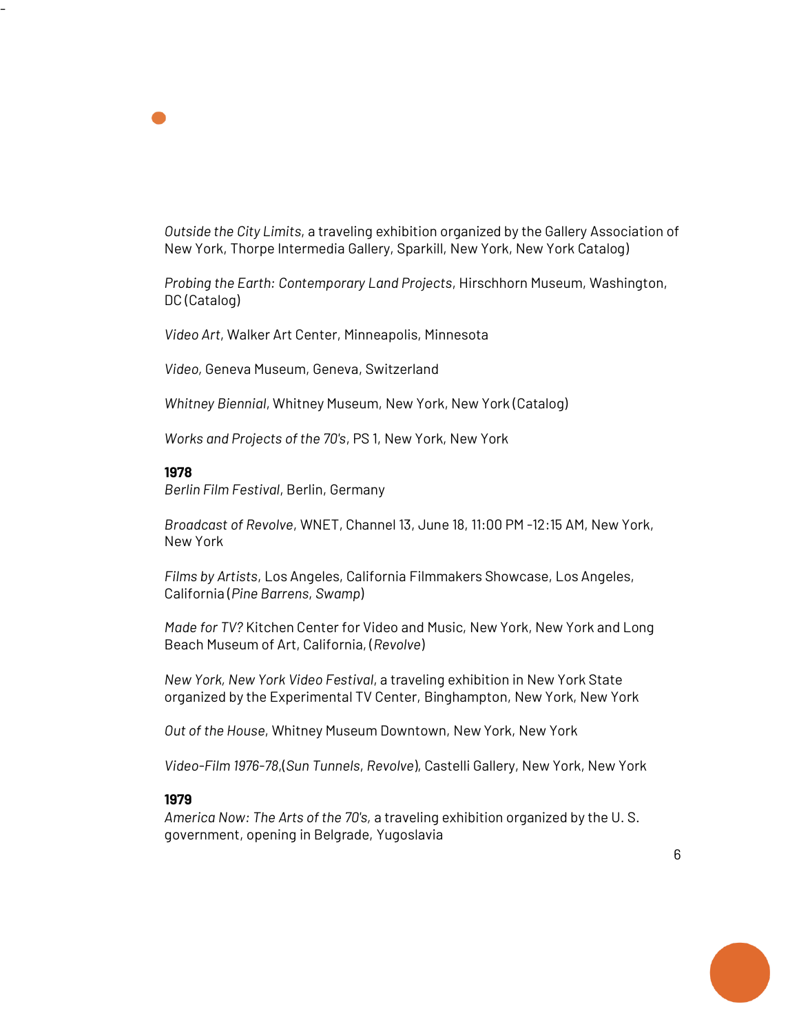*Outside the City Limits*, a traveling exhibition organized by the Gallery Association of New York, Thorpe Intermedia Gallery, Sparkill, New York, New York Catalog)

*Probing the Earth: Contemporary Land Projects*, Hirschhorn Museum, Washington, DC (Catalog)

*Video Art*, Walker Art Center, Minneapolis, Minnesota

*Video,* Geneva Museum, Geneva, Switzerland

*Whitney Biennial*, Whitney Museum, New York, New York (Catalog)

*Works and Projects of the 70's*, PS 1, New York, New York

#### **1978**

-

*Berlin Film Festival*, Berlin, Germany

*Broadcast of Revolve*, WNET, Channel 13, June 18, 11:00 PM -12:15 AM, New York, New York

*Films by Artists*, Los Angeles, California Filmmakers Showcase, Los Angeles, California (*Pine Barrens*, *Swamp*)

*Made for TV?* Kitchen Center for Video and Music, New York, New York and Long Beach Museum of Art, California, (*Revolve*)

*New York, New York Video Festival*, a traveling exhibition in New York State organized by the Experimental TV Center, Binghampton, New York, New York

*Out of the House*, Whitney Museum Downtown, New York, New York

*Video-Film 1976-78*,(*Sun Tunnels*, *Revolve*), Castelli Gallery, New York, New York

## **1979**

*America Now: The Arts of the 70's,* a traveling exhibition organized by the U. S. government, opening in Belgrade, Yugoslavia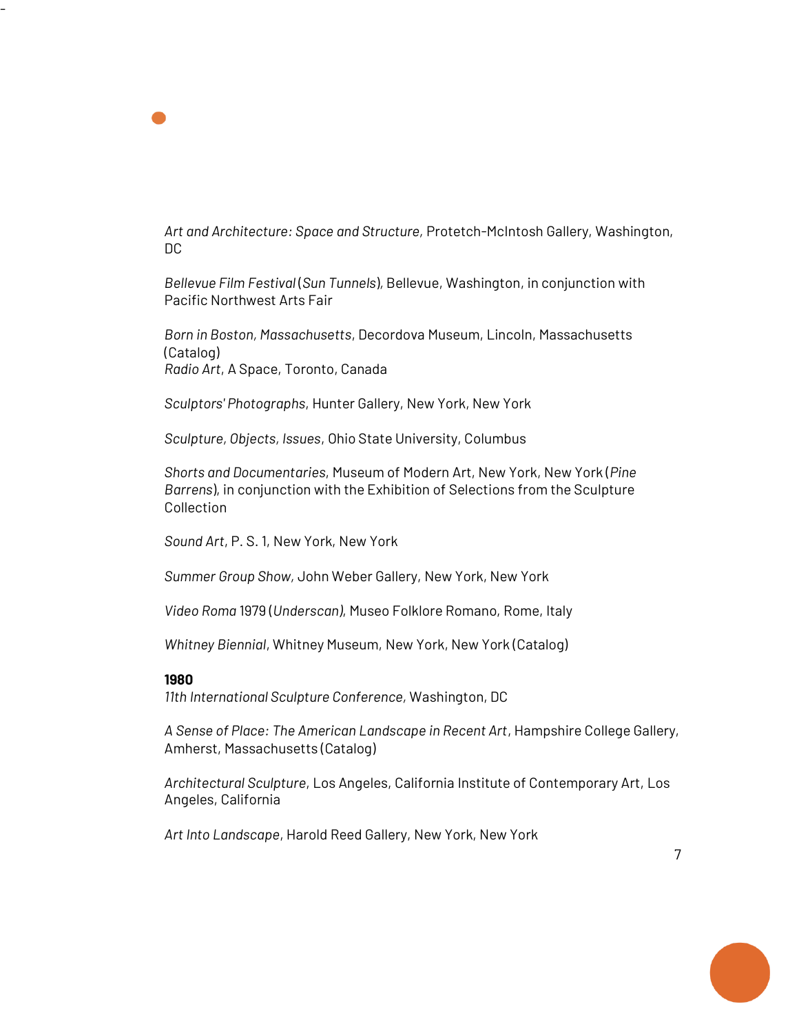*Art and Architecture: Space and Structure,* Protetch-McIntosh Gallery, Washington, DC

*Bellevue Film Festival* (*Sun Tunnels*)*,* Bellevue, Washington, in conjunction with Pacific Northwest Arts Fair

*Born in Boston, Massachusetts*, Decordova Museum, Lincoln, Massachusetts (Catalog) *Radio Art*, A Space, Toronto, Canada

*Sculptors' Photographs*, Hunter Gallery, New York, New York

*Sculpture, Objects, Issues*, Ohio State University, Columbus

*Shorts and Documentaries*, Museum of Modern Art, New York, New York (*Pine Barrens*), in conjunction with the Exhibition of Selections from the Sculpture Collection

*Sound Art*, P. S. 1, New York, New York

*Summer Group Show,* John Weber Gallery, New York, New York

*Video Roma* 1979 (*Underscan)*, Museo Folklore Romano, Rome, Italy

*Whitney Biennial*, Whitney Museum, New York, New York (Catalog)

#### **1980**

-

*11th International Sculpture Conference,* Washington, DC

*A Sense of Place: The American Landscape in Recent Art*, Hampshire College Gallery, Amherst, Massachusetts (Catalog)

*Architectural Sculpture*, Los Angeles, California Institute of Contemporary Art, Los Angeles, California

*Art Into Landscape*, Harold Reed Gallery, New York, New York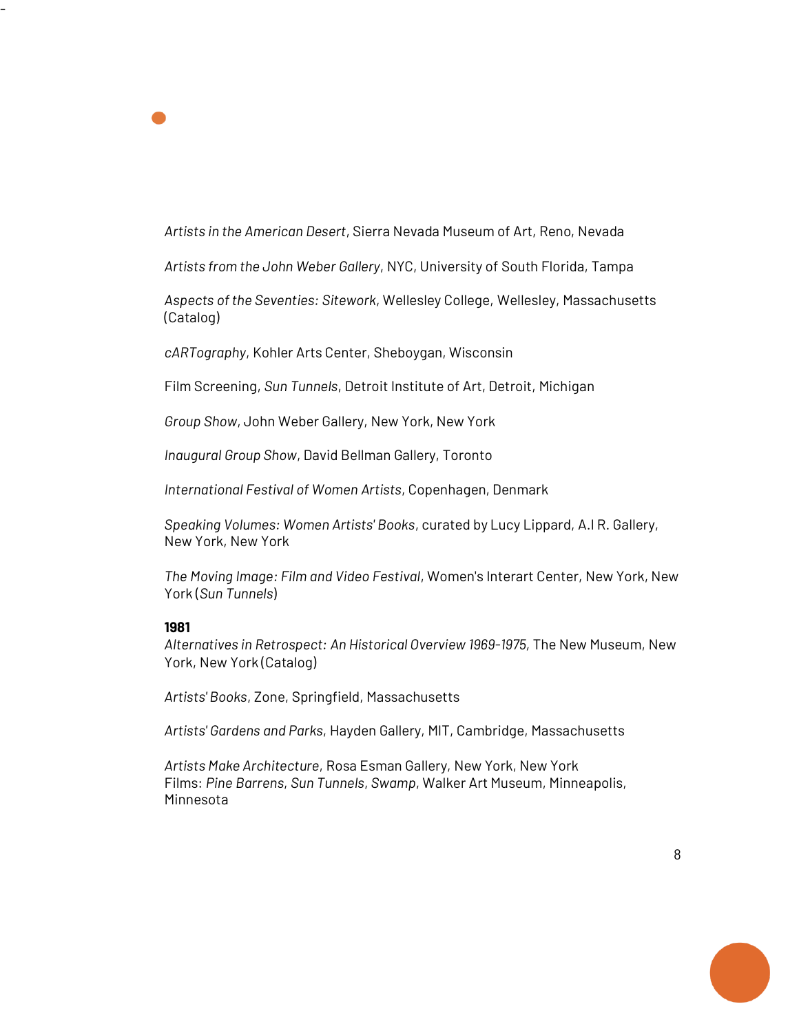*Artists in the American Desert*, Sierra Nevada Museum of Art, Reno, Nevada

*Artists from the John Weber Gallery*, NYC, University of South Florida, Tampa

*Aspects of the Seventies: Sitework*, Wellesley College, Wellesley, Massachusetts (Catalog)

*cARTography*, Kohler Arts Center, Sheboygan, Wisconsin

Film Screening, *Sun Tunnels*, Detroit Institute of Art, Detroit, Michigan

*Group Show*, John Weber Gallery, New York, New York

*Inaugural Group Show*, David Bellman Gallery, Toronto

*International Festival of Women Artists*, Copenhagen, Denmark

*Speaking Volumes: Women Artists' Books*, curated by Lucy Lippard, A.I R. Gallery, New York, New York

*The Moving Image: Film and Video Festival*, Women's Interart Center, New York, New York (*Sun Tunnels*)

## **1981**

-

*Alternatives in Retrospect: An Historical Overview 1969-1975,* The New Museum, New York, New York (Catalog)

*Artists' Books*, Zone, Springfield, Massachusetts

*Artists' Gardens and Parks*, Hayden Gallery, MIT, Cambridge, Massachusetts

*Artists Make Architecture*, Rosa Esman Gallery, New York, New York Films: *Pine Barrens*, *Sun Tunnels*, *Swamp*, Walker Art Museum, Minneapolis, Minnesota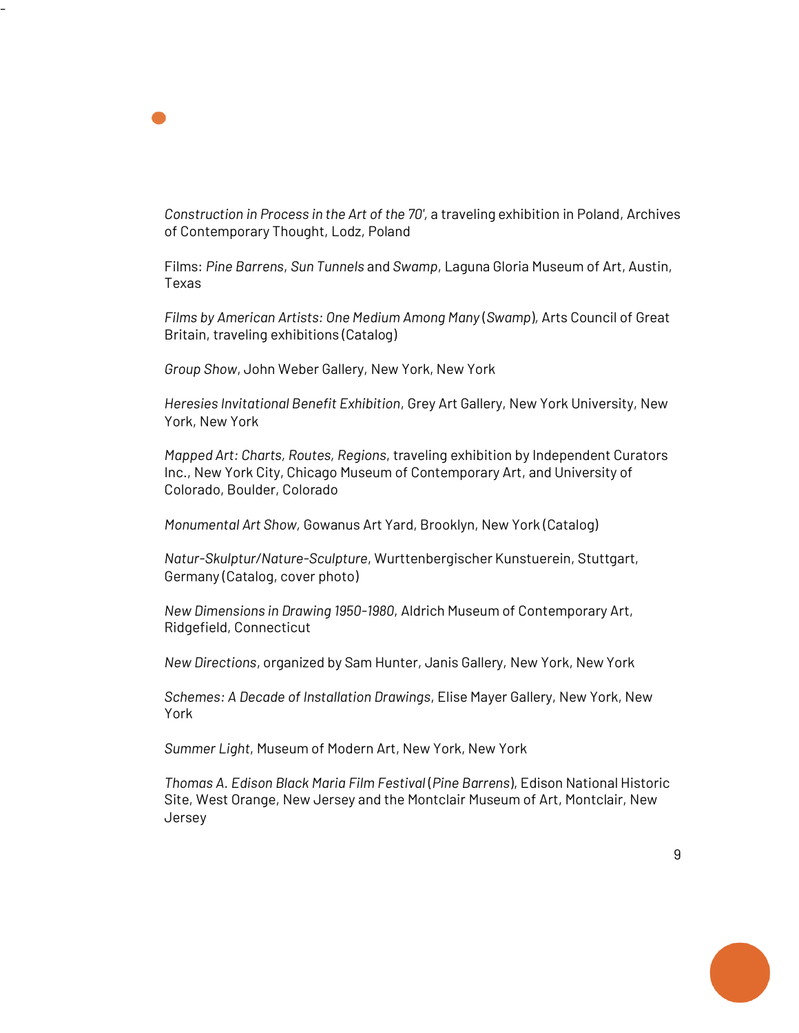*Construction in Process in the Art of the 70',* a traveling exhibition in Poland, Archives of Contemporary Thought, Lodz, Poland

Films: *Pine Barrens*, *Sun Tunnels* and *Swamp*, Laguna Gloria Museum of Art, Austin, Texas

*Films by American Artists: One Medium Among Many* (*Swamp*)*,* Arts Council of Great Britain, traveling exhibitions (Catalog)

*Group Show*, John Weber Gallery, New York, New York

-

*Heresies Invitational Benefit Exhibition*, Grey Art Gallery, New York University, New York, New York

*Mapped Art: Charts, Routes, Regions*, traveling exhibition by Independent Curators Inc., New York City, Chicago Museum of Contemporary Art, and University of Colorado, Boulder, Colorado

*Monumental Art Show,* Gowanus Art Yard, Brooklyn, New York (Catalog)

*Natur-Skulptur/Nature-Sculpture*, Wurttenbergischer Kunstuerein, Stuttgart, Germany (Catalog, cover photo)

*New Dimensions in Drawing 1950-1980*, Aldrich Museum of Contemporary Art, Ridgefield, Connecticut

*New Directions*, organized by Sam Hunter, Janis Gallery, New York, New York

*Schemes: A Decade of Installation Drawings*, Elise Mayer Gallery, New York, New York

*Summer Light*, Museum of Modern Art, New York, New York

*Thomas A. Edison Black Maria Film Festival* (*Pine Barrens*), Edison National Historic Site, West Orange, New Jersey and the Montclair Museum of Art, Montclair, New Jersey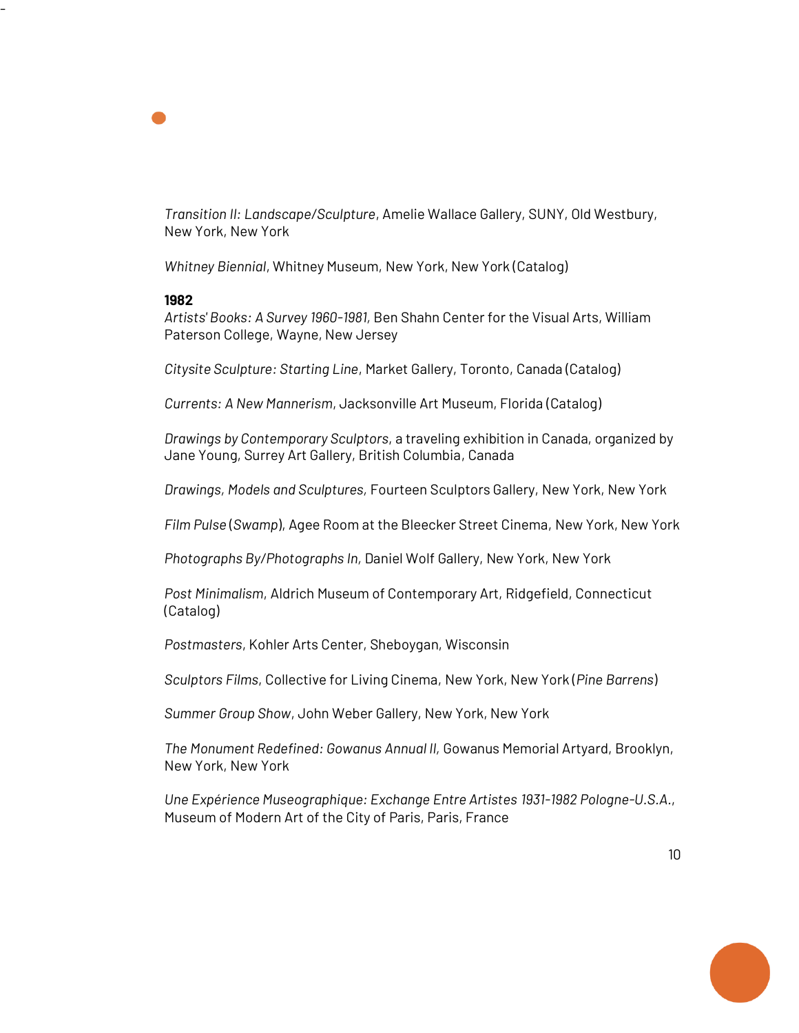*Transition II: Landscape/Sculpture*, Amelie Wallace Gallery, SUNY, Old Westbury, New York, New York

*Whitney Biennial*, Whitney Museum, New York, New York (Catalog)

## **1982**

-

*Artists' Books: A Survey 1960-1981,* Ben Shahn Center for the Visual Arts, William Paterson College, Wayne, New Jersey

*Citysite Sculpture: Starting Line*, Market Gallery, Toronto, Canada (Catalog)

*Currents: A New Mannerism*, Jacksonville Art Museum, Florida (Catalog)

*Drawings by Contemporary Sculptors*, a traveling exhibition in Canada, organized by Jane Young, Surrey Art Gallery, British Columbia, Canada

*Drawings, Models and Sculptures,* Fourteen Sculptors Gallery, New York, New York

*Film Pulse* (*Swamp*), Agee Room at the Bleecker Street Cinema, New York, New York

*Photographs By/Photographs In,* Daniel Wolf Gallery, New York, New York

*Post Minimalism*, Aldrich Museum of Contemporary Art, Ridgefield, Connecticut (Catalog)

*Postmasters*, Kohler Arts Center, Sheboygan, Wisconsin

*Sculptors Films*, Collective for Living Cinema, New York, New York (*Pine Barrens*)

*Summer Group Show*, John Weber Gallery, New York, New York

*The Monument Redefined: Gowanus Annual II,* Gowanus Memorial Artyard, Brooklyn, New York, New York

*Une Expérience Museographique: Exchange Entre Artistes 1931-1982 Pologne-U.S.A.*, Museum of Modern Art of the City of Paris, Paris, France

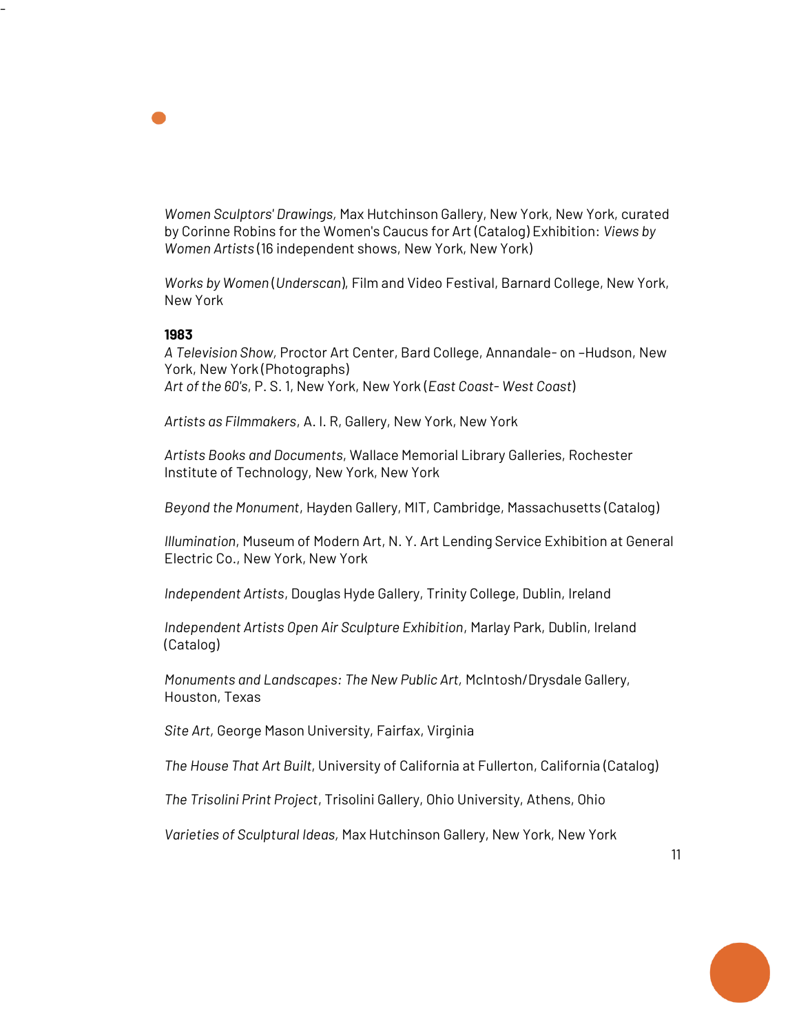*Women Sculptors' Drawings,* Max Hutchinson Gallery, New York, New York, curated by Corinne Robins for the Women's Caucus for Art (Catalog) Exhibition: *Views by Women Artists* (16 independent shows, New York, New York)

*Works by Women* (*Underscan*), Film and Video Festival, Barnard College, New York, New York

#### **1983**

-

*A Television Show,* Proctor Art Center, Bard College, Annandale- on –Hudson, New York, New York (Photographs) *Art of the 60's*, P. S. 1, New York, New York (*East Coast- West Coast*)

*Artists as Filmmakers*, A. I. R, Gallery, New York, New York

*Artists Books and Documents*, Wallace Memorial Library Galleries, Rochester Institute of Technology, New York, New York

*Beyond the Monument*, Hayden Gallery, MIT, Cambridge, Massachusetts (Catalog)

*Illumination*, Museum of Modern Art, N. Y. Art Lending Service Exhibition at General Electric Co., New York, New York

*Independent Artists*, Douglas Hyde Gallery, Trinity College, Dublin, Ireland

*Independent Artists Open Air Sculpture Exhibition*, Marlay Park, Dublin, Ireland (Catalog)

*Monuments and Landscapes: The New Public Art,* McIntosh/Drysdale Gallery, Houston, Texas

*Site Art,* George Mason University, Fairfax, Virginia

*The House That Art Built*, University of California at Fullerton, California (Catalog)

*The Trisolini Print Project*, Trisolini Gallery, Ohio University, Athens, Ohio

*Varieties of Sculptural Ideas,* Max Hutchinson Gallery, New York, New York

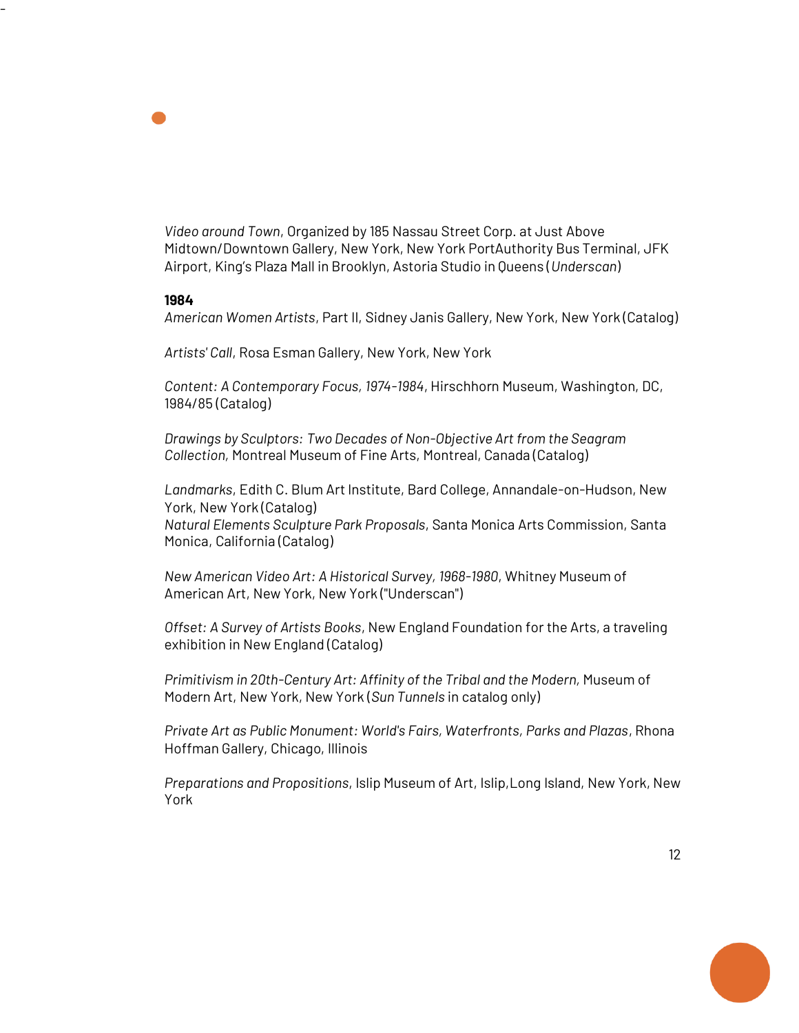*Video around Town*, Organized by 185 Nassau Street Corp. at Just Above Midtown/Downtown Gallery, New York, New York PortAuthority Bus Terminal, JFK Airport, King's Plaza Mall in Brooklyn, Astoria Studio in Queens (*Underscan*)

#### **1984**

-

*American Women Artists*, Part II, Sidney Janis Gallery, New York, New York (Catalog)

*Artists' Call*, Rosa Esman Gallery, New York, New York

*Content: A Contemporary Focus, 1974-1984*, Hirschhorn Museum, Washington, DC, 1984/85 (Catalog)

*Drawings by Sculptors: Two Decades of Non-Objective Art from the Seagram Collection,* Montreal Museum of Fine Arts, Montreal, Canada (Catalog)

*Landmarks*, Edith C. Blum Art Institute, Bard College, Annandale-on-Hudson, New York, New York (Catalog) *Natural Elements Sculpture Park Proposals*, Santa Monica Arts Commission, Santa Monica, California (Catalog)

*New American Video Art: A Historical Survey, 1968-1980*, Whitney Museum of American Art, New York, New York ("Underscan")

*Offset: A Survey of Artists Books*, New England Foundation for the Arts, a traveling exhibition in New England (Catalog)

*Primitivism in 20th-Century Art: Affinity of the Tribal and the Modern,* Museum of Modern Art, New York, New York (*Sun Tunnels* in catalog only)

*Private Art as Public Monument: World's Fairs, Waterfronts, Parks and Plazas*, Rhona Hoffman Gallery, Chicago, Illinois

*Preparations and Propositions*, Islip Museum of Art, Islip,Long Island, New York, New York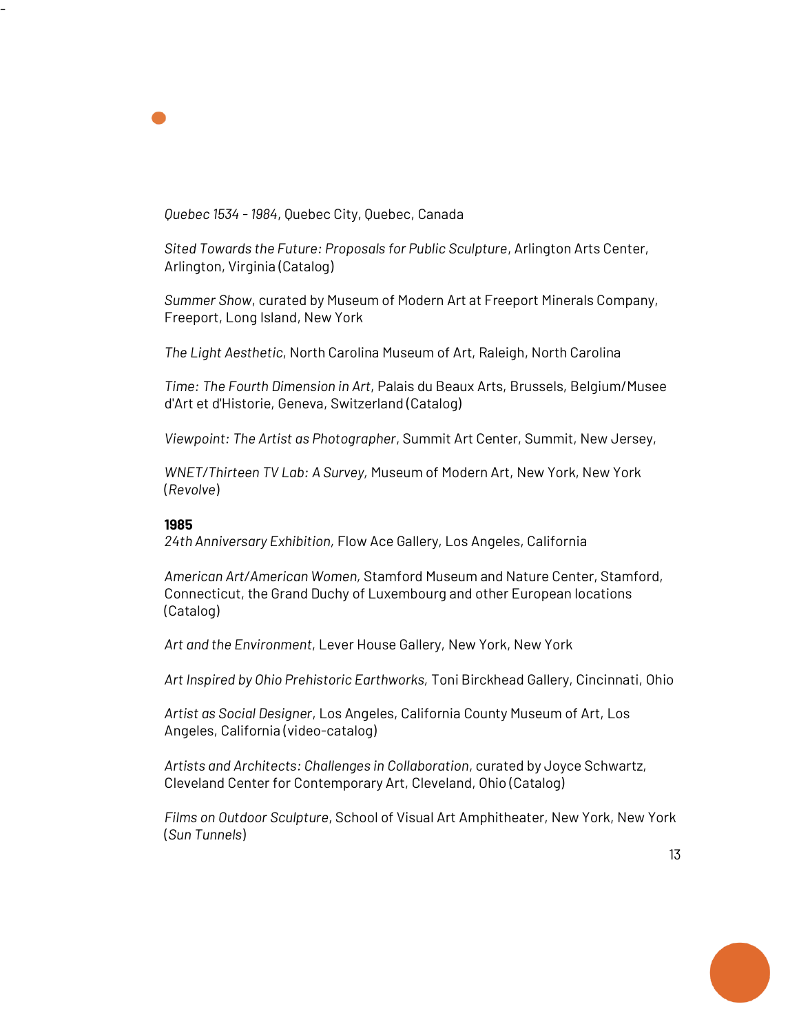

-

*Quebec 1534 -1984*, Quebec City, Quebec, Canada

*Sited Towards the Future: Proposals for Public Sculpture*, Arlington Arts Center, Arlington, Virginia (Catalog)

*Summer Show*, curated by Museum of Modern Art at Freeport Minerals Company, Freeport, Long Island, New York

*The Light Aesthetic*, North Carolina Museum of Art, Raleigh, North Carolina

*Time: The Fourth Dimension in Art*, Palais du Beaux Arts, Brussels, Belgium/Musee d'Art et d'Historie, Geneva, Switzerland (Catalog)

*Viewpoint: The Artist as Photographer*, Summit Art Center, Summit, New Jersey,

*WNET/Thirteen TV Lab: A Survey,* Museum of Modern Art, New York, New York (*Revolve*)

## **1985**

*24th Anniversary Exhibition,* Flow Ace Gallery, Los Angeles, California

*American Art/American Women,* Stamford Museum and Nature Center, Stamford, Connecticut, the Grand Duchy of Luxembourg and other European locations (Catalog)

*Art and the Environment*, Lever House Gallery, New York, New York

*Art Inspired by Ohio Prehistoric Earthworks,* Toni Birckhead Gallery, Cincinnati, Ohio

*Artist as Social Designer*, Los Angeles, California County Museum of Art, Los Angeles, California (video-catalog)

*Artists and Architects: Challenges in Collaboration*, curated by Joyce Schwartz, Cleveland Center for Contemporary Art, Cleveland, Ohio (Catalog)

*Films on Outdoor Sculpture*, School of Visual Art Amphitheater, New York, New York (*Sun Tunnels*)

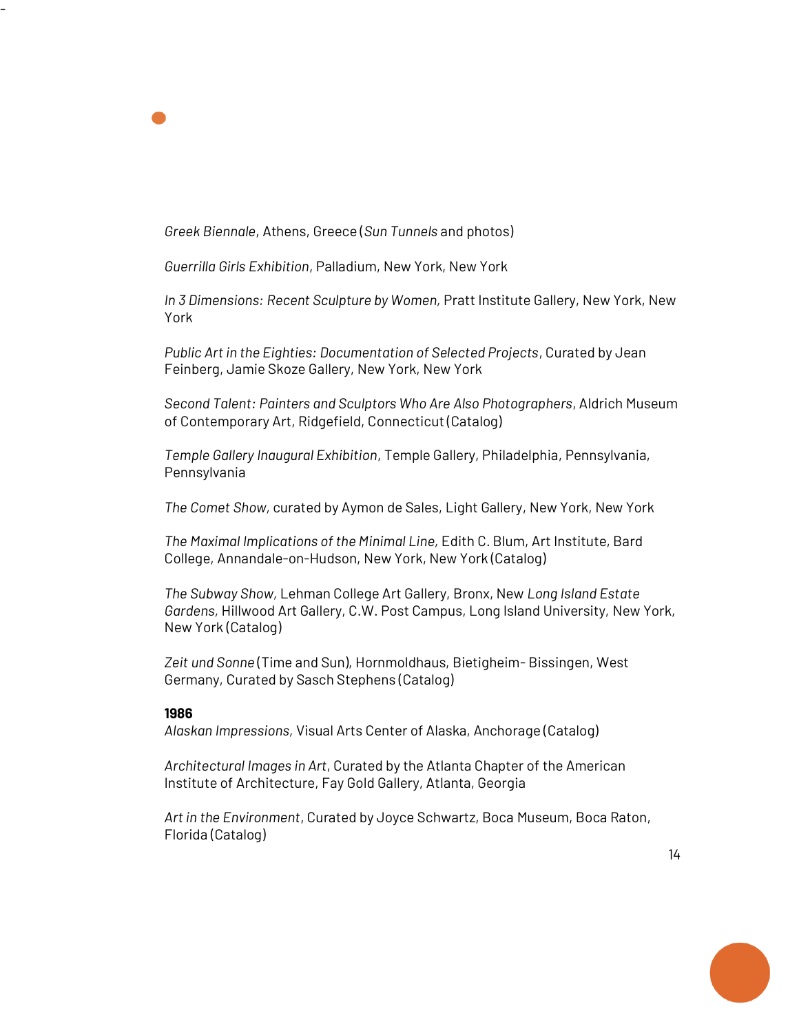*Greek Biennale*, Athens, Greece (*Sun Tunnels* and photos)

*Guerrilla Girls Exhibition*, Palladium, New York, New York

*In 3 Dimensions: Recent Sculpture by Women,* Pratt Institute Gallery, New York, New York

*Public Art in the Eighties: Documentation of Selected Projects*, Curated by Jean Feinberg, Jamie Skoze Gallery, New York, New York

*Second Talent: Painters and Sculptors Who Are Also Photographers*, Aldrich Museum of Contemporary Art, Ridgefield, Connecticut (Catalog)

*Temple Gallery Inaugural Exhibition*, Temple Gallery, Philadelphia, Pennsylvania, Pennsylvania

*The Comet Show,* curated by Aymon de Sales, Light Gallery, New York, New York

*The Maximal Implications of the Minimal Line,* Edith C. Blum, Art Institute, Bard College, Annandale-on-Hudson, New York, New York (Catalog)

*The Subway Show,* Lehman College Art Gallery, Bronx, New *Long Island Estate Gardens,* Hillwood Art Gallery, C.W. Post Campus, Long Island University, New York, New York (Catalog)

*Zeit und Sonne* (Time and Sun), Hornmoldhaus, Bietigheim- Bissingen, West Germany, Curated by Sasch Stephens (Catalog)

#### **1986**

-

*Alaskan Impressions,* Visual Arts Center of Alaska, Anchorage (Catalog)

*Architectural Images in Art*, Curated by the Atlanta Chapter of the American Institute of Architecture, Fay Gold Gallery, Atlanta, Georgia

*Art in the Environment*, Curated by Joyce Schwartz, Boca Museum, Boca Raton, Florida (Catalog)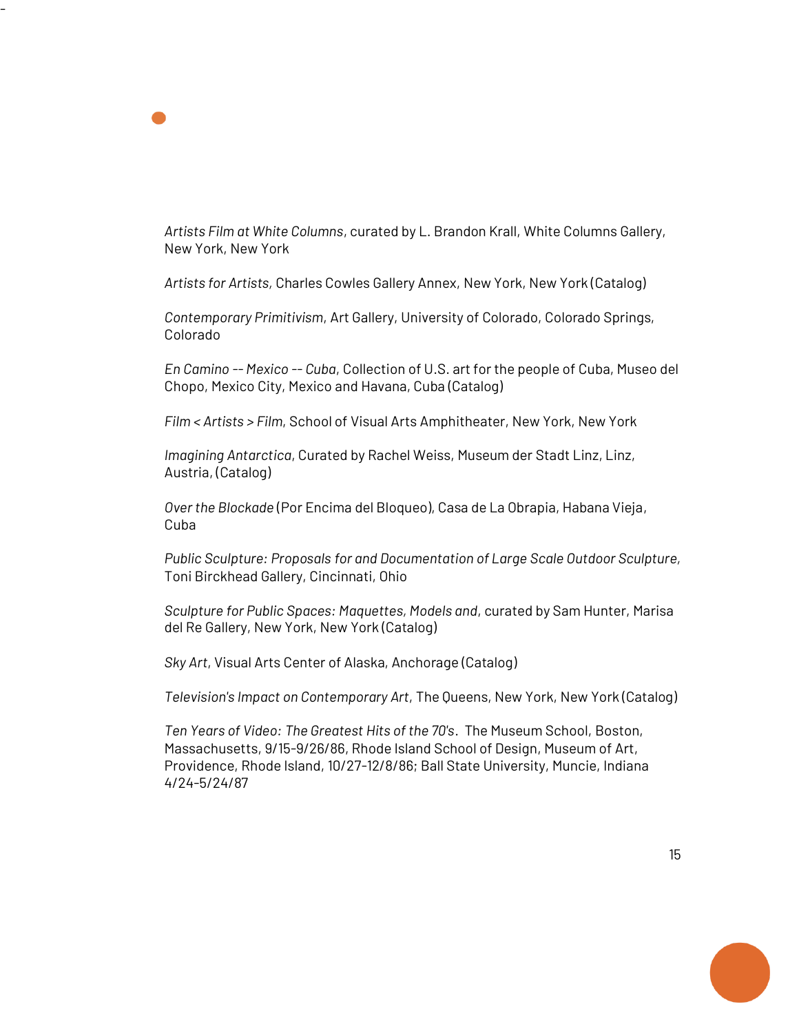*Artists Film at White Columns*, curated by L. Brandon Krall, White Columns Gallery, New York, New York

*Artists for Artists,* Charles Cowles Gallery Annex, New York, New York (Catalog)

-

*Contemporary Primitivism*, Art Gallery, University of Colorado, Colorado Springs, Colorado

*En Camino -- Mexico -- Cuba*, Collection of U.S. art for the people of Cuba, Museo del Chopo, Mexico City, Mexico and Havana, Cuba (Catalog)

*Film < Artists > Film*, School of Visual Arts Amphitheater, New York, New York

*Imagining Antarctica*, Curated by Rachel Weiss, Museum der Stadt Linz, Linz, Austria, (Catalog)

*Over the Blockade* (Por Encima del Bloqueo), Casa de La Obrapia, Habana Vieja, Cuba

*Public Sculpture: Proposals for and Documentation of Large Scale Outdoor Sculpture,*  Toni Birckhead Gallery, Cincinnati, Ohio

*Sculpture for Public Spaces: Maquettes, Models and*, curated by Sam Hunter, Marisa del Re Gallery, New York, New York (Catalog)

*Sky Art*, Visual Arts Center of Alaska, Anchorage (Catalog)

*Television's Impact on Contemporary Art*, The Queens, New York, New York (Catalog)

*Ten Years of Video: The Greatest Hits of the 70's*. The Museum School, Boston, Massachusetts, 9/15-9/26/86, Rhode Island School of Design, Museum of Art, Providence, Rhode Island, 10/27-12/8/86; Ball State University, Muncie, Indiana 4/24-5/24/87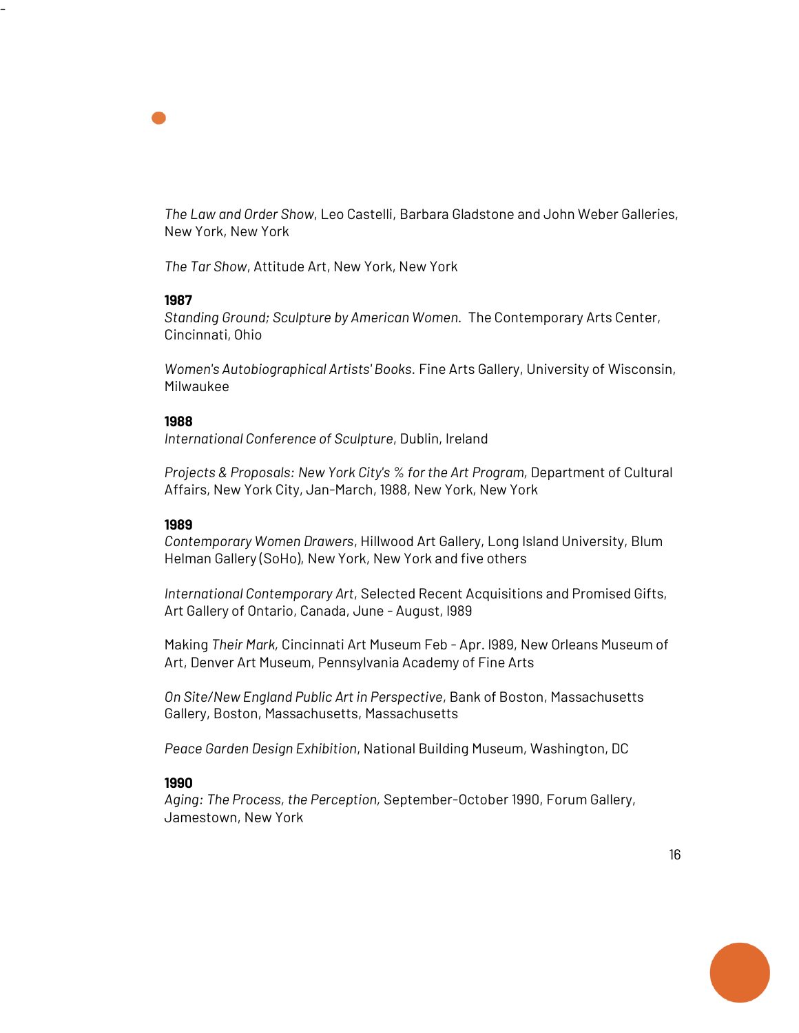*The Law and Order Show*, Leo Castelli, Barbara Gladstone and John Weber Galleries, New York, New York

*The Tar Show*, Attitude Art, New York, New York

#### **1987**

-

*Standing Ground; Sculpture by American Women.* The Contemporary Arts Center, Cincinnati, Ohio

*Women's Autobiographical Artists' Books.* Fine Arts Gallery, University of Wisconsin, Milwaukee

## **1988**

*International Conference of Sculpture*, Dublin, Ireland

*Projects & Proposals: New York City's % for the Art Program,* Department of Cultural Affairs, New York City, Jan-March, 1988, New York, New York

## **1989**

*Contemporary Women Drawers*, Hillwood Art Gallery, Long Island University, Blum Helman Gallery (SoHo), New York, New York and five others

*International Contemporary Art*, Selected Recent Acquisitions and Promised Gifts, Art Gallery of Ontario, Canada, June - August, l989

Making *Their Mark,* Cincinnati Art Museum Feb - Apr. l989, New Orleans Museum of Art, Denver Art Museum, Pennsylvania Academy of Fine Arts

*On Site/New England Public Art in Perspective*, Bank of Boston, Massachusetts Gallery, Boston, Massachusetts, Massachusetts

*Peace Garden Design Exhibition*, National Building Museum, Washington, DC

## **1990**

*Aging: The Process, the Perception,* September-October 1990, Forum Gallery, Jamestown, New York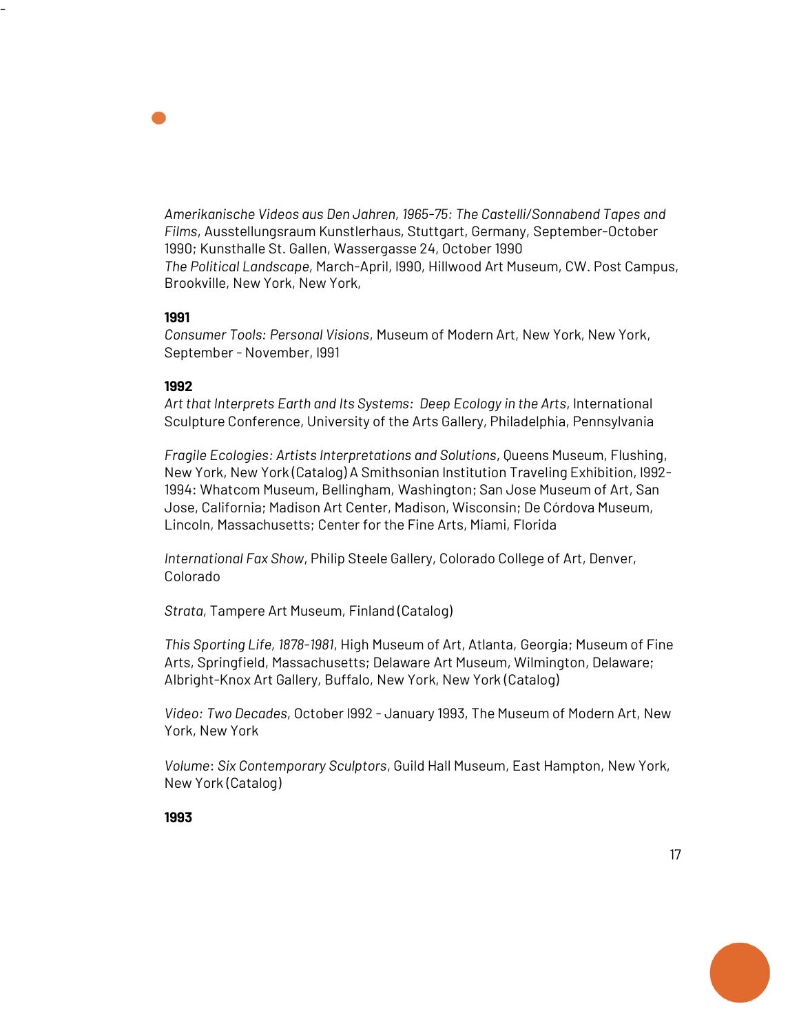*Amerikanische Videos aus Den Jahren, 1965-75: The Castelli/Sonnabend Tapes and Films*, Ausstellungsraum Kunstlerhaus, Stuttgart, Germany, September-October 1990; Kunsthalle St. Gallen, Wassergasse 24, October 1990 *The Political Landscape,* March-April, l990, Hillwood Art Museum, CW. Post Campus, Brookville, New York, New York,

### **1991**

-

*Consumer Tools: Personal Visions*, Museum of Modern Art, New York, New York, September - November, l991

#### **1992**

*Art that Interprets Earth and Its Systems: Deep Ecology in the Arts*, International Sculpture Conference, University of the Arts Gallery, Philadelphia, Pennsylvania

*Fragile Ecologies: Artists Interpretations and Solutions*, Queens Museum, Flushing, New York, New York (Catalog) A Smithsonian Institution Traveling Exhibition, l992- 1994: Whatcom Museum, Bellingham, Washington; San Jose Museum of Art, San Jose, California; Madison Art Center, Madison, Wisconsin; De Córdova Museum, Lincoln, Massachusetts; Center for the Fine Arts, Miami, Florida

*International Fax Show*, Philip Steele Gallery, Colorado College of Art, Denver, Colorado

*Strata,* Tampere Art Museum, Finland (Catalog)

*This Sporting Life, 1878-1981*, High Museum of Art, Atlanta, Georgia; Museum of Fine Arts, Springfield, Massachusetts; Delaware Art Museum, Wilmington, Delaware; Albright-Knox Art Gallery, Buffalo, New York, New York (Catalog)

*Video: Two Decades,* October l992 - January 1993, The Museum of Modern Art, New York, New York

*Volume*: *Six Contemporary Sculptors*, Guild Hall Museum, East Hampton, New York, New York (Catalog)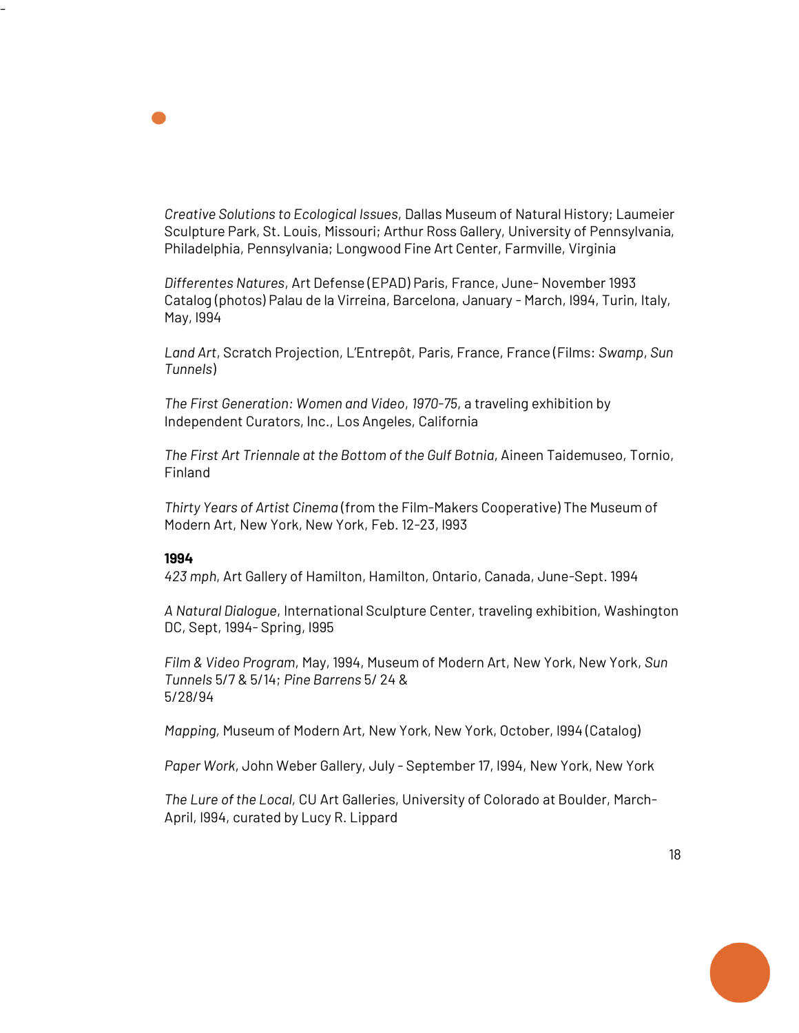*Creative Solutions to Ecological Issues*, Dallas Museum of Natural History; Laumeier Sculpture Park, St. Louis, Missouri; Arthur Ross Gallery, University of Pennsylvania, Philadelphia, Pennsylvania; Longwood Fine Art Center, Farmville, Virginia

*Differentes Natures*, Art Defense (EPAD) Paris, France, June- November 1993 Catalog (photos) Palau de la Virreina, Barcelona, January - March, l994, Turin, Italy, May, l994

*Land Art*, Scratch Projection, L'Entrepôt, Paris, France, France (Films: *Swamp*, *Sun Tunnels*)

*The First Generation: Women and Video*, *1970-75*, a traveling exhibition by Independent Curators, Inc., Los Angeles, California

*The First Art Triennale at the Bottom of the Gulf Botnia*, Aineen Taidemuseo, Tornio, Finland

*Thirty Years of Artist Cinema* (from the Film-Makers Cooperative) The Museum of Modern Art, New York, New York, Feb. 12-23, l993

## **1994**

-

*423 mph*, Art Gallery of Hamilton, Hamilton, Ontario, Canada, June-Sept. 1994

*A Natural Dialogue*, International Sculpture Center, traveling exhibition, Washington DC, Sept, 1994- Spring, l995

*Film & Video Program*, May, 1994, Museum of Modern Art, New York, New York, *Sun Tunnels* 5/7 & 5/14; *Pine Barrens* 5/ 24 & 5/28/94

*Mapping,* Museum of Modern Art, New York, New York, October, l994 (Catalog)

*Paper Work*, John Weber Gallery, July - September 17, l994, New York, New York

*The Lure of the Local,* CU Art Galleries, University of Colorado at Boulder, March-April, l994, curated by Lucy R. Lippard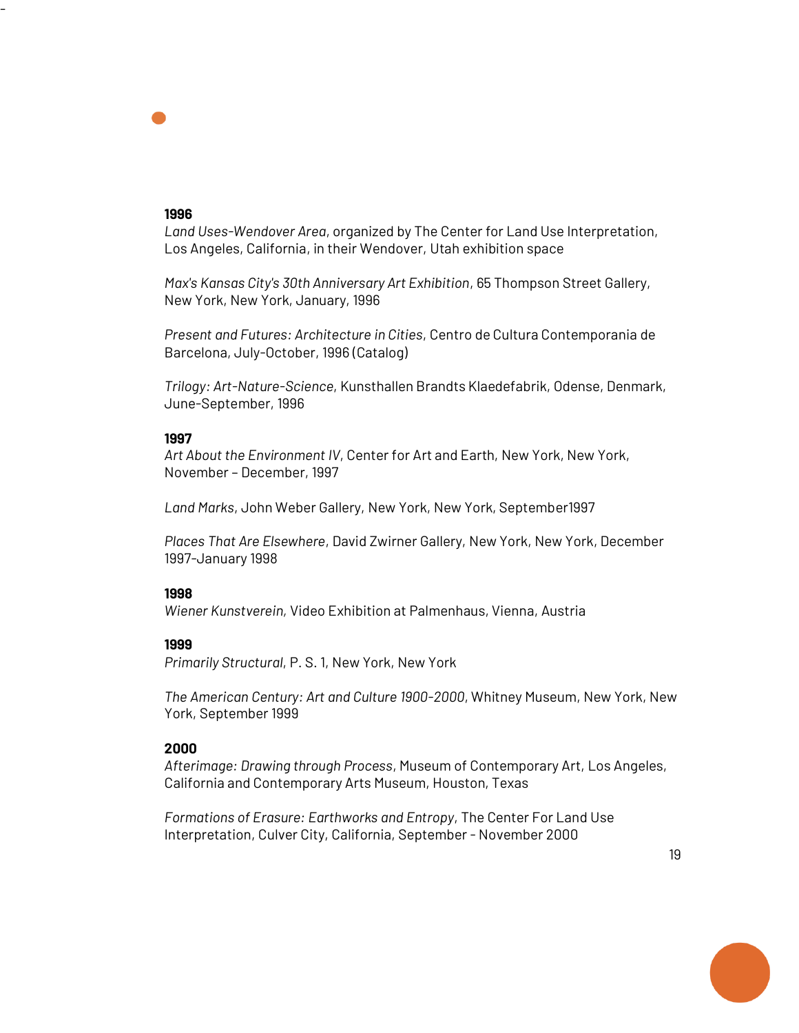## **1996**

-

*Land Uses-Wendover Area*, organized by The Center for Land Use Interpretation, Los Angeles, California, in their Wendover, Utah exhibition space

*Max's Kansas City's 30th Anniversary Art Exhibition*, 65 Thompson Street Gallery, New York, New York, January, 1996

*Present and Futures: Architecture in Cities*, Centro de Cultura Contemporania de Barcelona, July-October, 1996 (Catalog)

*Trilogy: Art-Nature-Science*, Kunsthallen Brandts Klaedefabrik, Odense, Denmark, June-September, 1996

#### **1997**

*Art About the Environment IV*, Center for Art and Earth, New York, New York, November – December, 1997

*Land Marks*, John Weber Gallery, New York, New York, September1997

*Places That Are Elsewhere*, David Zwirner Gallery, New York, New York, December 1997-January 1998

#### **1998**

*Wiener Kunstverein,* Video Exhibition at Palmenhaus, Vienna, Austria

## **1999**

*Primarily Structural*, P. S. 1, New York, New York

*The American Century: Art and Culture 1900-2000*, Whitney Museum, New York, New York, September 1999

## **2000**

*Afterimage: Drawing through Process*, Museum of Contemporary Art, Los Angeles, California and Contemporary Arts Museum, Houston, Texas

*Formations of Erasure: Earthworks and Entropy*, The Center For Land Use Interpretation, Culver City, California, September - November 2000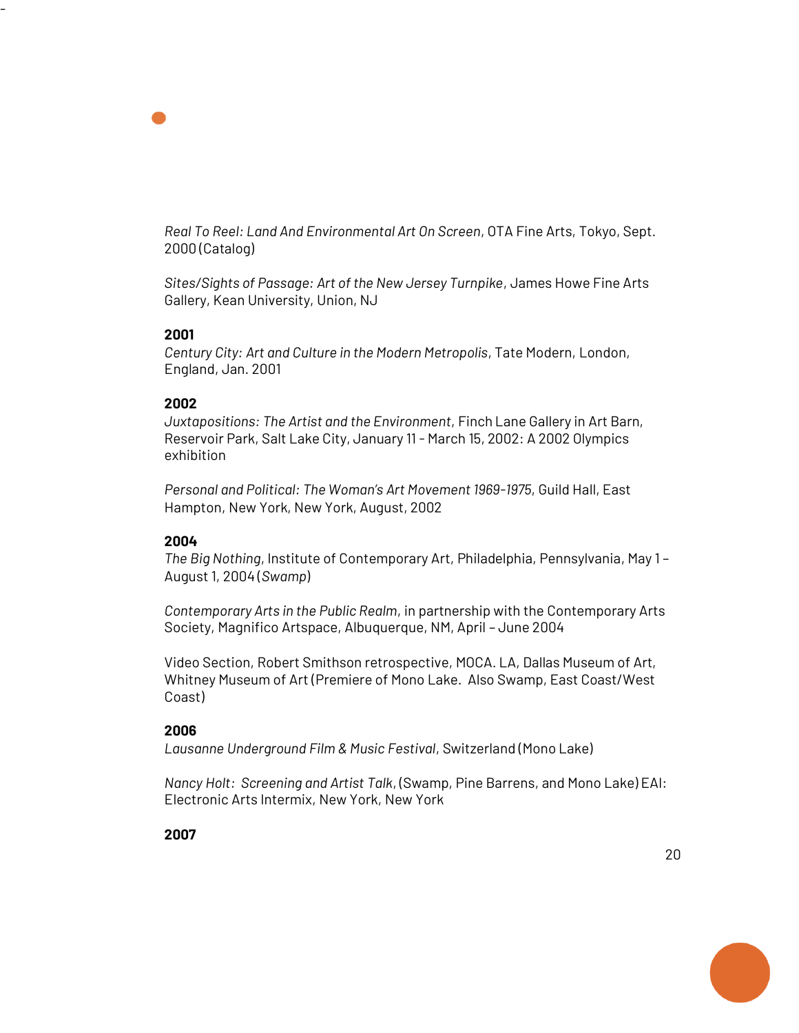*Real To Reel: Land And Environmental Art On Screen*, OTA Fine Arts, Tokyo, Sept. 2000 (Catalog)

*Sites/Sights of Passage: Art of the New Jersey Turnpike*, James Howe Fine Arts Gallery, Kean University, Union, NJ

## **2001**

-

*Century City: Art and Culture in the Modern Metropolis*, Tate Modern, London, England, Jan. 2001

## **2002**

*Juxtapositions: The Artist and the Environment*, Finch Lane Gallery in Art Barn, Reservoir Park, Salt Lake City, January 11 - March 15, 2002: A 2002 Olympics exhibition

*Personal and Political: The Woman's Art Movement 1969-1975*, Guild Hall, East Hampton, New York, New York, August, 2002

## **2004**

*The Big Nothing*, Institute of Contemporary Art, Philadelphia, Pennsylvania, May 1 – August 1, 2004 (*Swamp*)

*Contemporary Arts in the Public Realm*, in partnership with the Contemporary Arts Society, Magnifico Artspace, Albuquerque, NM, April – June 2004

Video Section, Robert Smithson retrospective, MOCA. LA, Dallas Museum of Art, Whitney Museum of Art (Premiere of Mono Lake. Also Swamp, East Coast/West Coast)

# **2006**

*Lausanne Underground Film & Music Festival*, Switzerland (Mono Lake)

*Nancy Holt: Screening and Artist Talk*, (Swamp, Pine Barrens, and Mono Lake) EAI: Electronic Arts Intermix, New York, New York

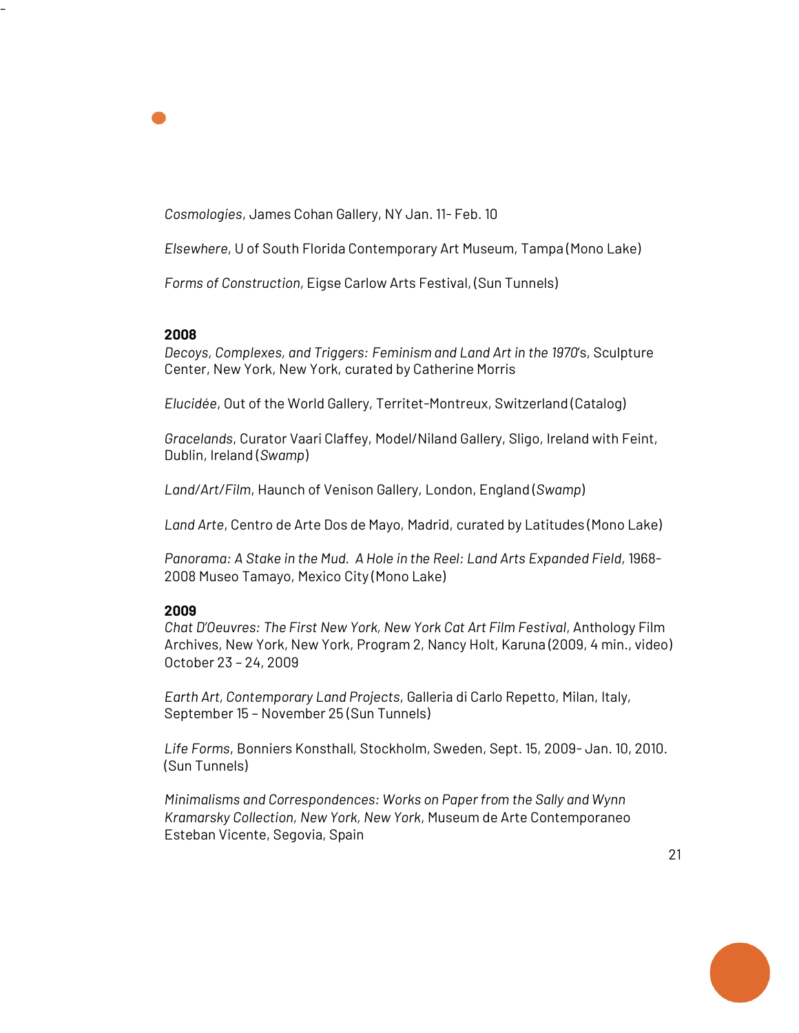*Cosmologies*, James Cohan Gallery, NY Jan. 11- Feb. 10

*Elsewhere*, U of South Florida Contemporary Art Museum, Tampa (Mono Lake)

*Forms of Construction,* Eigse Carlow Arts Festival, (Sun Tunnels)

## **2008**

-

*Decoys, Complexes, and Triggers: Feminism and Land Art in the 1970*'s, Sculpture Center, New York, New York, curated by Catherine Morris

*Elucidée*, Out of the World Gallery, Territet-Montreux, Switzerland (Catalog)

*Gracelands*, Curator Vaari Claffey, Model/Niland Gallery, Sligo, Ireland with Feint, Dublin, Ireland (*Swamp*)

*Land/Art/Film*, Haunch of Venison Gallery, London, England (*Swamp*)

*Land Arte*, Centro de Arte Dos de Mayo, Madrid, curated by Latitudes (Mono Lake)

*Panorama: A Stake in the Mud. A Hole in the Reel: Land Arts Expanded Field*, 1968- 2008 Museo Tamayo, Mexico City (Mono Lake)

# **2009**

*Chat D'Oeuvres: The First New York, New York Cat Art Film Festival*, Anthology Film Archives, New York, New York, Program 2, Nancy Holt, Karuna (2009, 4 min., video) October 23 – 24, 2009

*Earth Art, Contemporary Land Projects*, Galleria di Carlo Repetto, Milan, Italy, September 15 – November 25 (Sun Tunnels)

*Life Forms*, Bonniers Konsthall, Stockholm, Sweden, Sept. 15, 2009- Jan. 10, 2010. (Sun Tunnels)

*Minimalisms and Correspondences: Works on Paper from the Sally and Wynn Kramarsky Collection, New York, New York*, Museum de Arte Contemporaneo Esteban Vicente, Segovia, Spain

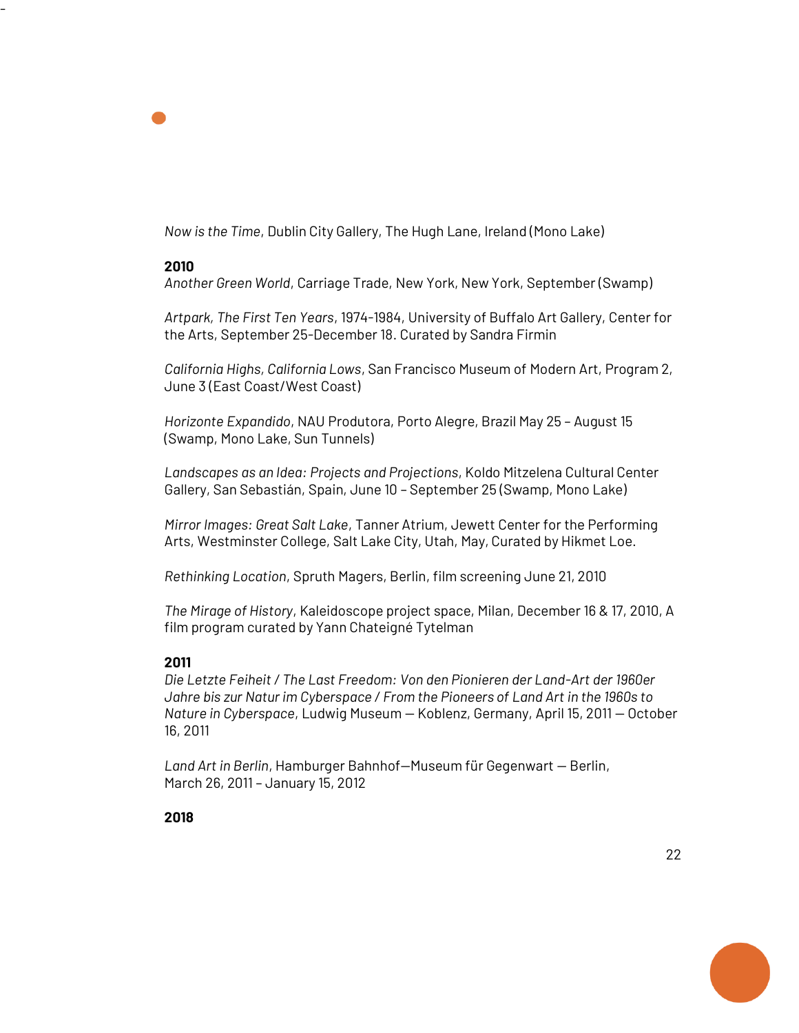

# **2010**

-

*Another Green World*, Carriage Trade, New York, New York, September (Swamp)

*Artpark, The First Ten Years*, 1974-1984, University of Buffalo Art Gallery, Center for the Arts, September 25-December 18. Curated by Sandra Firmin

*California Highs, California Lows*, San Francisco Museum of Modern Art, Program 2, June 3 (East Coast/West Coast)

*Horizonte Expandido*, NAU Produtora, Porto Alegre, Brazil May 25 – August 15 (Swamp, Mono Lake, Sun Tunnels)

*Landscapes as an Idea: Projects and Projections*, Koldo Mitzelena Cultural Center Gallery, San Sebastián, Spain, June 10 – September 25 (Swamp, Mono Lake)

*Mirror Images: Great Salt Lake*, Tanner Atrium, Jewett Center for the Performing Arts, Westminster College, Salt Lake City, Utah, May, Curated by Hikmet Loe.

*Rethinking Location*, Spruth Magers, Berlin, film screening June 21, 2010

*The Mirage of History*, Kaleidoscope project space, Milan, December 16 & 17, 2010, A film program curated by Yann Chateigné Tytelman

# **2011**

*Die Letzte Feiheit / The Last Freedom: Von den Pionieren der Land-Art der 1960er Jahre bis zur Natur im Cyberspace / From the Pioneers of Land Art in the 1960s to Nature in Cyberspace*, Ludwig Museum — Koblenz, Germany, April 15, 2011 — October 16, 2011

*Land Art in Berlin*, Hamburger Bahnhof—Museum für Gegenwart — Berlin, March 26, 2011 – January 15, 2012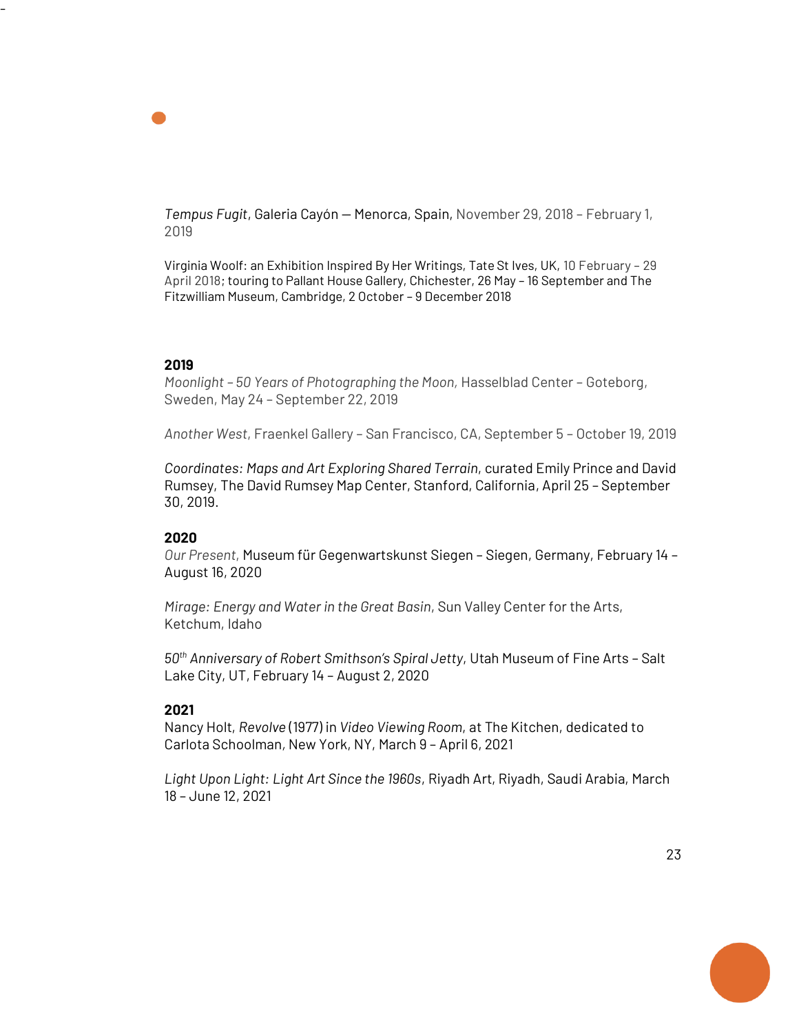*Tempus Fugit*, Galeria Cayón — Menorca, Spain, November 29, 2018 – February 1, 2019

Virginia Woolf: an Exhibition Inspired By Her Writings, Tate St Ives, UK, 10 February – 29 April 2018; touring to Pallant House Gallery, Chichester, 26 May – 16 September and The Fitzwilliam Museum, Cambridge, 2 October – 9 December 2018

#### **2019**

-

*Moonlight – 50 Years of Photographing the Moon,* Hasselblad Center – Goteborg, Sweden, May 24 – September 22, 2019

*Another West*, Fraenkel Gallery – San Francisco, CA, September 5 – October 19, 2019

*Coordinates: Maps and Art Exploring Shared Terrain*, curated Emily Prince and David Rumsey, The David Rumsey Map Center, Stanford, California, April 25 – September 30, 2019.

#### **2020**

*Our Present*, Museum für Gegenwartskunst Siegen – Siegen, Germany, February 14 – August 16, 2020

*Mirage: Energy and Water in the Great Basin*, Sun Valley Center for the Arts, Ketchum, Idaho

*50th Anniversary of Robert Smithson's Spiral Jetty*, Utah Museum of Fine Arts – Salt Lake City, UT, February 14 – August 2, 2020

### **2021**

Nancy Holt, *Revolve* (1977) in *Video Viewing Room*, at The Kitchen, dedicated to Carlota Schoolman*,* New York, NY, March 9 – April 6, 2021

*Light Upon Light: Light Art Since the 1960s*, Riyadh Art, Riyadh, Saudi Arabia, March 18 – June 12, 2021

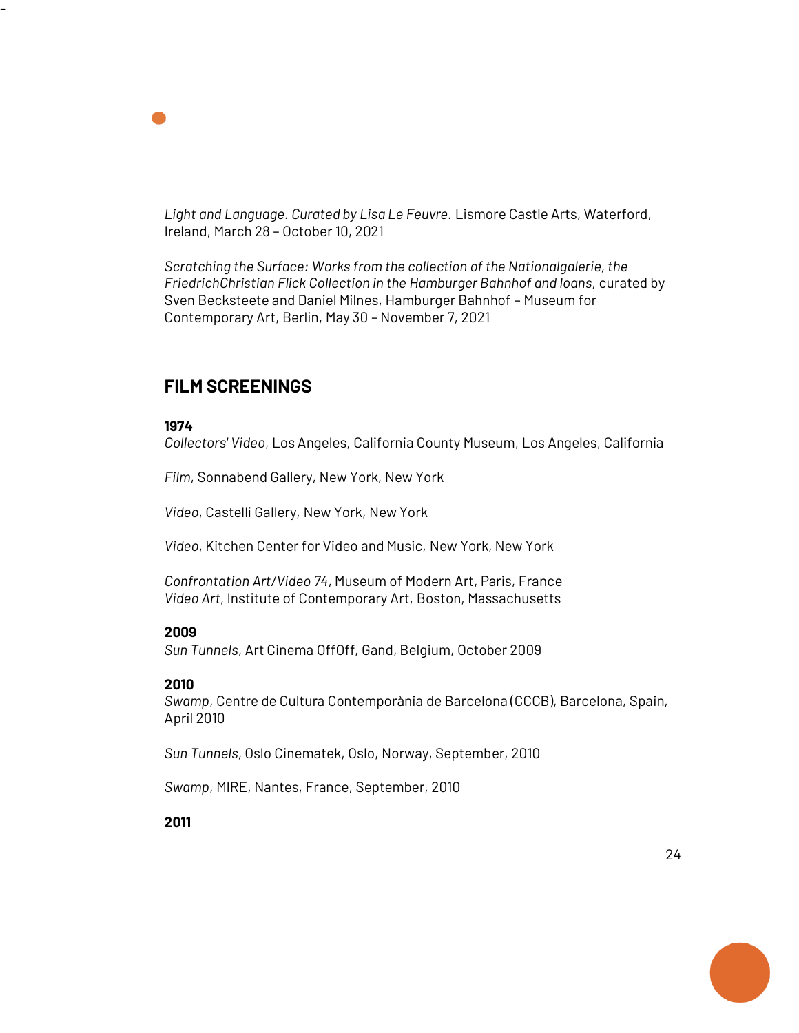*Light and Language. Curated by Lisa Le Feuvre.* Lismore Castle Arts, Waterford, Ireland, March 28 – October 10, 2021

*Scratching the Surface: Works from the collection of the Nationalgalerie, the FriedrichChristian Flick Collection in the Hamburger Bahnhof and loans,* curated by Sven Becksteete and Daniel Milnes, Hamburger Bahnhof – Museum for Contemporary Art, Berlin, May 30 – November 7, 2021

# **FILM SCREENINGS**

# **1974**

-

*Collectors' Video*, Los Angeles, California County Museum, Los Angeles, California

*Film*, Sonnabend Gallery, New York, New York

*Video*, Castelli Gallery, New York, New York

*Video*, Kitchen Center for Video and Music, New York, New York

*Confrontation Art/Video 74*, Museum of Modern Art, Paris, France *Video Art*, Institute of Contemporary Art, Boston, Massachusetts

# **2009**

*Sun Tunnels*, Art Cinema OffOff, Gand, Belgium, October 2009

## **2010**

*Swamp*, Centre de Cultura Contemporània de Barcelona (CCCB), Barcelona, Spain, April 2010

*Sun Tunnels,* Oslo Cinematek, Oslo, Norway, September, 2010

*Swamp*, MIRE, Nantes, France, September, 2010

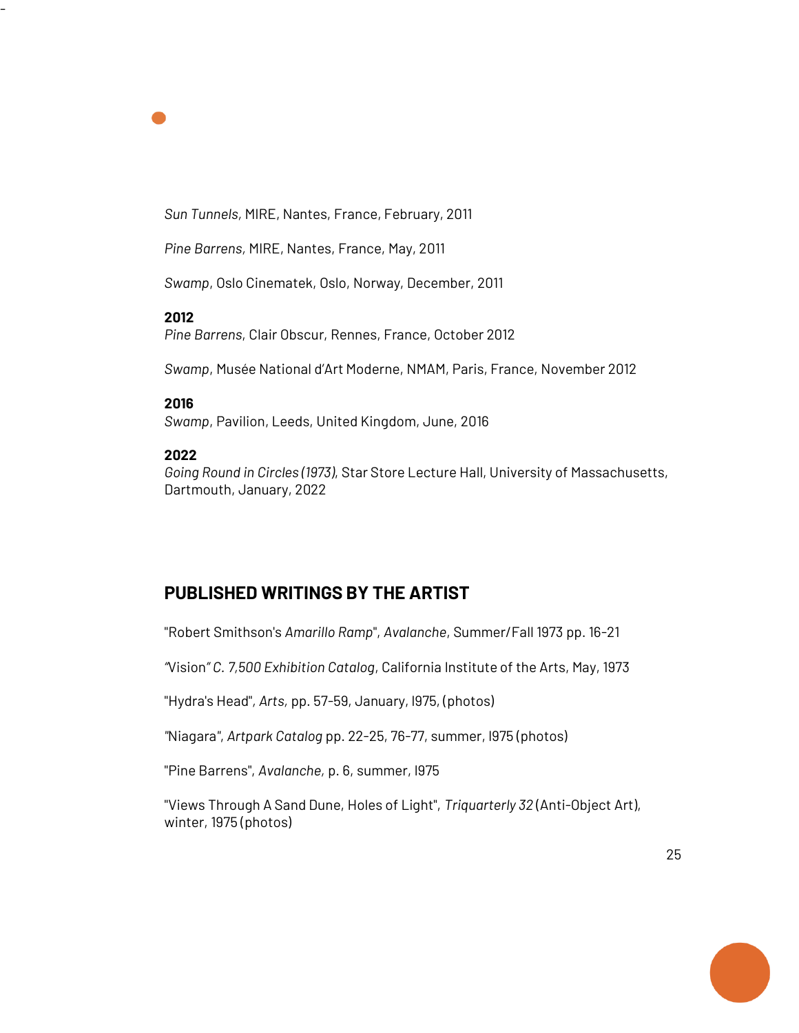

*Pine Barrens,* MIRE, Nantes, France, May, 2011

*Swamp*, Oslo Cinematek, Oslo, Norway, December, 2011

#### **2012**

-

*Pine Barrens*, Clair Obscur, Rennes, France, October 2012

*Swamp*, Musée National d'Art Moderne, NMAM, Paris, France, November 2012

## **2016**

*Swamp*, Pavilion, Leeds, United Kingdom, June, 2016

#### **2022**

*Going Round in Circles (1973)*, Star Store Lecture Hall, University of Massachusetts, Dartmouth, January, 2022

# **PUBLISHED WRITINGS BY THE ARTIST**

"Robert Smithson's *Amarillo Ramp*", *Avalanche*, Summer/Fall 1973 pp. 16-21

*"*Vision*" C. 7,500 Exhibition Catalog*, California Institute of the Arts, May, 1973

"Hydra's Head"*, Arts,* pp. 57-59, January, l975, (photos)

*"*Niagara*"*, *Artpark Catalog* pp. 22-25, 76-77, summer, l975 (photos)

"Pine Barrens", *Avalanche,* p. 6, summer, l975

"Views Through A Sand Dune, Holes of Light", *Triquarterly 32* (Anti-Object Art), winter, 1975 (photos)

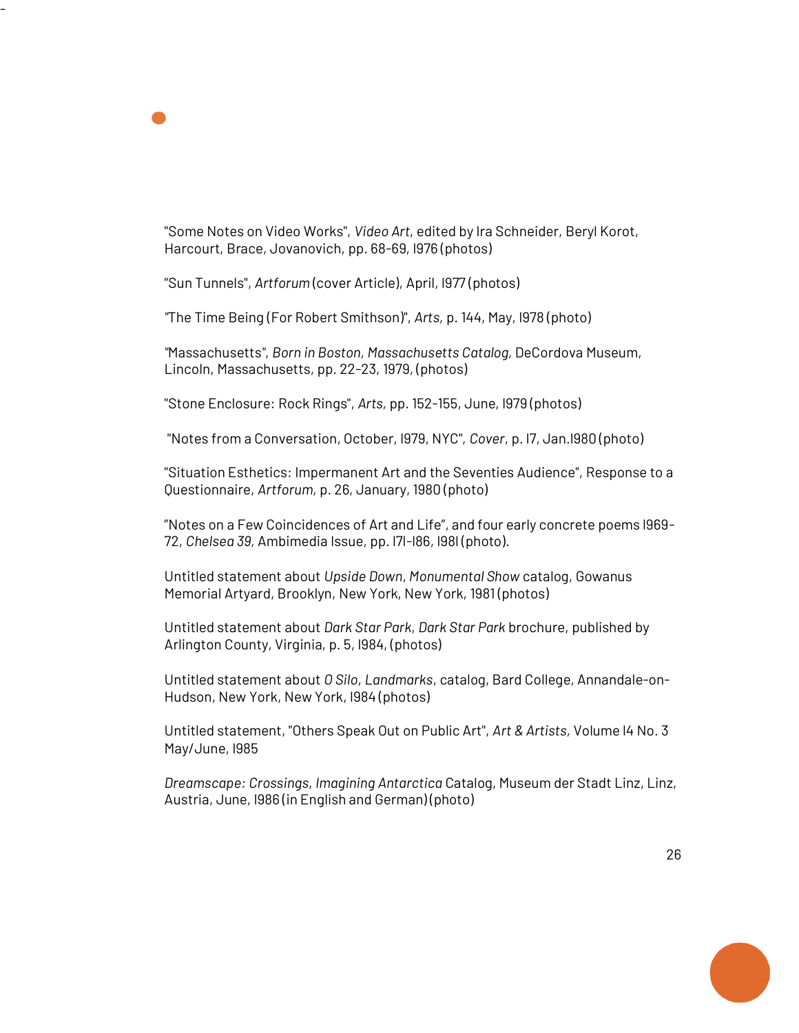

"Sun Tunnels", *Artforum* (cover Article), April, l977 (photos)

-

*"*The Time Being (For Robert Smithson)", *Arts,* p. 144, May, l978 (photo)

*"*Massachusetts*"*, *Born in Boston, Massachusetts Catalog,* DeCordova Museum, Lincoln, Massachusetts, pp. 22-23, 1979, (photos)

"Stone Enclosure: Rock Rings", *Arts,* pp. 152-155, June, l979 (photos)

"Notes from a Conversation, October, l979, NYC", *Cover*, p. l7, Jan.l980 (photo)

"Situation Esthetics: Impermanent Art and the Seventies Audience", Response to a Questionnaire, *Artforum,* p. 26, January, 1980 (photo)

"Notes on a Few Coincidences of Art and Life", and four early concrete poems l969- 72, *Chelsea 39,* Ambimedia Issue, pp. l7l-l86, l98l (photo).

Untitled statement about *Upside Down*, *Monumental Show* catalog, Gowanus Memorial Artyard, Brooklyn, New York, New York, 1981 (photos)

Untitled statement about *Dark Star Park*, *Dark Star Park* brochure, published by Arlington County, Virginia, p. 5, l984, (photos)

Untitled statement about *O Silo*, *Landmarks*, catalog, Bard College, Annandale-on-Hudson, New York, New York, l984 (photos)

Untitled statement, "Others Speak Out on Public Art", *Art & Artists,* Volume l4 No. 3 May/June, l985

*Dreamscape: Crossings*, *Imagining Antarctica* Catalog, Museum der Stadt Linz, Linz, Austria, June, l986 (in English and German) (photo)

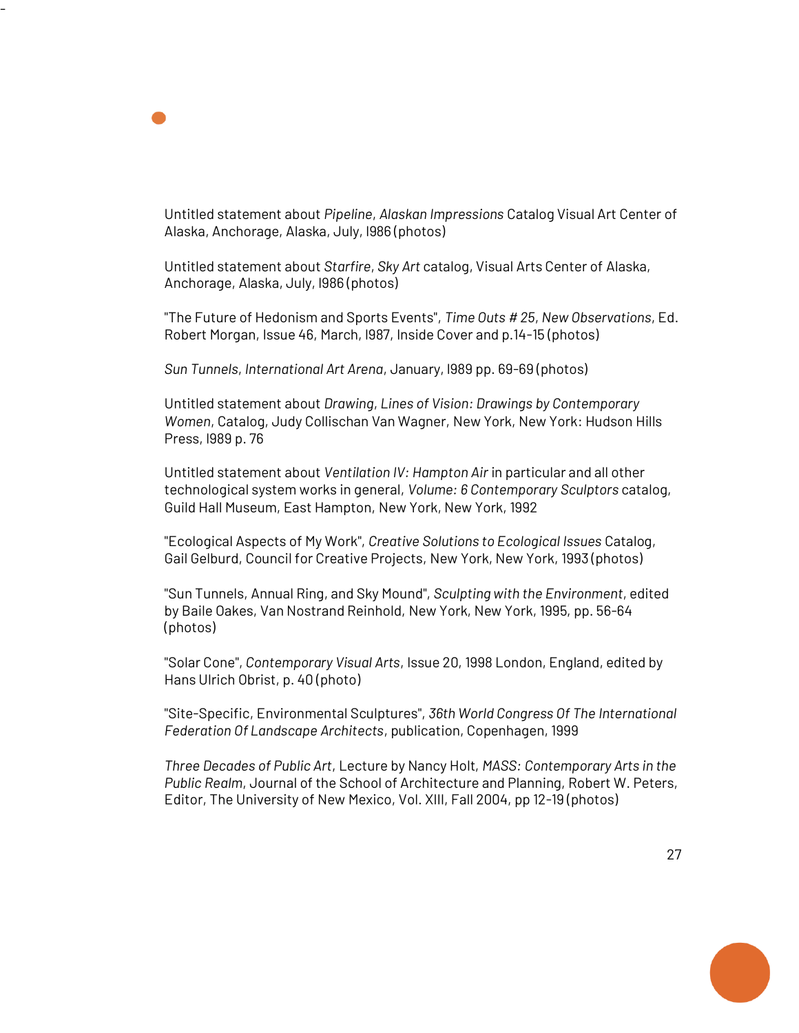

Untitled statement about *Starfire*, *Sky Art* catalog, Visual Arts Center of Alaska, Anchorage, Alaska, July, l986 (photos)

"The Future of Hedonism and Sports Events", *Time Outs # 25*, *New Observations*, Ed. Robert Morgan, Issue 46, March, l987, Inside Cover and p.14-15 (photos)

*Sun Tunnels*, *International Art Arena*, January, l989 pp. 69-69 (photos)

-

Untitled statement about *Drawing*, *Lines of Vision: Drawings by Contemporary Women*, Catalog, Judy Collischan Van Wagner, New York, New York: Hudson Hills Press, l989 p. 76

Untitled statement about *Ventilation IV: Hampton Air* in particular and all other technological system works in general, *Volume: 6 Contemporary Sculptors* catalog, Guild Hall Museum, East Hampton, New York, New York, 1992

"Ecological Aspects of My Work", *Creative Solutions to Ecological Issues* Catalog, Gail Gelburd, Council for Creative Projects, New York, New York, 1993 (photos)

"Sun Tunnels, Annual Ring, and Sky Mound", *Sculpting with the Environment*, edited by Baile Oakes, Van Nostrand Reinhold, New York, New York, 1995, pp. 56-64 (photos)

"Solar Cone", *Contemporary Visual Arts*, Issue 20, 1998 London, England, edited by Hans Ulrich Obrist, p. 40 (photo)

"Site-Specific, Environmental Sculptures", *36th World Congress Of The International Federation Of Landscape Architects*, publication, Copenhagen, 1999

*Three Decades of Public Art*, Lecture by Nancy Holt, *MASS: Contemporary Arts in the Public Realm*, Journal of the School of Architecture and Planning, Robert W. Peters, Editor, The University of New Mexico, Vol. XIII, Fall 2004, pp 12-19 (photos)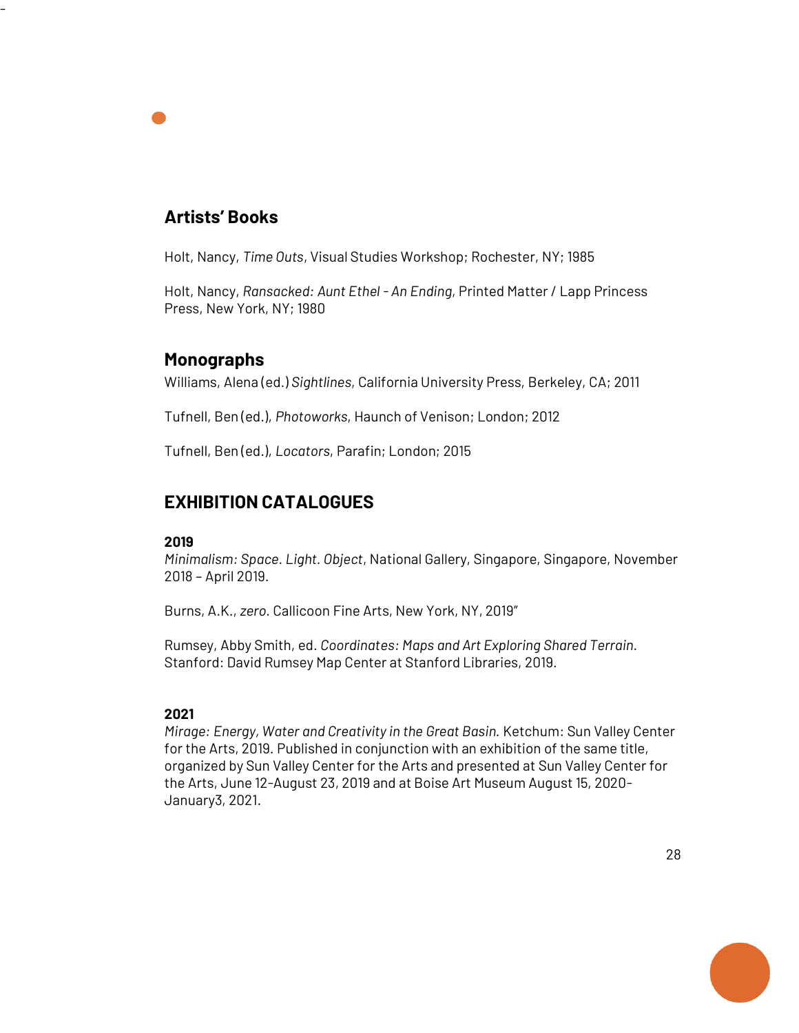# **Artists' Books**

-

Holt, Nancy, *Time Outs*, Visual Studies Workshop; Rochester, NY; 1985

Holt, Nancy, *Ransacked: Aunt Ethel - An Ending*, Printed Matter / Lapp Princess Press, New York, NY; 1980

# **Monographs**

Williams, Alena (ed.) *Sightlines*, California University Press, Berkeley, CA; 2011

Tufnell, Ben (ed.), *Photoworks*, Haunch of Venison; London; 2012

Tufnell, Ben (ed.), *Locators*, Parafin; London; 2015

# **EXHIBITION CATALOGUES**

## **2019**

*Minimalism: Space. Light. Object*, National Gallery, Singapore, Singapore, November 2018 – April 2019.

Burns, A.K., *zero.* Callicoon Fine Arts, New York, NY, 2019''

Rumsey, Abby Smith, ed. *Coordinates: Maps and Art Exploring Shared Terrain.*  Stanford: David Rumsey Map Center at Stanford Libraries, 2019.

# **2021**

*Mirage: Energy, Water and Creativity in the Great Basin.* Ketchum: Sun Valley Center for the Arts, 2019. Published in conjunction with an exhibition of the same title, organized by Sun Valley Center for the Arts and presented at Sun Valley Center for the Arts, June 12-August 23, 2019 and at Boise Art Museum August 15, 2020- January3, 2021.

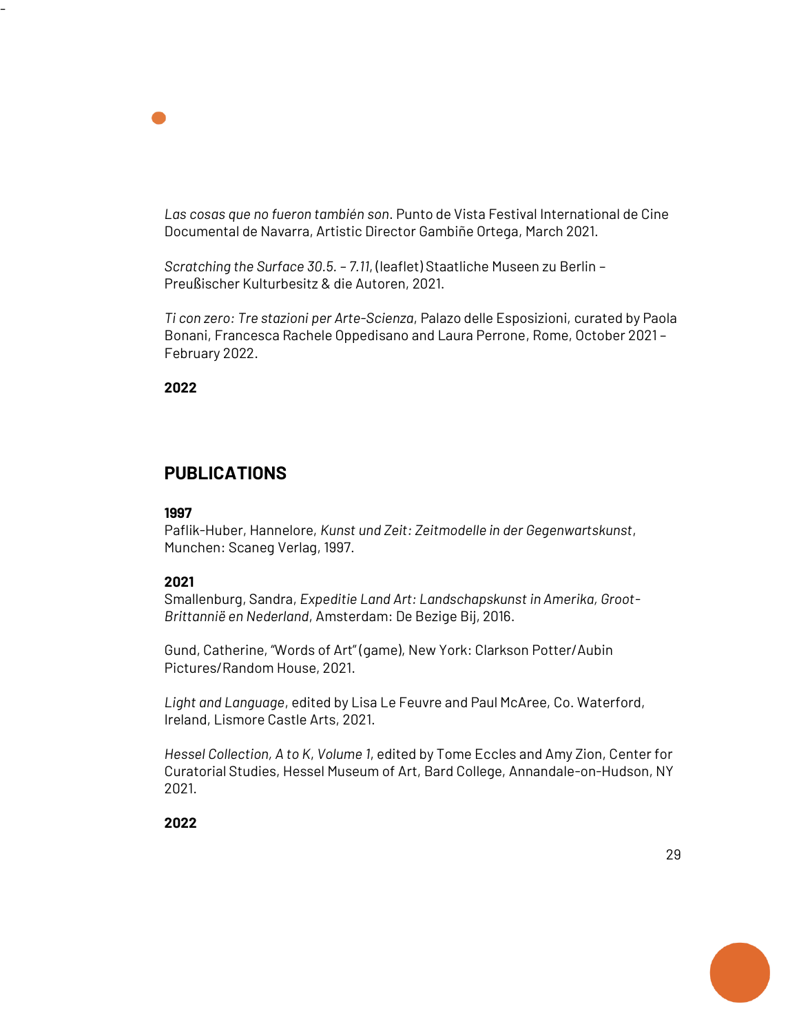

*Scratching the Surface 30.5. – 7.11*, (leaflet) Staatliche Museen zu Berlin – Preußischer Kulturbesitz & die Autoren, 2021.

*Ti con zero: Tre stazioni per Arte-Scienza*, Palazo delle Esposizioni, curated by Paola Bonani, Francesca Rachele Oppedisano and Laura Perrone, Rome, October 2021 – February 2022.

**2022**

-

# **PUBLICATIONS**

## **1997**

Paflik-Huber, Hannelore, *Kunst und Zeit: Zeitmodelle in der Gegenwartskunst*, Munchen: Scaneg Verlag, 1997.

# **2021**

Smallenburg, Sandra, *Expeditie Land Art: Landschapskunst in Amerika, Groot-Brittannië en Nederland*, Amsterdam: De Bezige Bij, 2016.

Gund, Catherine, "Words of Art" (game), New York: Clarkson Potter/Aubin Pictures/Random House, 2021.

*Light and Language*, edited by Lisa Le Feuvre and Paul McAree, Co. Waterford, Ireland, Lismore Castle Arts, 2021.

*Hessel Collection, A to K*, *Volume 1*, edited by Tome Eccles and Amy Zion, Center for Curatorial Studies, Hessel Museum of Art, Bard College, Annandale-on-Hudson, NY 2021.

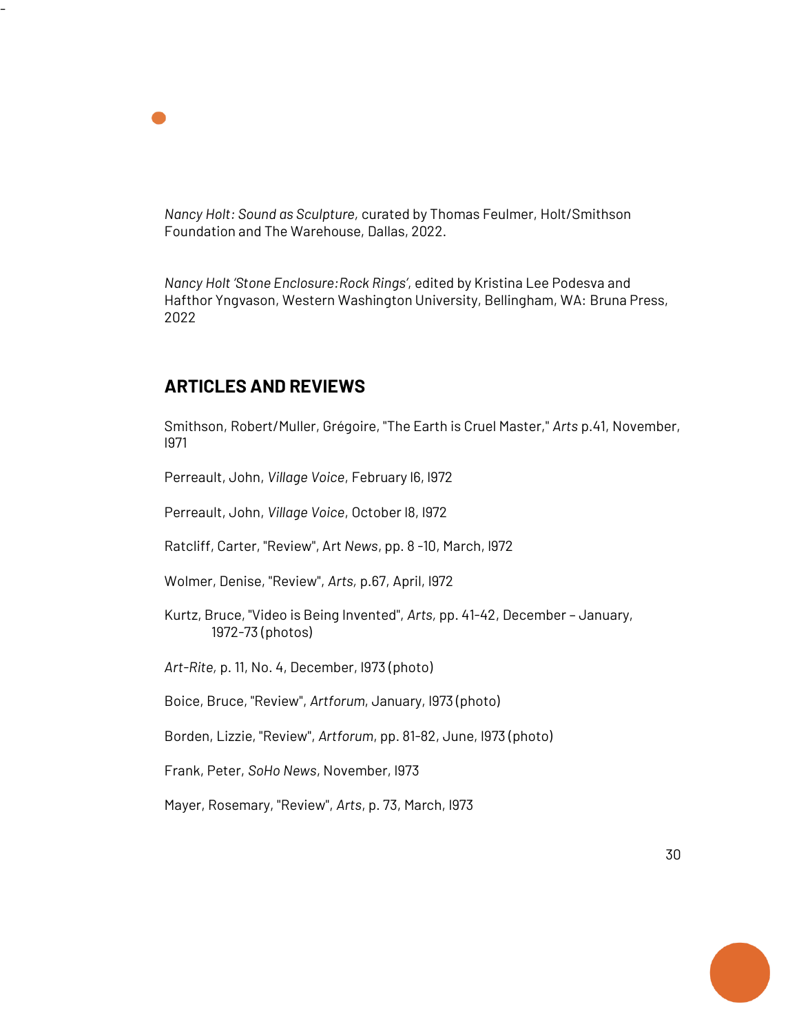*Nancy Holt: Sound as Sculpture,* curated by Thomas Feulmer, Holt/Smithson Foundation and The Warehouse, Dallas, 2022.

*Nancy Holt 'Stone Enclosure:Rock Rings'*, edited by Kristina Lee Podesva and Hafthor Yngvason, Western Washington University, Bellingham, WA: Bruna Press, 2022

# **ARTICLES AND REVIEWS**

-

Smithson, Robert/Muller, Grégoire, "The Earth is Cruel Master," *Arts* p.41, November, l971

Perreault, John, *Village Voice*, February l6, l972

Perreault, John, *Village Voice*, October l8, l972

Ratcliff, Carter, "Review", Art *News*, pp. 8 -10, March, l972

Wolmer, Denise, "Review", *Arts,* p.67, April, l972

Kurtz, Bruce, "Video is Being Invented", *Arts,* pp. 41-42, December – January, 1972-73 (photos)

*Art-Rite,* p. 11, No. 4, December, l973 (photo)

Boice, Bruce, "Review", *Artforum*, January, l973 (photo)

Borden, Lizzie, "Review", *Artforum*, pp. 81-82, June, l973 (photo)

Frank, Peter, *SoHo News*, November, l973

Mayer, Rosemary, "Review", *Arts*, p. 73, March, l973

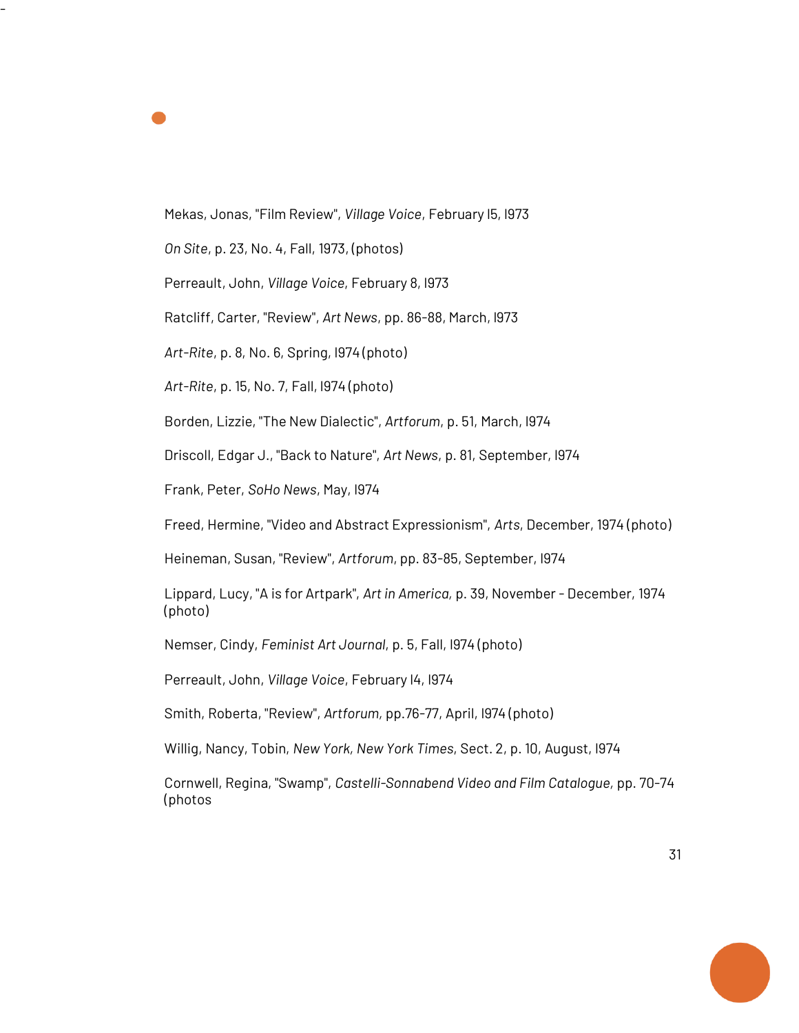

-

Mekas, Jonas, "Film Review", *Village Voice*, February l5, l973

*On Site*, p. 23, No. 4, Fall, 1973, (photos)

Perreault, John, *Village Voice*, February 8, l973

Ratcliff, Carter, "Review", *Art News*, pp. 86-88, March, l973

*Art-Rite*, p. 8, No. 6, Spring, l974 (photo)

*Art-Rite*, p. 15, No. 7, Fall, l974 (photo)

Borden, Lizzie, "The New Dialectic", *Artforum*, p. 51, March, l974

Driscoll, Edgar J., "Back to Nature", *Art News*, p. 81, September, l974

Frank, Peter, *SoHo News*, May, l974

Freed, Hermine, "Video and Abstract Expressionism", *Arts*, December, 1974 (photo)

Heineman, Susan, "Review", *Artforum*, pp. 83-85, September, l974

Lippard, Lucy, "A is for Artpark", *Art in America,* p. 39, November - December, 1974 (photo)

Nemser, Cindy, *Feminist Art Journal*, p. 5, Fall, l974 (photo)

Perreault, John, *Village Voice*, February l4, l974

Smith, Roberta, "Review", *Artforum,* pp.76-77, April, l974 (photo)

Willig, Nancy, Tobin, *New York, New York Times*, Sect. 2, p. 10, August, l974

Cornwell, Regina, "Swamp", *Castelli-Sonnabend Video and Film Catalogue,* pp. 70-74 (photos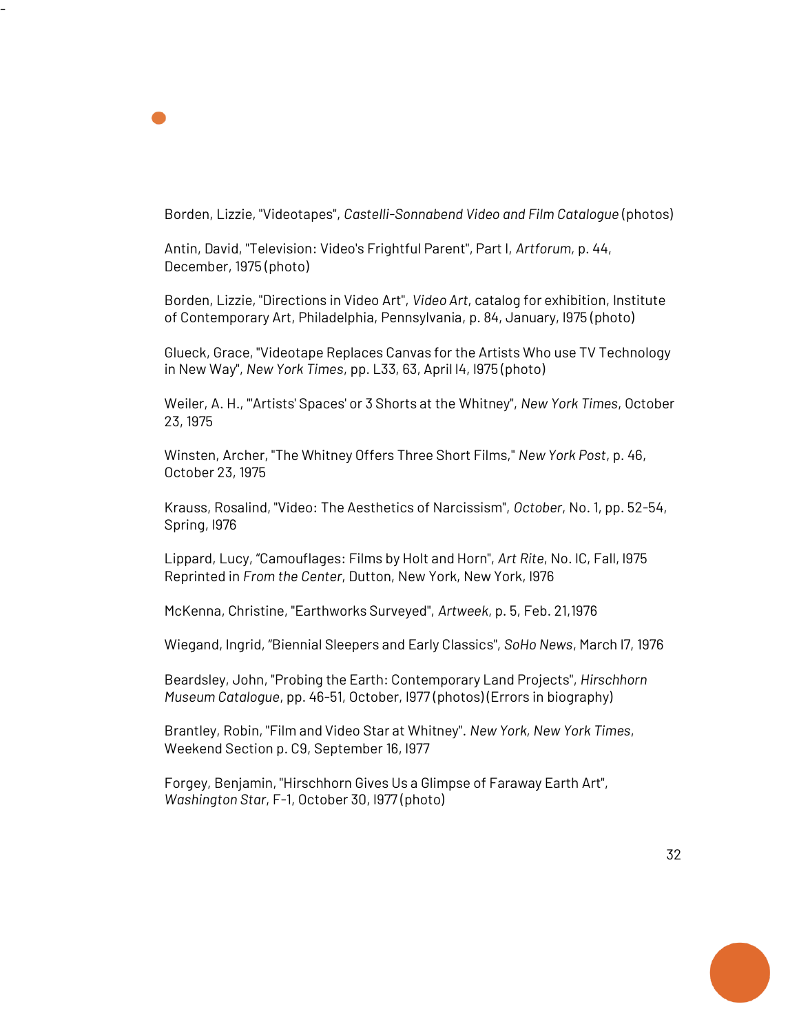Borden, Lizzie, "Videotapes", *Castelli-Sonnabend Video and Film Catalogue* (photos)

Antin, David, "Television: Video's Frightful Parent", Part I, *Artforum,* p. 44, December, 1975 (photo)

-

Borden, Lizzie, "Directions in Video Art", *Video Art*, catalog for exhibition, Institute of Contemporary Art, Philadelphia, Pennsylvania, p. 84, January, l975 (photo)

Glueck, Grace, "Videotape Replaces Canvas for the Artists Who use TV Technology in New Way", *New York Times*, pp. L33, 63, April l4, l975 (photo)

Weiler, A. H., "'Artists' Spaces' or 3 Shorts at the Whitney", *New York Times*, October 23, 1975

Winsten, Archer, "The Whitney Offers Three Short Films," *New York Post*, p. 46, October 23, 1975

Krauss, Rosalind, "Video: The Aesthetics of Narcissism", *October*, No. 1, pp. 52-54, Spring, l976

Lippard, Lucy, "Camouflages: Films by Holt and Horn", *Art Rite*, No. lC, Fall, l975 Reprinted in *From the Center*, Dutton, New York, New York, l976

McKenna, Christine, "Earthworks Surveyed", *Artweek*, p. 5, Feb. 21,1976

Wiegand, Ingrid, "Biennial Sleepers and Early Classics", *SoHo News*, March l7, 1976

Beardsley, John, "Probing the Earth: Contemporary Land Projects", *Hirschhorn Museum Catalogue*, pp. 46-51, October, l977 (photos) (Errors in biography)

Brantley, Robin, "Film and Video Star at Whitney". *New York, New York Times*, Weekend Section p. C9, September 16, l977

Forgey, Benjamin, "Hirschhorn Gives Us a Glimpse of Faraway Earth Art", *Washington Star*, F-1, October 30, l977 (photo)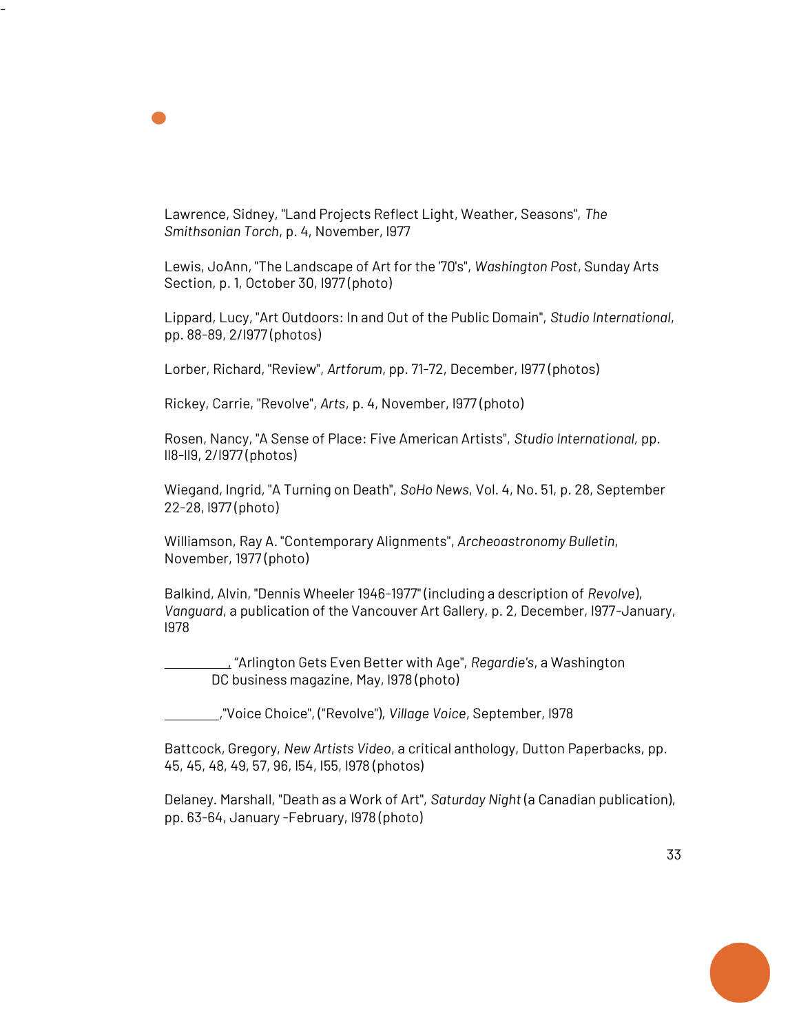

Lewis, JoAnn, "The Landscape of Art for the '70's", *Washington Post*, Sunday Arts Section, p. 1, October 30, l977 (photo)

Lippard, Lucy, "Art Outdoors: In and Out of the Public Domain", *Studio International*, pp. 88-89, 2/l977 (photos)

Lorber, Richard, "Review", *Artforum*, pp. 71-72, December, l977 (photos)

Rickey, Carrie, "Revolve", *Arts*, p. 4, November, l977 (photo)

-

Rosen, Nancy, "A Sense of Place: Five American Artists", *Studio International,* pp. ll8-ll9, 2/l977 (photos)

Wiegand, Ingrid, "A Turning on Death", *SoHo News*, Vol. 4, No. 51, p. 28, September 22-28, l977 (photo)

Williamson, Ray A. "Contemporary Alignments", *Archeoastronomy Bulletin*, November, 1977 (photo)

Balkind, Alvin, "Dennis Wheeler 1946-1977" (including a description of *Revolve*), *Vanguard*, a publication of the Vancouver Art Gallery, p. 2, December, l977-January, l978

 , "Arlington Gets Even Better with Age", *Regardie's*, a Washington DC business magazine, May, l978 (photo)

,"Voice Choice", ("Revolve"), *Village Voice*, September, l978

Battcock, Gregory, *New Artists Video*, a critical anthology, Dutton Paperbacks, pp. 45, 45, 48, 49, 57, 96, l54, l55, l978 (photos)

Delaney. Marshall, "Death as a Work of Art", *Saturday Night* (a Canadian publication), pp. 63-64, January -February, l978 (photo)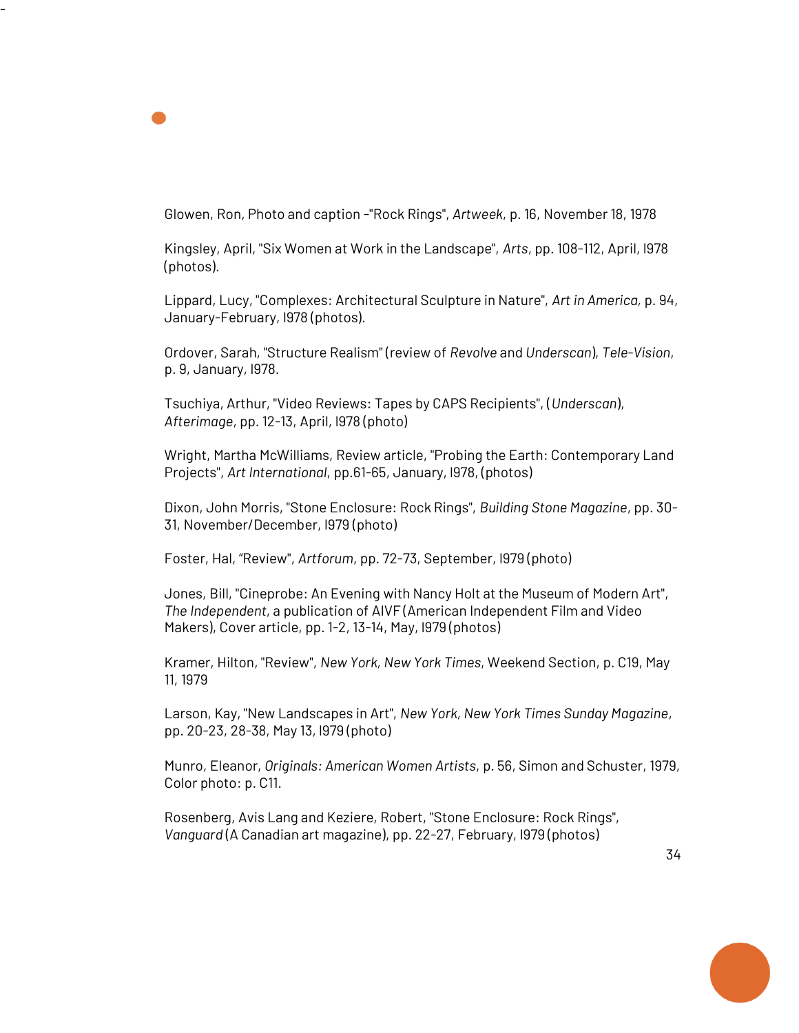Glowen, Ron, Photo and caption -"Rock Rings", *Artweek*, p. 16, November 18, 1978

-

Kingsley, April, "Six Women at Work in the Landscape", *Arts*, pp. 108-112, April, l978 (photos).

Lippard, Lucy, "Complexes: Architectural Sculpture in Nature", *Art in America,* p. 94, January-February, l978 (photos).

Ordover, Sarah, "Structure Realism" (review of *Revolve* and *Underscan*), *Tele-Vision*, p. 9, January, l978.

Tsuchiya, Arthur, "Video Reviews: Tapes by CAPS Recipients", (*Underscan*), *Afterimage*, pp. 12-13, April, l978 (photo)

Wright, Martha McWilliams, Review article, "Probing the Earth: Contemporary Land Projects", *Art International*, pp.61-65, January, l978, (photos)

Dixon, John Morris, "Stone Enclosure: Rock Rings", *Building Stone Magazine*, pp. 30- 31, November/December, l979 (photo)

Foster, Hal, "Review", *Artforum*, pp. 72-73, September, l979 (photo)

Jones, Bill, "Cineprobe: An Evening with Nancy Holt at the Museum of Modern Art", *The Independent*, a publication of AIVF (American Independent Film and Video Makers), Cover article, pp. 1-2, 13-14, May, l979 (photos)

Kramer, Hilton, "Review", *New York, New York Times*, Weekend Section, p. C19, May 11, 1979

Larson, Kay, "New Landscapes in Art", *New York, New York Times Sunday Magazine*, pp. 20-23, 28-38, May 13, l979 (photo)

Munro, Eleanor, *Originals: American Women Artists*, p. 56, Simon and Schuster, 1979, Color photo: p. C11.

Rosenberg, Avis Lang and Keziere, Robert, "Stone Enclosure: Rock Rings", *Vanguard* (A Canadian art magazine), pp. 22-27, February, l979 (photos)

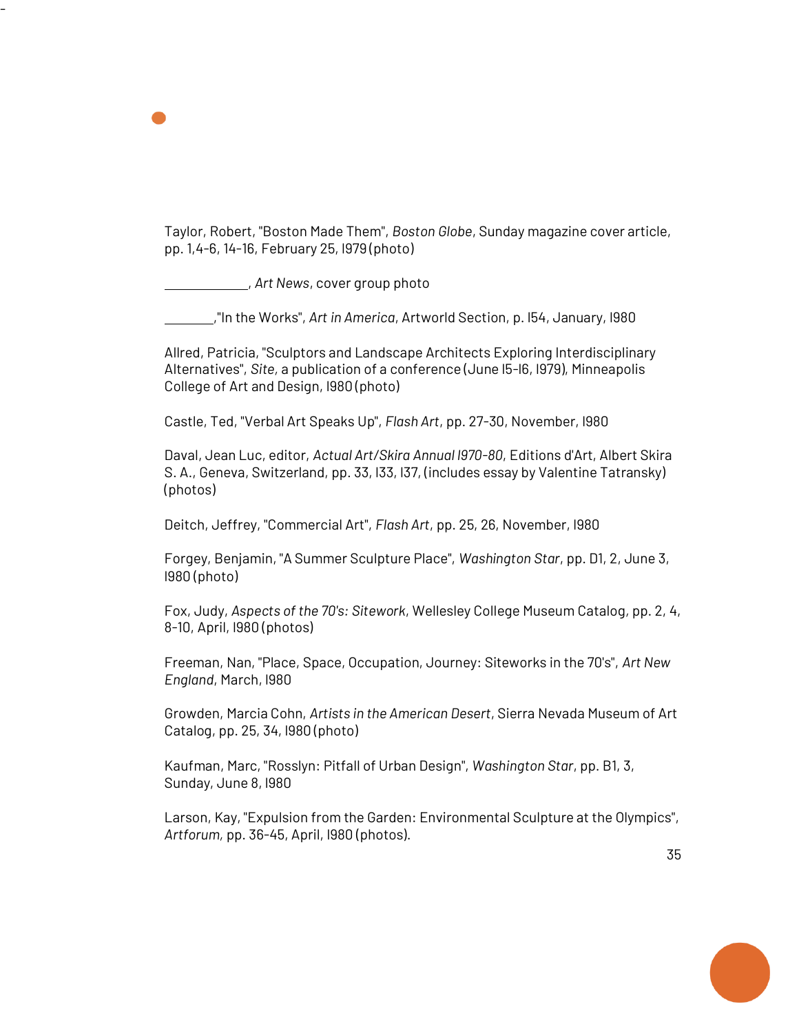Taylor, Robert, "Boston Made Them", *Boston Globe*, Sunday magazine cover article, pp. 1,4-6, 14-16, February 25, l979 (photo)

, *Art News*, cover group photo

-

,"In the Works", *Art in America*, Artworld Section, p. l54, January, l980

Allred, Patricia, "Sculptors and Landscape Architects Exploring Interdisciplinary Alternatives", *Site,* a publication of a conference (June l5-l6, l979), Minneapolis College of Art and Design, l980 (photo)

Castle, Ted, "Verbal Art Speaks Up", *Flash Art*, pp. 27-30, November, l980

Daval, Jean Luc, editor, *Actual Art/Skira Annual l970-80*, Editions d'Art, Albert Skira S. A., Geneva, Switzerland, pp. 33, l33, l37, (includes essay by Valentine Tatransky) (photos)

Deitch, Jeffrey, "Commercial Art", *Flash Art*, pp. 25, 26, November, l980

Forgey, Benjamin, "A Summer Sculpture Place", *Washington Star*, pp. D1, 2, June 3, l980 (photo)

Fox, Judy, *Aspects of the 70's: Sitework*, Wellesley College Museum Catalog*,* pp. 2, 4, 8-10, April, l980 (photos)

Freeman, Nan, "Place, Space, Occupation, Journey: Siteworks in the 70's", *Art New England*, March, l980

Growden, Marcia Cohn, *Artists in the American Desert*, Sierra Nevada Museum of Art Catalog, pp. 25, 34, l980 (photo)

Kaufman, Marc, "Rosslyn: Pitfall of Urban Design", *Washington Star*, pp. B1, 3, Sunday, June 8, l980

Larson, Kay, "Expulsion from the Garden: Environmental Sculpture at the Olympics", *Artforum,* pp. 36-45, April, l980 (photos).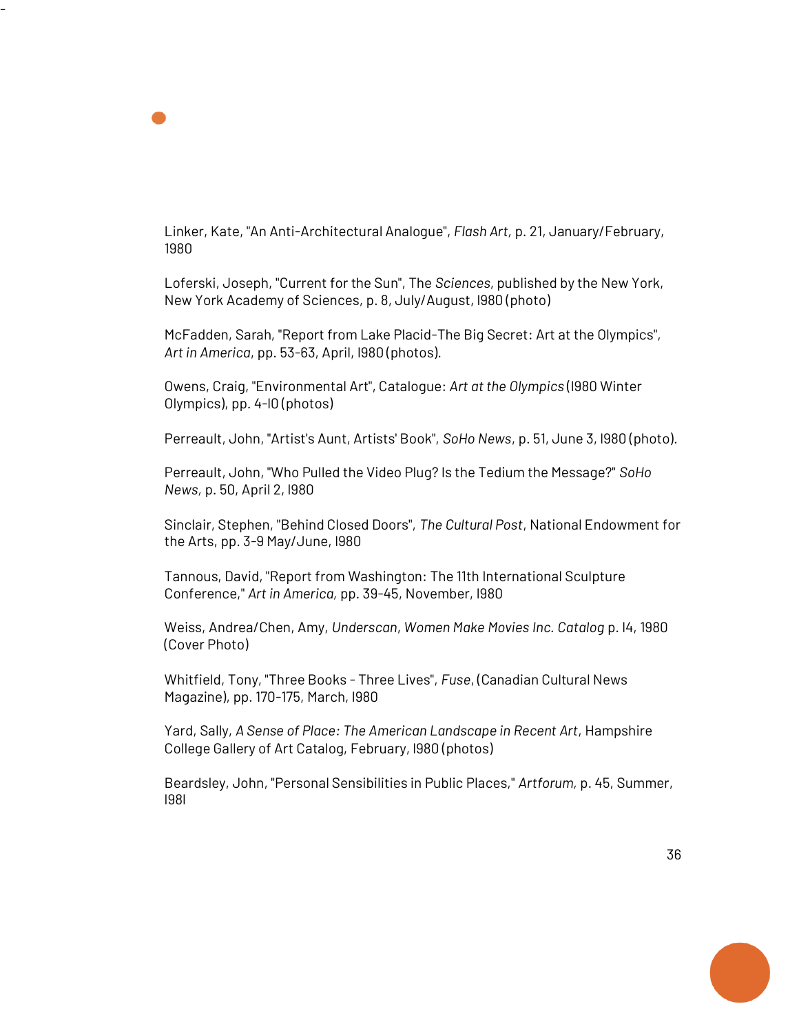

-

Loferski, Joseph, "Current for the Sun", The *Sciences*, published by the New York, New York Academy of Sciences, p. 8, July/August, l980 (photo)

McFadden, Sarah, "Report from Lake Placid-The Big Secret: Art at the Olympics", *Art in America*, pp. 53-63, April, l980 (photos).

Owens, Craig, "Environmental Art", Catalogue: *Art at the Olympics* (l980 Winter Olympics), pp. 4-l0 (photos)

Perreault, John, "Artist's Aunt, Artists' Book", *SoHo News*, p. 51, June 3, l980 (photo).

Perreault, John, "Who Pulled the Video Plug? Is the Tedium the Message?" *SoHo News,* p. 50, April 2, l980

Sinclair, Stephen, "Behind Closed Doors", *The Cultural Post*, National Endowment for the Arts, pp. 3-9 May/June, l980

Tannous, David, "Report from Washington: The 11th International Sculpture Conference," *Art in America,* pp. 39-45, November, l980

Weiss, Andrea/Chen, Amy, *Underscan*, *Women Make Movies Inc. Catalog* p. l4, 1980 (Cover Photo)

Whitfield, Tony, "Three Books - Three Lives", *Fuse*, (Canadian Cultural News Magazine), pp. 170-175, March, l980

Yard, Sally, *A Sense of Place: The American Landscape in Recent Art*, Hampshire College Gallery of Art Catalog, February, l980 (photos)

Beardsley, John, "Personal Sensibilities in Public Places," *Artforum,* p. 45, Summer, l98l

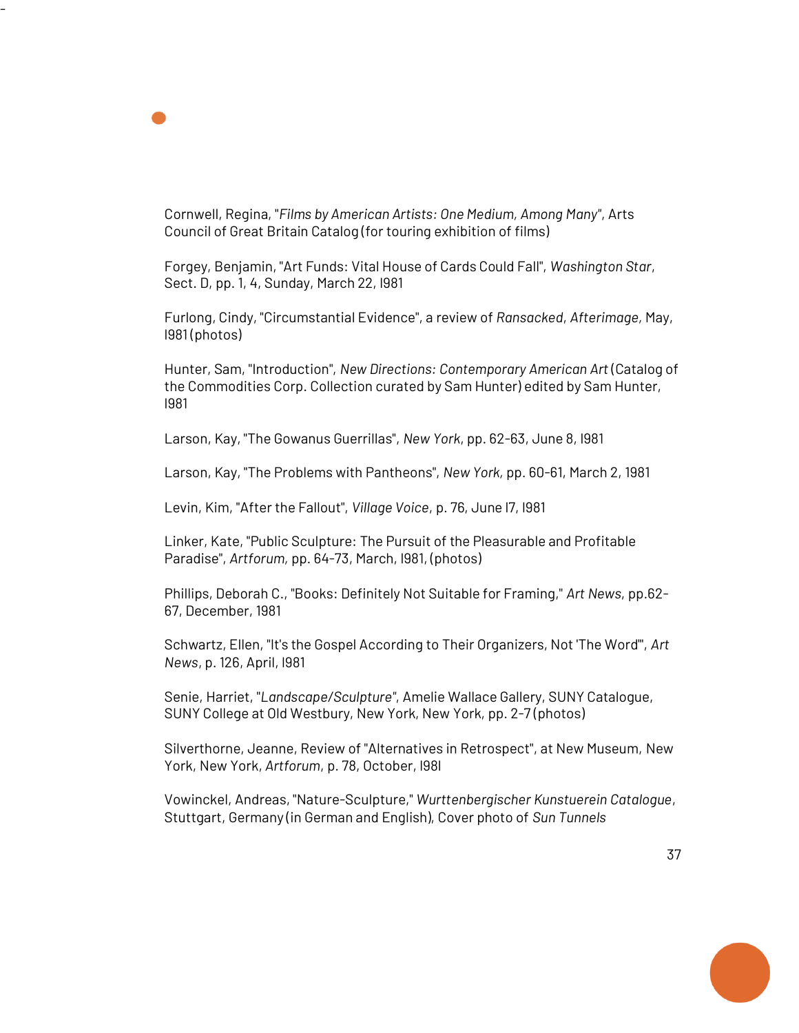

-

Forgey, Benjamin, "Art Funds: Vital House of Cards Could Fall", *Washington Star*, Sect. D, pp. 1, 4, Sunday, March 22, l981

Furlong, Cindy, "Circumstantial Evidence", a review of *Ransacked*, *Afterimage,* May, l981 (photos)

Hunter, Sam, "Introduction", *New Directions: Contemporary American Art* (Catalog of the Commodities Corp. Collection curated by Sam Hunter) edited by Sam Hunter, l981

Larson, Kay, "The Gowanus Guerrillas", *New York*, pp. 62-63, June 8, l981

Larson, Kay, "The Problems with Pantheons", *New York,* pp. 60-61, March 2, 1981

Levin, Kim, "After the Fallout", *Village Voice*, p. 76, June l7, l981

Linker, Kate, "Public Sculpture: The Pursuit of the Pleasurable and Profitable Paradise", *Artforum,* pp. 64-73, March, l981, (photos)

Phillips, Deborah C., "Books: Definitely Not Suitable for Framing," *Art News*, pp.62- 67, December, 1981

Schwartz, Ellen, "It's the Gospel According to Their Organizers, Not 'The Word'", *Art News*, p. 126, April, l981

Senie, Harriet, "*Landscape/Sculpture"*, Amelie Wallace Gallery, SUNY Catalogue, SUNY College at Old Westbury, New York, New York, pp. 2-7 (photos)

Silverthorne, Jeanne, Review of "Alternatives in Retrospect", at New Museum, New York, New York, *Artforum*, p. 78, October, l98l

Vowinckel, Andreas, "Nature-Sculpture," *Wurttenbergischer Kunstuerein Catalogue*, Stuttgart, Germany (in German and English), Cover photo of *Sun Tunnels*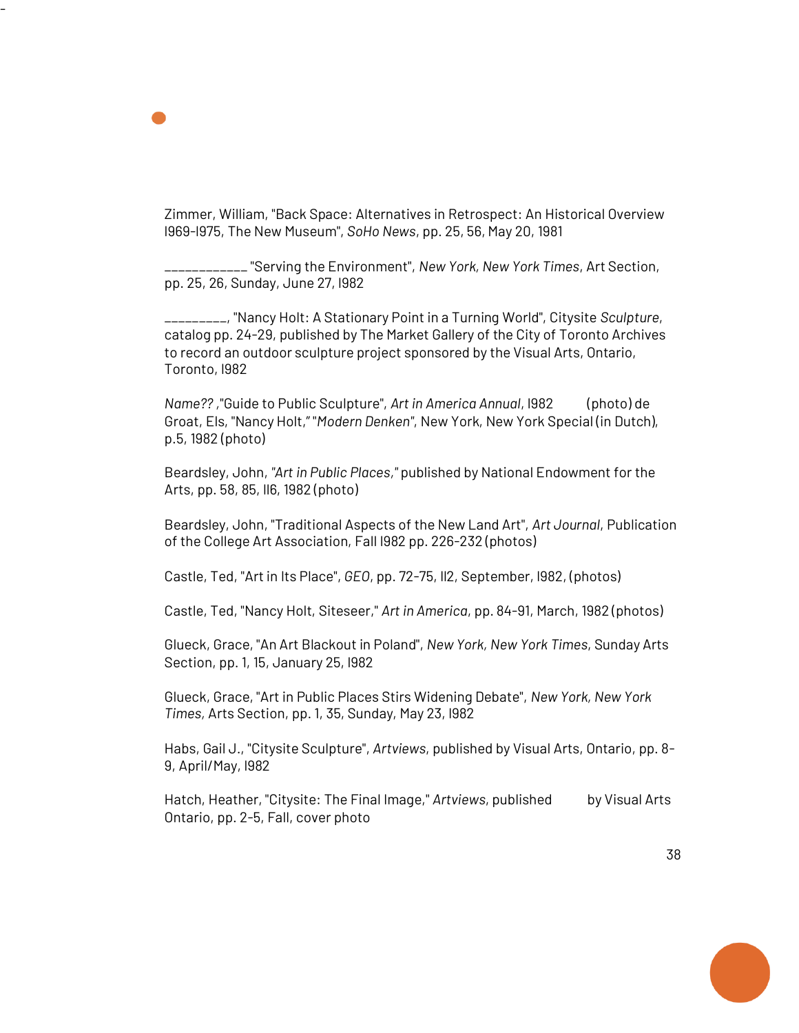Zimmer, William, "Back Space: Alternatives in Retrospect: An Historical Overview l969-l975, The New Museum", *SoHo News*, pp. 25, 56, May 20, 1981

-

\_\_\_\_\_\_\_\_\_\_\_\_ "Serving the Environment", *New York, New York Times*, Art Section, pp. 25, 26, Sunday, June 27, l982

\_\_\_\_\_\_\_\_\_, "Nancy Holt: A Stationary Point in a Turning World", Citysite *Sculpture*, catalog pp. 24-29, published by The Market Gallery of the City of Toronto Archives to record an outdoor sculpture project sponsored by the Visual Arts, Ontario, Toronto, l982

*Name?? ,*"Guide to Public Sculpture", *Art in America Annual*, l982 (photo) de Groat, Els, "Nancy Holt," "*Modern Denken"*, New York, New York Special (in Dutch), p.5, 1982 (photo)

Beardsley, John, *"Art in Public Places,"* published by National Endowment for the Arts, pp. 58, 85, ll6, 1982 (photo)

Beardsley, John, "Traditional Aspects of the New Land Art", *Art Journal*, Publication of the College Art Association, Fall l982 pp. 226-232 (photos)

Castle, Ted, "Art in Its Place", *GEO*, pp. 72-75, ll2, September, l982, (photos)

Castle, Ted, "Nancy Holt, Siteseer," *Art in America*, pp. 84-91, March, 1982 (photos)

Glueck, Grace, "An Art Blackout in Poland", *New York, New York Times*, Sunday Arts Section, pp. 1, 15, January 25, l982

Glueck, Grace, "Art in Public Places Stirs Widening Debate", *New York, New York Times,* Arts Section, pp. 1, 35, Sunday, May 23, l982

Habs, Gail J., "Citysite Sculpture", *Artviews*, published by Visual Arts, Ontario, pp. 8- 9, April/May, l982

Hatch, Heather, "Citysite: The Final Image," *Artviews*, published by Visual Arts Ontario, pp. 2-5, Fall, cover photo

38

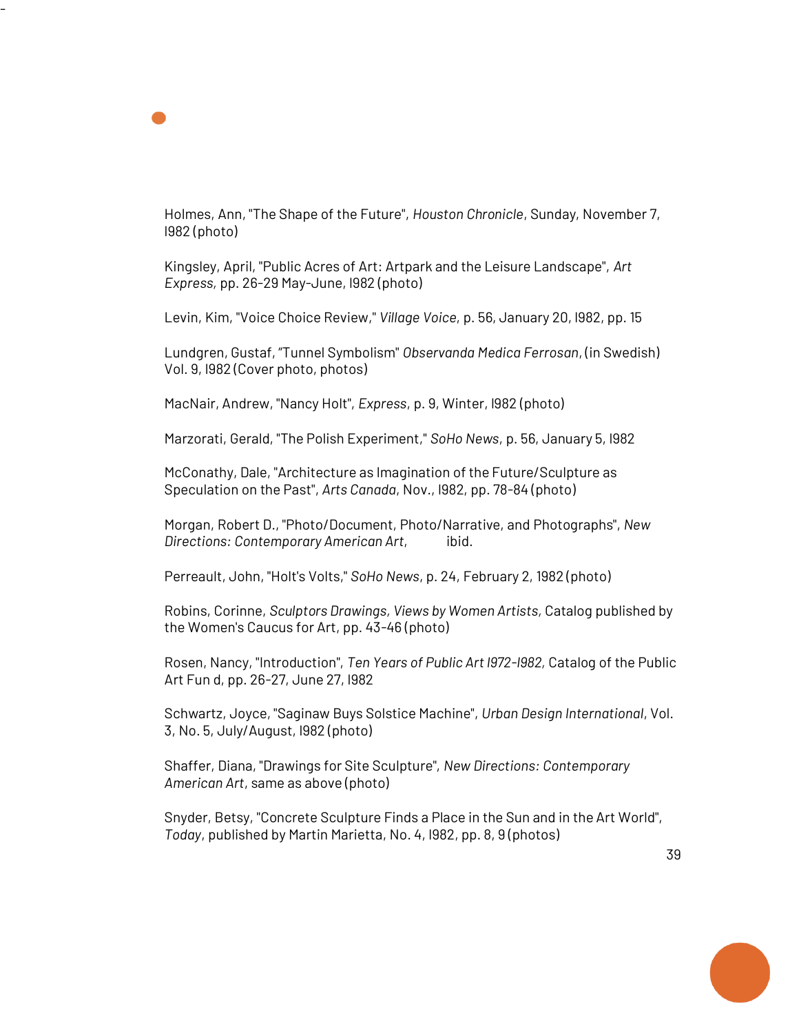Holmes, Ann, "The Shape of the Future", *Houston Chronicle*, Sunday, November 7, l982 (photo)

Kingsley, April, "Public Acres of Art: Artpark and the Leisure Landscape", *Art Express,* pp. 26-29 May-June, l982 (photo)

Levin, Kim, "Voice Choice Review," *Village Voice*, p. 56, January 20, l982, pp. 15

Lundgren, Gustaf, "Tunnel Symbolism" *Observanda Medica Ferrosan*, (in Swedish) Vol. 9, l982 (Cover photo, photos)

MacNair, Andrew, "Nancy Holt", *Express*, p. 9, Winter, l982 (photo)

-

Marzorati, Gerald, "The Polish Experiment," *SoHo News*, p. 56, January 5, l982

McConathy, Dale, "Architecture as Imagination of the Future/Sculpture as Speculation on the Past", *Arts Canada*, Nov., l982, pp. 78-84 (photo)

Morgan, Robert D., "Photo/Document, Photo/Narrative, and Photographs", *New Directions: Contemporary American Art*, ibid.

Perreault, John, "Holt's Volts," *SoHo News*, p. 24, February 2, 1982 (photo)

Robins, Corinne, *Sculptors Drawings, Views by Women Artists,* Catalog published by the Women's Caucus for Art, pp. 43-46 (photo)

Rosen, Nancy, "Introduction", *Ten Years of Public Art l972-l982,* Catalog of the Public Art Fun d, pp. 26-27, June 27, l982

Schwartz, Joyce, "Saginaw Buys Solstice Machine", *Urban Design International*, Vol. 3, No. 5, July/August, l982 (photo)

Shaffer, Diana, "Drawings for Site Sculpture", *New Directions: Contemporary American Art*, same as above (photo)

Snyder, Betsy, "Concrete Sculpture Finds a Place in the Sun and in the Art World", *Today*, published by Martin Marietta, No. 4, l982, pp. 8, 9 (photos)

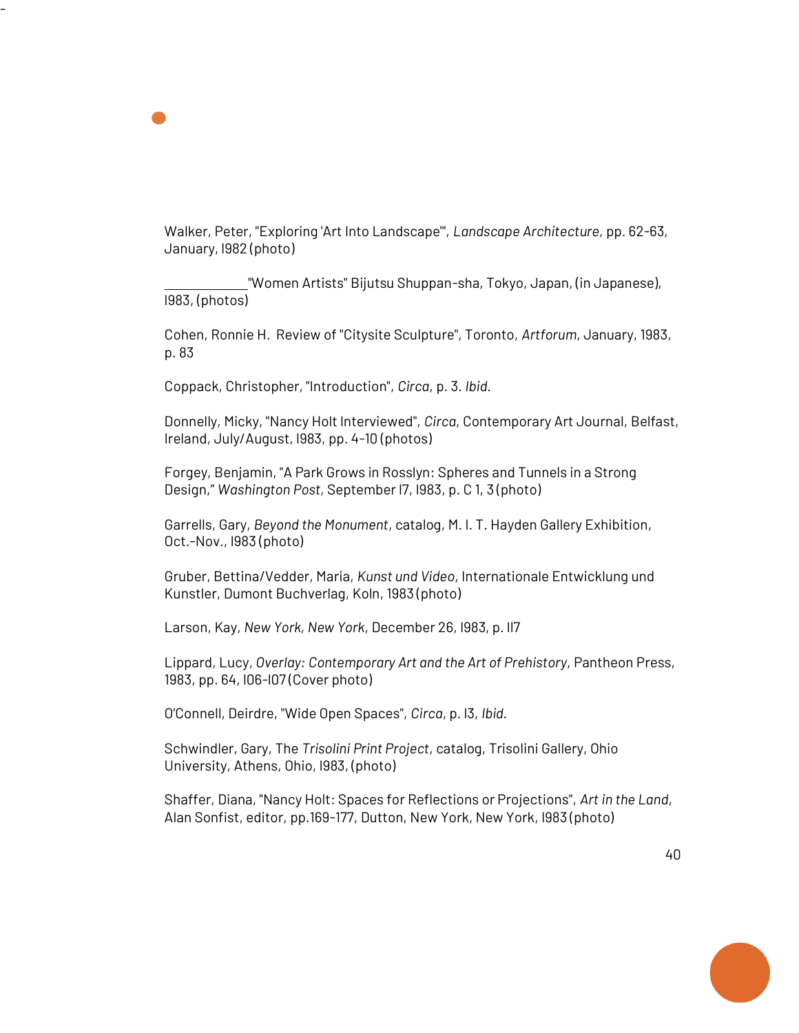Walker, Peter, "Exploring 'Art Into Landscape'", *Landscape Architecture*, pp. 62-63, January, l982 (photo)

 "Women Artists" Bijutsu Shuppan-sha, Tokyo, Japan, (in Japanese), l983, (photos)

Cohen, Ronnie H. Review of "Citysite Sculpture", Toronto, *Artforum*, January, 1983, p. 83

Coppack, Christopher, "Introduction", *Circa*, p. 3. *Ibid.*

-

Donnelly, Micky, "Nancy Holt Interviewed", *Circa*, Contemporary Art Journal, Belfast, Ireland, July/August, l983, pp. 4-10 (photos)

Forgey, Benjamin, "A Park Grows in Rosslyn: Spheres and Tunnels in a Strong Design," *Washington Post,* September l7, l983, p. C 1, 3 (photo)

Garrells, Gary, *Beyond the Monument*, catalog, M. I. T. Hayden Gallery Exhibition, Oct.-Nov., l983 (photo)

Gruber, Bettina/Vedder, Maria, *Kunst und Video*, Internationale Entwicklung und Kunstler, Dumont Buchverlag, Koln, 1983 (photo)

Larson, Kay, *New York, New York*, December 26, l983, p. ll7

Lippard, Lucy, *Overlay: Contemporary Art and the Art of Prehistory*, Pantheon Press, 1983, pp. 64, l06-l07 (Cover photo)

O'Connell, Deirdre, "Wide Open Spaces", *Circa*, p. l3, *Ibid.*

Schwindler, Gary, The *Trisolini Print Project*, catalog, Trisolini Gallery, Ohio University, Athens, Ohio, l983, (photo)

Shaffer, Diana, "Nancy Holt: Spaces for Reflections or Projections", *Art in the Land*, Alan Sonfist, editor, pp.169-177, Dutton, New York, New York, l983 (photo)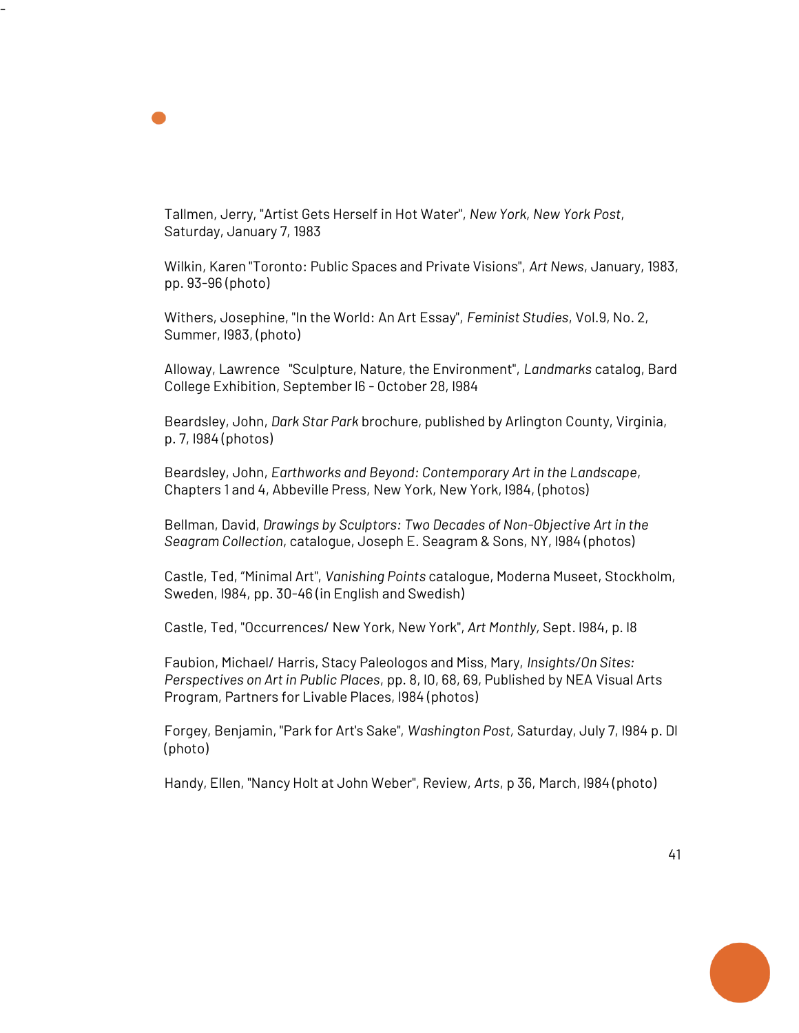Tallmen, Jerry, "Artist Gets Herself in Hot Water", *New York, New York Post*, Saturday, January 7, 1983

-

Wilkin, Karen "Toronto: Public Spaces and Private Visions", *Art News*, January, 1983, pp. 93-96 (photo)

Withers, Josephine, "In the World: An Art Essay", *Feminist Studies*, Vol.9, No. 2, Summer, l983, (photo)

Alloway, Lawrence "Sculpture, Nature, the Environment", *Landmarks* catalog, Bard College Exhibition, September l6 - October 28, l984

Beardsley, John, *Dark Star Park* brochure, published by Arlington County, Virginia, p. 7, l984 (photos)

Beardsley, John, *Earthworks and Beyond: Contemporary Art in the Landscape*, Chapters 1 and 4, Abbeville Press, New York, New York, l984, (photos)

Bellman, David, *Drawings by Sculptors: Two Decades of Non-Objective Art in the Seagram Collection*, catalogue, Joseph E. Seagram & Sons, NY, l984 (photos)

Castle, Ted, "Minimal Art", *Vanishing Points* catalogue, Moderna Museet, Stockholm, Sweden, l984, pp. 30-46 (in English and Swedish)

Castle, Ted, "Occurrences/ New York, New York", *Art Monthly,* Sept. l984, p. l8

Faubion, Michael/ Harris, Stacy Paleologos and Miss, Mary, *Insights/On Sites: Perspectives on Art in Public Places*, pp. 8, l0, 68, 69, Published by NEA Visual Arts Program, Partners for Livable Places, l984 (photos)

Forgey, Benjamin, "Park for Art's Sake", *Washington Post,* Saturday, July 7, l984 p. Dl (photo)

Handy, Ellen, "Nancy Holt at John Weber", Review, *Arts*, p 36, March, l984 (photo)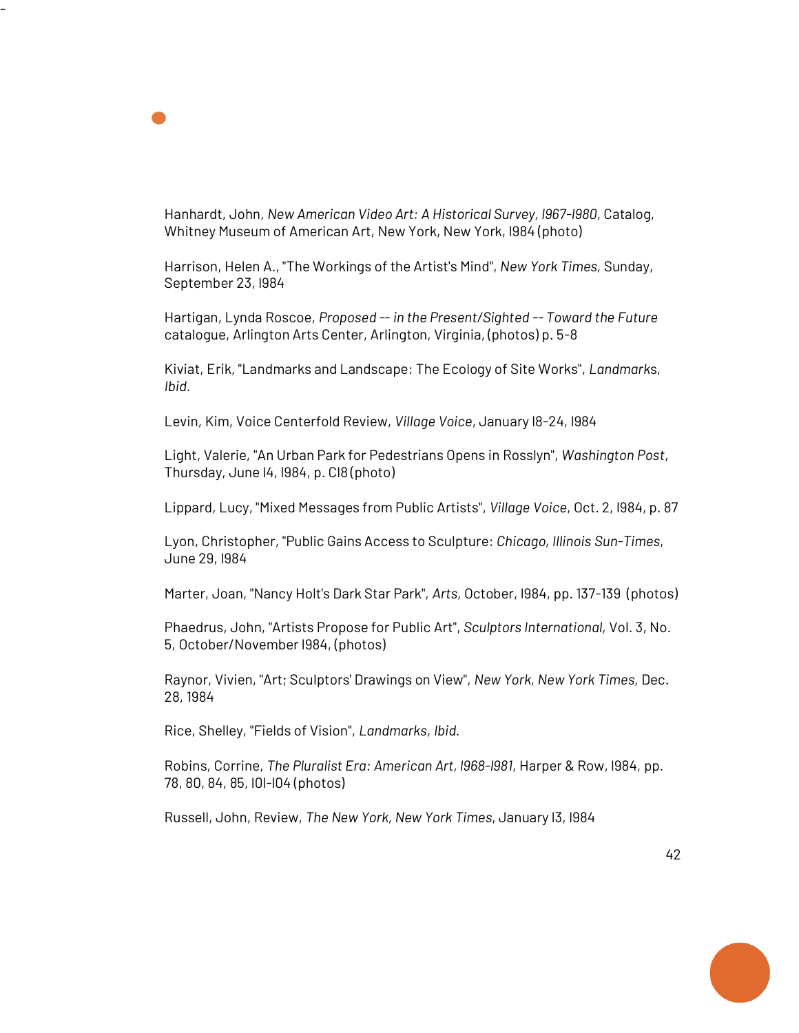Hanhardt, John, *New American Video Art: A Historical Survey, l967-l980*, Catalog, Whitney Museum of American Art, New York, New York, l984 (photo)

-

Harrison, Helen A., "The Workings of the Artist's Mind", *New York Times,* Sunday, September 23, l984

Hartigan, Lynda Roscoe, *Proposed -- in the Present/Sighted -- Toward the Future*  catalogue, Arlington Arts Center, Arlington, Virginia, (photos) p. 5-8

Kiviat, Erik, "Landmarks and Landscape: The Ecology of Site Works", *Landmark*s, *Ibid*.

Levin, Kim, Voice Centerfold Review, *Village Voice*, January l8-24, l984

Light, Valerie, "An Urban Park for Pedestrians Opens in Rosslyn", *Washington Post*, Thursday, June l4, l984, p. Cl8 (photo)

Lippard, Lucy, "Mixed Messages from Public Artists", *Village Voice*, Oct. 2, l984, p. 87

Lyon, Christopher, "Public Gains Access to Sculpture: *Chicago, Illinois Sun-Times*, June 29, l984

Marter, Joan, "Nancy Holt's Dark Star Park", *Arts,* October, l984, pp. 137-139 (photos)

Phaedrus, John, "Artists Propose for Public Art", *Sculptors International,* Vol. 3, No. 5, October/November l984, (photos)

Raynor, Vivien, "Art; Sculptors' Drawings on View", *New York, New York Times,* Dec. 28, 1984

Rice, Shelley, "Fields of Vision", *Landmarks*, *Ibid.*

Robins, Corrine, *The Pluralist Era: American Art, l968-l981*, Harper & Row, l984, pp. 78, 80, 84, 85, l0l-l04 (photos)

Russell, John, Review, *The New York, New York Times*, January l3, l984

42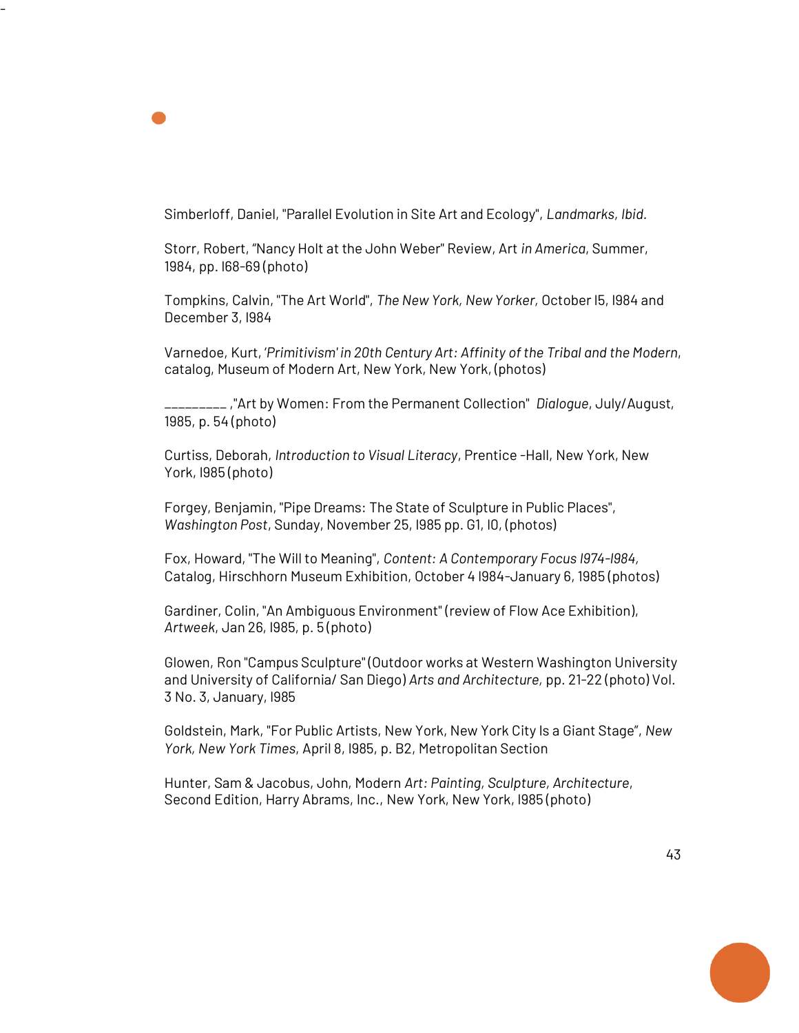Simberloff, Daniel, "Parallel Evolution in Site Art and Ecology", *Landmarks, Ibid.*

-

Storr, Robert, "Nancy Holt at the John Weber" Review, Art *in America*, Summer, 1984, pp. l68-69 (photo)

Tompkins, Calvin, "The Art World", *The New York, New Yorker,* October l5, l984 and December 3, l984

Varnedoe, Kurt, '*Primitivism' in 20th Century Art: Affinity of the Tribal and the Modern*, catalog, Museum of Modern Art, New York, New York, (photos)

\_\_\_\_\_\_\_\_\_ ,"Art by Women: From the Permanent Collection" *Dialogue*, July/August, 1985, p. 54 (photo)

Curtiss, Deborah, *Introduction to Visual Literacy*, Prentice -Hall, New York, New York, l985 (photo)

Forgey, Benjamin, "Pipe Dreams: The State of Sculpture in Public Places", *Washington Post*, Sunday, November 25, l985 pp. G1, l0, (photos)

Fox, Howard, "The Will to Meaning", *Content: A Contemporary Focus l974-l984,* Catalog, Hirschhorn Museum Exhibition, October 4 l984-January 6, 1985 (photos)

Gardiner, Colin, "An Ambiguous Environment" (review of Flow Ace Exhibition), *Artweek*, Jan 26, l985, p. 5 (photo)

Glowen, Ron "Campus Sculpture" (Outdoor works at Western Washington University and University of California/ San Diego) *Arts and Architecture,* pp. 21-22 (photo) Vol. 3 No. 3, January, l985

Goldstein, Mark, "For Public Artists, New York, New York City Is a Giant Stage", *New York, New York Times*, April 8, l985, p. B2, Metropolitan Section

Hunter, Sam & Jacobus, John, Modern *Art: Painting, Sculpture, Architecture*, Second Edition, Harry Abrams, Inc., New York, New York, l985 (photo)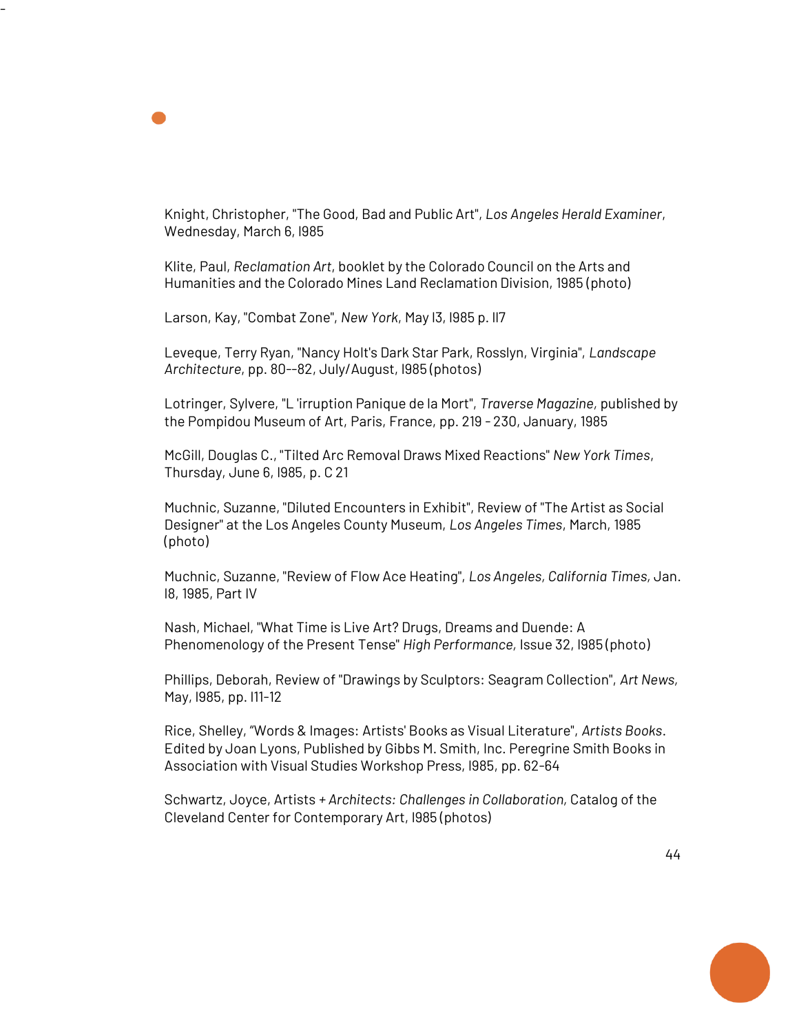Knight, Christopher, "The Good, Bad and Public Art", *Los Angeles Herald Examiner*, Wednesday, March 6, l985

Klite, Paul, *Reclamation Art*, booklet by the Colorado Council on the Arts and Humanities and the Colorado Mines Land Reclamation Division, 1985 (photo)

Larson, Kay, "Combat Zone", *New York*, May l3, l985 p. ll7

-

Leveque, Terry Ryan, "Nancy Holt's Dark Star Park, Rosslyn, Virginia", *Landscape Architecture*, pp. 80--82, July/August, l985 (photos)

Lotringer, Sylvere, "L 'irruption Panique de la Mort", *Traverse Magazine,* published by the Pompidou Museum of Art, Paris, France, pp. 219 - 230, January, 1985

McGill, Douglas C., "Tilted Arc Removal Draws Mixed Reactions" *New York Times*, Thursday, June 6, l985, p. C 21

Muchnic, Suzanne, "Diluted Encounters in Exhibit", Review of "The Artist as Social Designer" at the Los Angeles County Museum, *Los Angeles Times*, March, 1985 (photo)

Muchnic, Suzanne, "Review of Flow Ace Heating", *Los Angeles, California Times,* Jan. l8, 1985, Part IV

Nash, Michael, "What Time is Live Art? Drugs, Dreams and Duende: A Phenomenology of the Present Tense" *High Performance,* Issue 32, l985 (photo)

Phillips, Deborah, Review of "Drawings by Sculptors: Seagram Collection", *Art News,*  May, l985, pp. l11-12

Rice, Shelley, "Words & Images: Artists' Books as Visual Literature", *Artists Books*. Edited by Joan Lyons, Published by Gibbs M. Smith, Inc. Peregrine Smith Books in Association with Visual Studies Workshop Press, l985, pp. 62-64

Schwartz, Joyce, Artists *+ Architects: Challenges in Collaboration,* Catalog of the Cleveland Center for Contemporary Art, l985 (photos)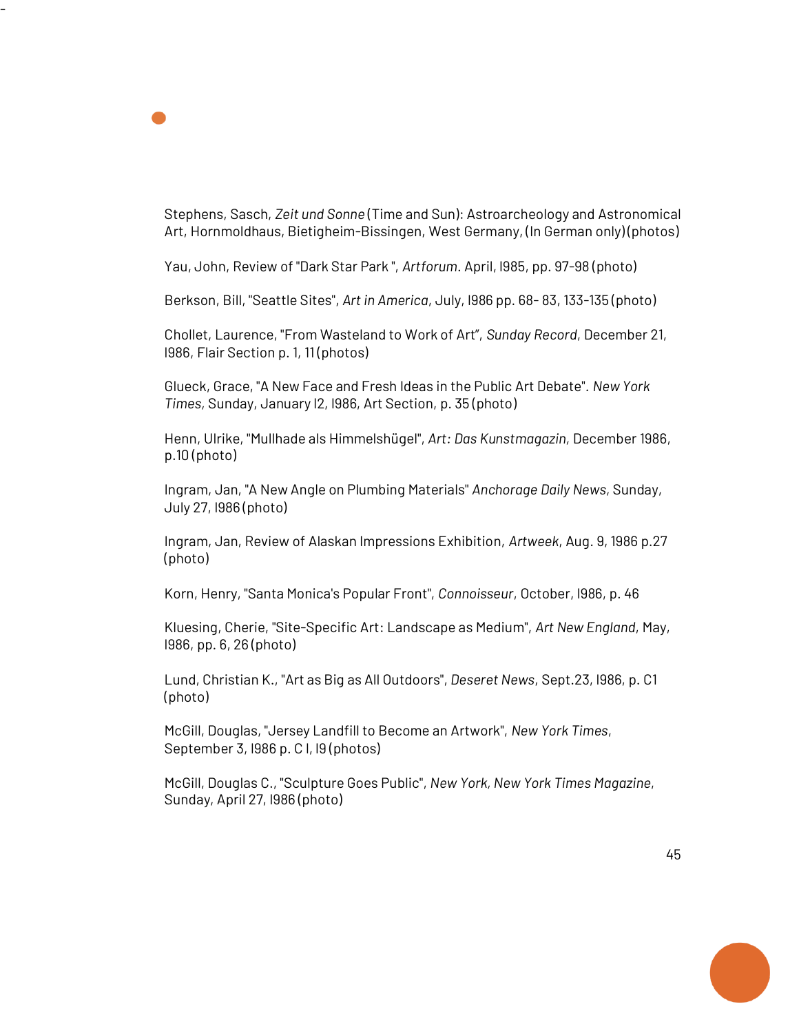Stephens, Sasch, *Zeit und Sonne* (Time and Sun): Astroarcheology and Astronomical Art, Hornmoldhaus, Bietigheim-Bissingen, West Germany, (In German only) (photos)

Yau, John, Review of "Dark Star Park ", *Artforum*. April, l985, pp. 97-98 (photo)

-

Berkson, Bill, "Seattle Sites", *Art in America*, July, l986 pp. 68- 83, 133-135 (photo)

Chollet, Laurence, "From Wasteland to Work of Art", *Sunday Record*, December 21, l986, Flair Section p. 1, 11 (photos)

Glueck, Grace, "A New Face and Fresh Ideas in the Public Art Debate". *New York Times,* Sunday, January l2, l986, Art Section, p. 35 (photo)

Henn, Ulrike, "Mullhade als Himmelshügel", *Art: Das Kunstmagazin,* December 1986, p.10 (photo)

Ingram, Jan, "A New Angle on Plumbing Materials" *Anchorage Daily News,* Sunday, July 27, l986 (photo)

Ingram, Jan, Review of Alaskan Impressions Exhibition, *Artweek*, Aug. 9, 1986 p.27 (photo)

Korn, Henry, "Santa Monica's Popular Front", *Connoisseur*, October, l986, p. 46

Kluesing, Cherie, "Site-Specific Art: Landscape as Medium", *Art New England*, May, l986, pp. 6, 26 (photo)

Lund, Christian K., "Art as Big as All Outdoors", *Deseret News*, Sept.23, l986, p. C1 (photo)

McGill, Douglas, "Jersey Landfill to Become an Artwork", *New York Times*, September 3, l986 p. C l, l9 (photos)

McGill, Douglas C., "Sculpture Goes Public", *New York, New York Times Magazine*, Sunday, April 27, l986 (photo)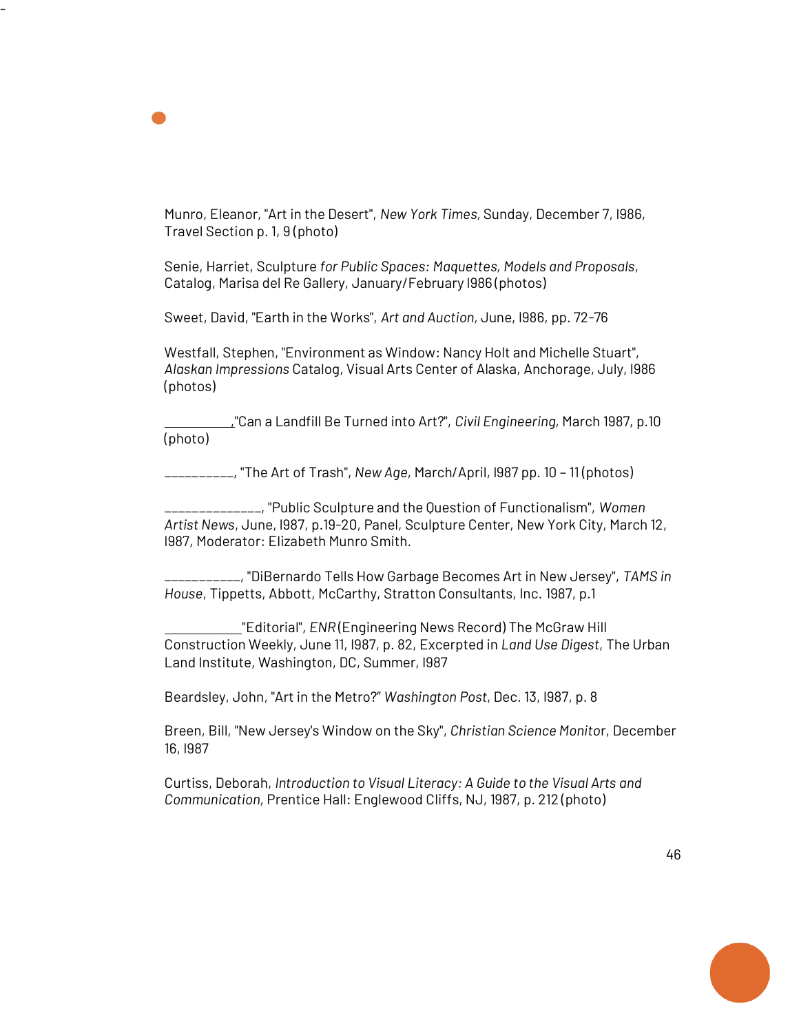Munro, Eleanor, "Art in the Desert", *New York Times,* Sunday, December 7, l986, Travel Section p. 1, 9 (photo)

Senie, Harriet, Sculpture *for Public Spaces: Maquettes, Models and Proposals*, Catalog, Marisa del Re Gallery, January/February l986 (photos)

Sweet, David, "Earth in the Works", *Art and Auction,* June, l986, pp. 72-76

-

Westfall, Stephen, "Environment as Window: Nancy Holt and Michelle Stuart", *Alaskan Impressions* Catalog, Visual Arts Center of Alaska, Anchorage, July, l986 (photos)

 ,"Can a Landfill Be Turned into Art?", *Civil Engineering,* March 1987, p.10 (photo)

\_\_\_\_\_\_\_\_\_\_, "The Art of Trash", *New Age*, March/April, l987 pp. 10 – 11 (photos)

\_\_\_\_\_\_\_\_\_\_\_\_\_\_, "Public Sculpture and the Question of Functionalism", *Women Artist News*, June, l987, p.19-20, Panel, Sculpture Center, New York City, March 12, l987, Moderator: Elizabeth Munro Smith.

\_\_\_\_\_\_\_\_\_\_\_, "DiBernardo Tells How Garbage Becomes Art in New Jersey", *TAMS in House*, Tippetts, Abbott, McCarthy, Stratton Consultants, Inc. 1987, p.1

 "Editorial", *ENR* (Engineering News Record) The McGraw Hill Construction Weekly, June 11, l987, p. 82, Excerpted in *Land Use Digest*, The Urban Land Institute, Washington, DC, Summer, l987

Beardsley, John, "Art in the Metro?" *Washington Post*, Dec. 13, l987, p. 8

Breen, Bill, "New Jersey's Window on the Sky", *Christian Science Monito*r, December 16, l987

Curtiss, Deborah, *Introduction to Visual Literacy: A Guide to the Visual Arts and Communication,* Prentice Hall: Englewood Cliffs, NJ, 1987, p. 212 (photo)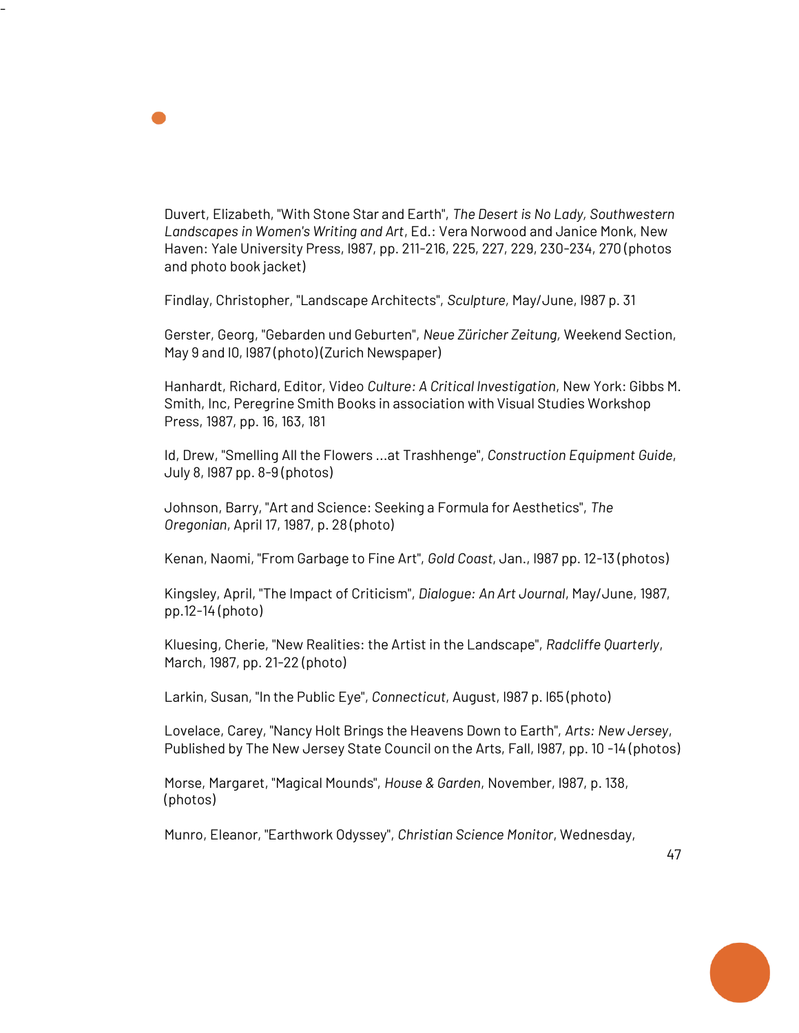Duvert, Elizabeth, "With Stone Star and Earth", *The Desert is No Lady, Southwestern Landscapes in Women's Writing and Art*, Ed.: Vera Norwood and Janice Monk, New Haven: Yale University Press, l987, pp. 211-216, 225, 227, 229, 230-234, 270 (photos and photo book jacket)

Findlay, Christopher, "Landscape Architects", *Sculpture,* May/June, l987 p. 31

-

Gerster, Georg, "Gebarden und Geburten", *Neue Züricher Zeitung,* Weekend Section, May 9 and IO, I987 (photo) (Zurich Newspaper)

Hanhardt, Richard, Editor, Video *Culture: A Critical Investigation*, New York: Gibbs M. Smith, Inc, Peregrine Smith Books in association with Visual Studies Workshop Press, 1987, pp. 16, 163, 181

Id, Drew, "Smelling All the Flowers ...at Trashhenge", *Construction Equipment Guide*, July 8, l987 pp. 8-9 (photos)

Johnson, Barry, "Art and Science: Seeking a Formula for Aesthetics", *The Oregonian*, April 17, 1987, p. 28 (photo)

Kenan, Naomi, "From Garbage to Fine Art", *Gold Coast*, Jan., l987 pp. 12-13 (photos)

Kingsley, April, "The Impact of Criticism", *Dialogue: An Art Journal*, May/June, 1987, pp.12-14 (photo)

Kluesing, Cherie, "New Realities: the Artist in the Landscape", *Radcliffe Quarterly*, March, 1987, pp. 21-22 (photo)

Larkin, Susan, "In the Public Eye", *Connecticut*, August, l987 p. l65 (photo)

Lovelace, Carey, "Nancy Holt Brings the Heavens Down to Earth", *Arts: New Jersey*, Published by The New Jersey State Council on the Arts, Fall, l987, pp. 10 -14 (photos)

Morse, Margaret, "Magical Mounds", *House & Garden*, November, l987, p. 138, (photos)

Munro, Eleanor, "Earthwork Odyssey", *Christian Science Monitor*, Wednesday,

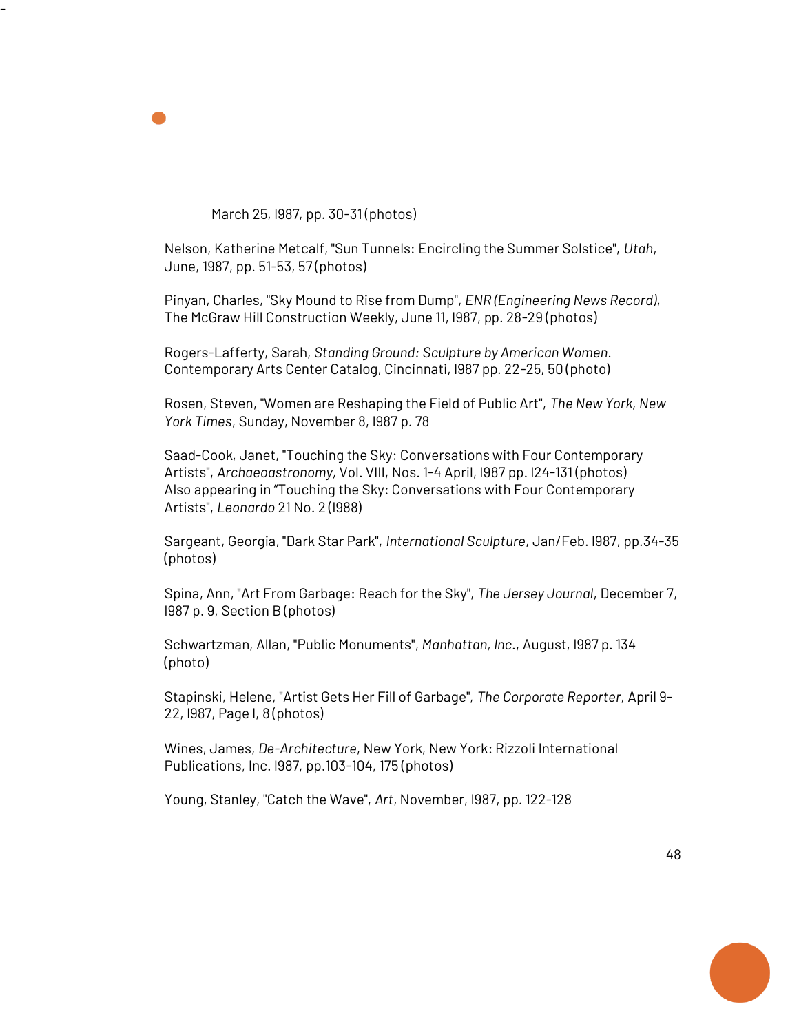

-

March 25, l987, pp. 30-31 (photos)

Nelson, Katherine Metcalf, "Sun Tunnels: Encircling the Summer Solstice", *Utah*, June, 1987, pp. 51-53, 57 (photos)

Pinyan, Charles, "Sky Mound to Rise from Dump", *ENR (Engineering News Record)*, The McGraw Hill Construction Weekly, June 11, l987, pp. 28-29 (photos)

Rogers-Lafferty, Sarah, *Standing Ground: Sculpture by American Women.* Contemporary Arts Center Catalog, Cincinnati, l987 pp. 22-25, 50 (photo)

Rosen, Steven, "Women are Reshaping the Field of Public Art", *The New York, New York Times*, Sunday, November 8, l987 p. 78

Saad-Cook, Janet, "Touching the Sky: Conversations with Four Contemporary Artists", *Archaeoastronomy,* Vol. VIII, Nos. 1-4 April, l987 pp. l24-131 (photos) Also appearing in "Touching the Sky: Conversations with Four Contemporary Artists", *Leonardo* 21 No. 2 (l988)

Sargeant, Georgia, "Dark Star Park", *International Sculpture*, Jan/Feb. l987, pp.34-35 (photos)

Spina, Ann, "Art From Garbage: Reach for the Sky", *The Jersey Journal*, December 7, l987 p. 9, Section B (photos)

Schwartzman, Allan, "Public Monuments", *Manhattan, Inc*., August, l987 p. 134 (photo)

Stapinski, Helene, "Artist Gets Her Fill of Garbage", *The Corporate Reporter*, April 9- 22, l987, Page l, 8 (photos)

Wines, James, *De-Architecture*, New York, New York: Rizzoli International Publications, Inc. l987, pp.103-104, 175 (photos)

Young, Stanley, "Catch the Wave", *Art*, November, l987, pp. 122-128

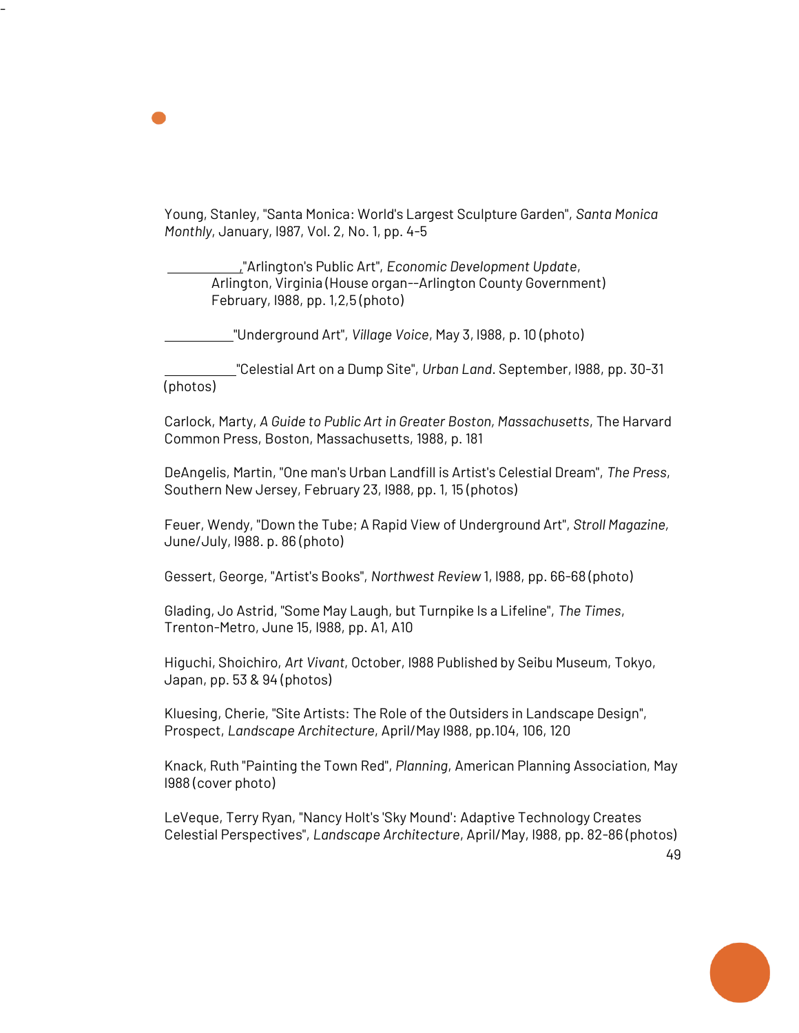Young, Stanley, "Santa Monica: World's Largest Sculpture Garden", *Santa Monica Monthly*, January, l987, Vol. 2, No. 1, pp. 4-5

 ,"Arlington's Public Art", *Economic Development Update*, Arlington, Virginia (House organ--Arlington County Government) February, l988, pp. 1,2,5 (photo)

"Underground Art", *Village Voice*, May 3, l988, p. 10 (photo)

-

 "Celestial Art on a Dump Site", *Urban Land*. September, l988, pp. 30-31 (photos)

Carlock, Marty, *A Guide to Public Art in Greater Boston, Massachusetts*, The Harvard Common Press, Boston, Massachusetts, 1988, p. 181

DeAngelis, Martin, "One man's Urban Landfill is Artist's Celestial Dream", *The Press*, Southern New Jersey, February 23, l988, pp. 1, 15 (photos)

Feuer, Wendy, "Down the Tube; A Rapid View of Underground Art", *Stroll Magazine,* June/July, l988. p. 86 (photo)

Gessert, George, "Artist's Books", *Northwest Review* 1, l988, pp. 66-68 (photo)

Glading, Jo Astrid, "Some May Laugh, but Turnpike Is a Lifeline", *The Times*, Trenton-Metro, June 15, l988, pp. A1, A10

Higuchi, Shoichiro, *Art Vivant*, October, l988 Published by Seibu Museum, Tokyo, Japan, pp. 53 & 94 (photos)

Kluesing, Cherie, "Site Artists: The Role of the Outsiders in Landscape Design", Prospect, *Landscape Architecture*, April/May l988, pp.104, 106, 120

Knack, Ruth "Painting the Town Red", *Planning*, American Planning Association, May l988 (cover photo)

LeVeque, Terry Ryan, "Nancy Holt's 'Sky Mound': Adaptive Technology Creates Celestial Perspectives", *Landscape Architecture*, April/May, l988, pp. 82-86 (photos)

49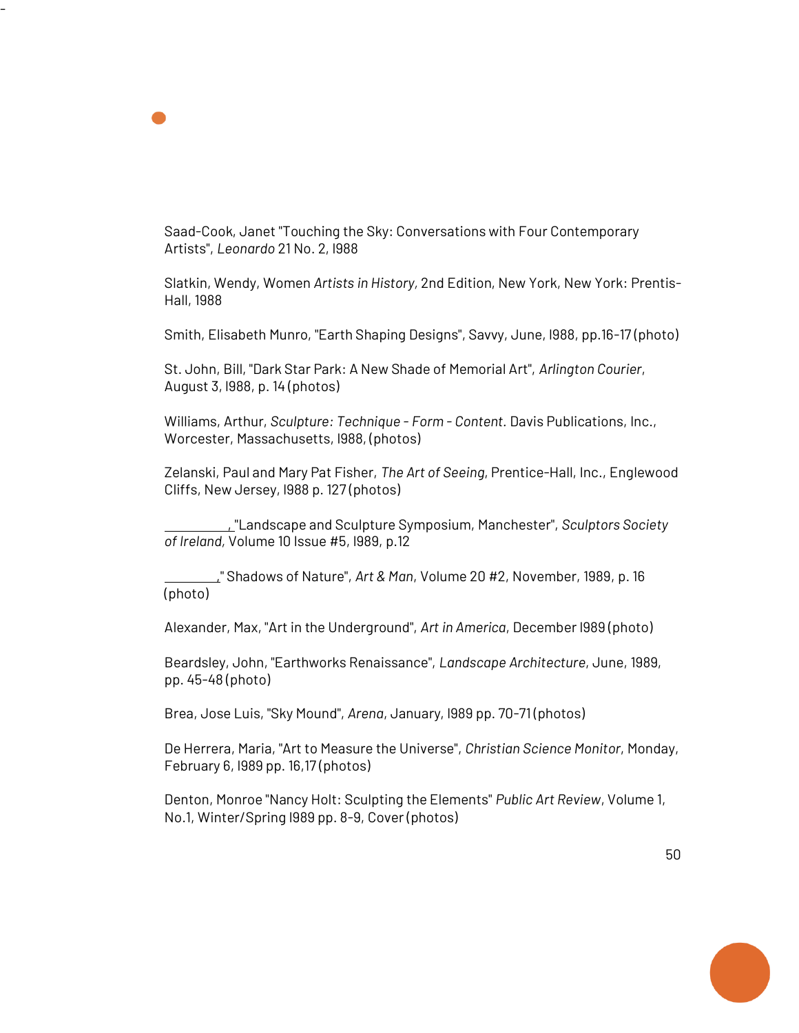Saad-Cook, Janet "Touching the Sky: Conversations with Four Contemporary Artists", *Leonardo* 21 No. 2, l988

-

Slatkin, Wendy, Women *Artists in History,* 2nd Edition, New York, New York: Prentis-Hall, 1988

Smith, Elisabeth Munro, "Earth Shaping Designs", Savvy, June, l988, pp.16-17 (photo)

St. John, Bill, "Dark Star Park: A New Shade of Memorial Art", *Arlington Courier*, August 3, l988, p. 14 (photos)

Williams, Arthur, *Sculpture: Technique - Form - Content.* Davis Publications, Inc., Worcester, Massachusetts, l988, (photos)

Zelanski, Paul and Mary Pat Fisher, *The Art of Seeing*, Prentice-Hall, Inc., Englewood Cliffs, New Jersey, l988 p. 127 (photos)

 , "Landscape and Sculpture Symposium, Manchester", *Sculptors Society of Ireland,* Volume 10 Issue #5, l989, p.12

 ," Shadows of Nature", *Art & Man*, Volume 20 #2, November, 1989, p. 16 (photo)

Alexander, Max, "Art in the Underground", *Art in America*, December l989 (photo)

Beardsley, John, "Earthworks Renaissance", *Landscape Architecture*, June, 1989, pp. 45-48 (photo)

Brea, Jose Luis, "Sky Mound", *Arena*, January, l989 pp. 70-71 (photos)

De Herrera, Maria, "Art to Measure the Universe", *Christian Science Monitor*, Monday, February 6, l989 pp. 16,17 (photos)

Denton, Monroe "Nancy Holt: Sculpting the Elements" *Public Art Review*, Volume 1, No.1, Winter/Spring l989 pp. 8-9, Cover (photos)

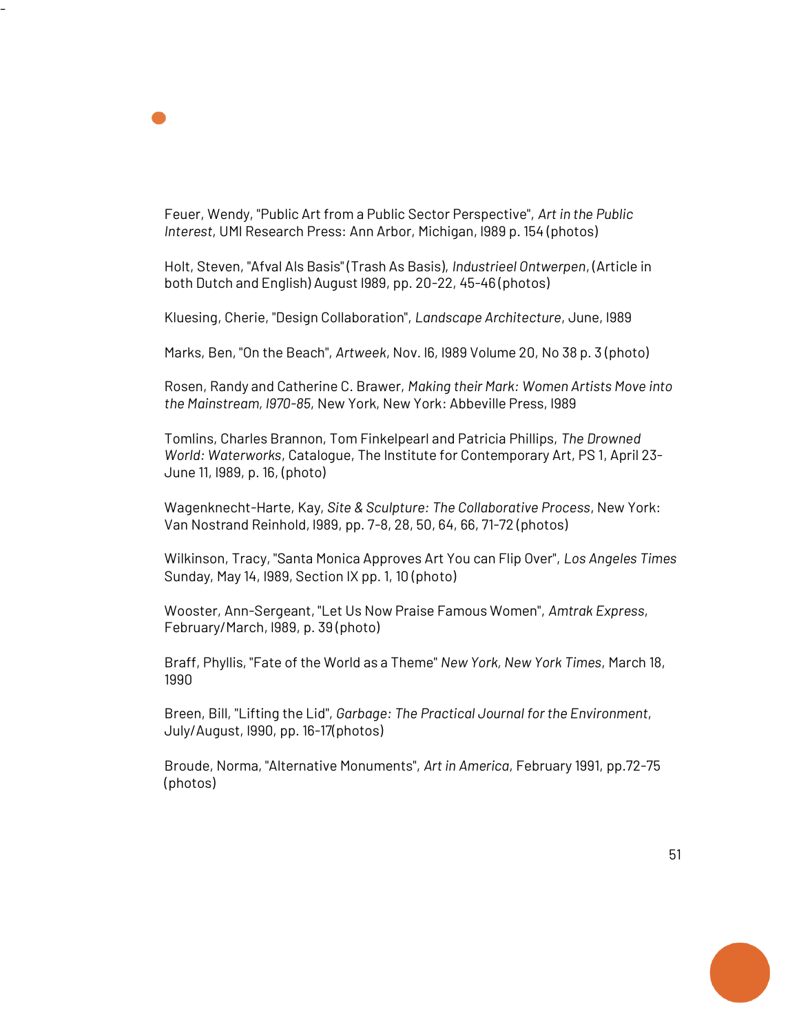Feuer, Wendy, "Public Art from a Public Sector Perspective", *Art in the Public Interest*, UMI Research Press: Ann Arbor, Michigan, l989 p. 154 (photos)

-

Holt, Steven, "Afval Als Basis" (Trash As Basis), *Industrieel Ontwerpen*, (Article in both Dutch and English) August l989, pp. 20-22, 45-46 (photos)

Kluesing, Cherie, "Design Collaboration", *Landscape Architecture*, June, l989

Marks, Ben, "On the Beach", *Artweek*, Nov. l6, l989 Volume 20, No 38 p. 3 (photo)

Rosen, Randy and Catherine C. Brawer, *Making their Mark: Women Artists Move into the Mainstream, l970-85*, New York, New York: Abbeville Press, l989

Tomlins, Charles Brannon, Tom Finkelpearl and Patricia Phillips, *The Drowned World: Waterworks*, Catalogue, The Institute for Contemporary Art, PS 1, April 23- June 11, l989, p. 16, (photo)

Wagenknecht-Harte, Kay, *Site & Sculpture: The Collaborative Process*, New York: Van Nostrand Reinhold, l989, pp. 7-8, 28, 50, 64, 66, 71-72 (photos)

Wilkinson, Tracy, "Santa Monica Approves Art You can Flip Over", *Los Angeles Times*  Sunday, May 14, l989, Section IX pp. 1, 10 (photo)

Wooster, Ann-Sergeant, "Let Us Now Praise Famous Women", *Amtrak Express*, February/March, l989, p. 39 (photo)

Braff, Phyllis, "Fate of the World as a Theme" *New York, New York Times*, March 18, 1990

Breen, Bill, "Lifting the Lid", *Garbage: The Practical Journal for the Environment*, July/August, l990, pp. 16-17(photos)

Broude, Norma, "Alternative Monuments", *Art in America*, February 1991, pp.72-75 (photos)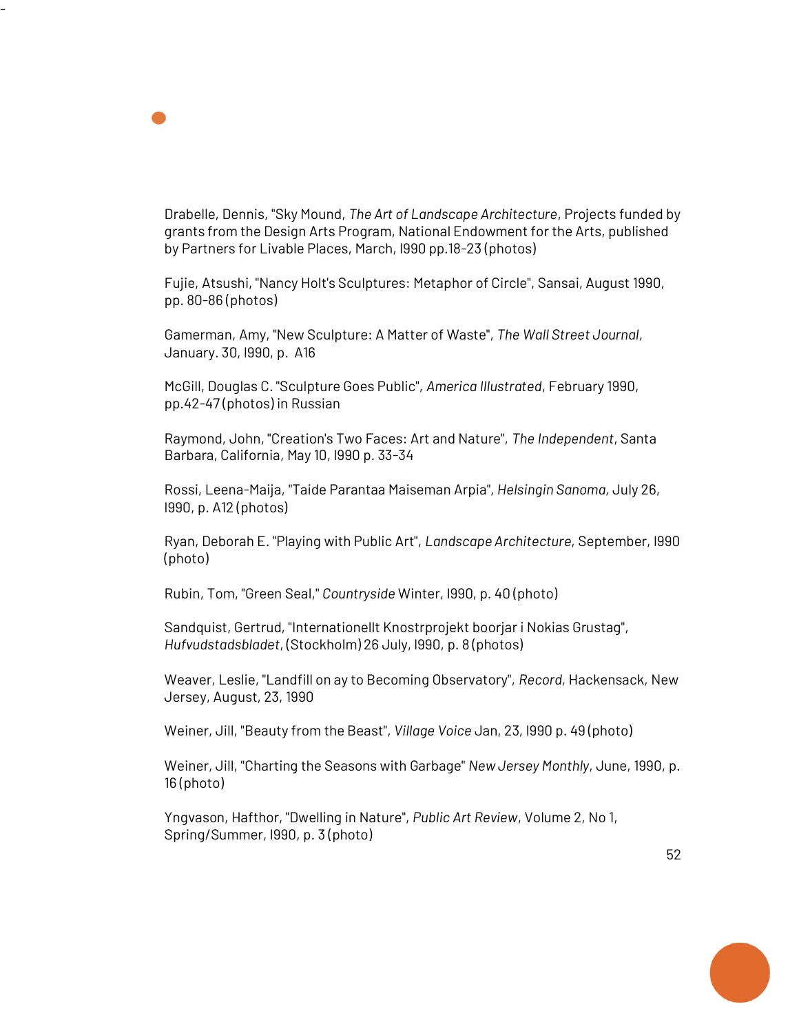Drabelle, Dennis, "Sky Mound, *The Art of Landscape Architecture*, Projects funded by grants from the Design Arts Program, National Endowment for the Arts, published by Partners for Livable Places, March, l990 pp.18-23 (photos)

-

Fujie, Atsushi, "Nancy Holt's Sculptures: Metaphor of Circle", Sansai, August 1990, pp. 80-86 (photos)

Gamerman, Amy, "New Sculpture: A Matter of Waste", *The Wall Street Journal*, January. 30, l990, p. A16

McGill, Douglas C. "Sculpture Goes Public", *America Illustrated*, February 1990, pp.42-47 (photos) in Russian

Raymond, John, "Creation's Two Faces: Art and Nature", *The Independent*, Santa Barbara, California, May 10, l990 p. 33-34

Rossi, Leena-Maija, "Taide Parantaa Maiseman Arpia", *Helsingin Sanoma,* July 26, l990, p. A12 (photos)

Ryan, Deborah E. "Playing with Public Art", *Landscape Architecture*, September, l990 (photo)

Rubin, Tom, "Green Seal," *Countryside* Winter, l990, p. 40 (photo)

Sandquist, Gertrud, "Internationellt Knostrprojekt boorjar i Nokias Grustag", *Hufvudstadsbladet*, (Stockholm) 26 July, l990, p. 8 (photos)

Weaver, Leslie, "Landfill on ay to Becoming Observatory", *Record,* Hackensack, New Jersey, August, 23, 1990

Weiner, Jill, "Beauty from the Beast", *Village Voice* Jan, 23, l990 p. 49 (photo)

Weiner, Jill, "Charting the Seasons with Garbage" *New Jersey Monthly*, June, 1990, p. 16 (photo)

Yngvason, Hafthor, "Dwelling in Nature", *Public Art Review*, Volume 2, No 1, Spring/Summer, l990, p. 3 (photo)

52

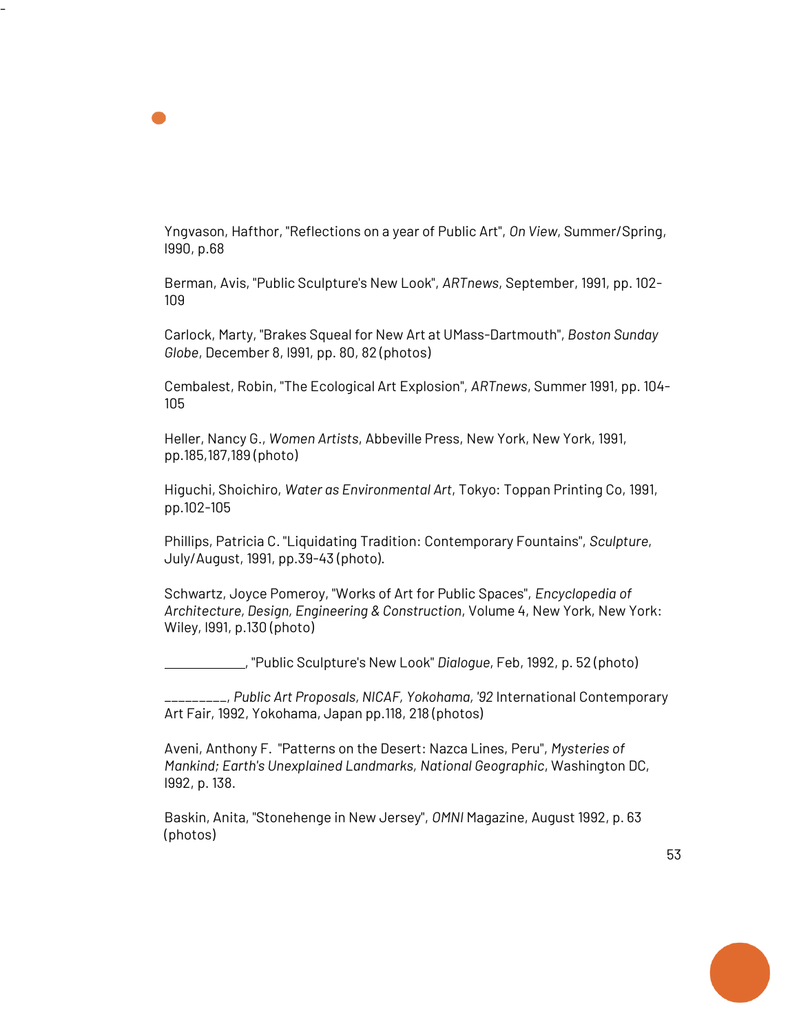Yngvason, Hafthor, "Reflections on a year of Public Art", *On View*, Summer/Spring, l990, p.68

-

Berman, Avis, "Public Sculpture's New Look", *ARTnews*, September, 1991, pp. 102- 109

Carlock, Marty, "Brakes Squeal for New Art at UMass-Dartmouth", *Boston Sunday Globe*, December 8, l991, pp. 80, 82 (photos)

Cembalest, Robin, "The Ecological Art Explosion", *ARTnews*, Summer 1991, pp. 104- 105

Heller, Nancy G., *Women Artists*, Abbeville Press, New York, New York, 1991, pp.185,187,189 (photo)

Higuchi, Shoichiro, *Water as Environmental Art*, Tokyo: Toppan Printing Co, 1991, pp.102-105

Phillips, Patricia C. "Liquidating Tradition: Contemporary Fountains", *Sculpture*, July/August, 1991, pp.39-43 (photo).

Schwartz, Joyce Pomeroy, "Works of Art for Public Spaces", *Encyclopedia of Architecture, Design, Engineering & Construction*, Volume 4, New York, New York: Wiley, l991, p.130 (photo)

, "Public Sculpture's New Look" *Dialogue*, Feb, 1992, p. 52 (photo)

\_\_\_\_\_\_\_\_\_, *Public Art Proposals, NICAF, Yokohama, '92* International Contemporary Art Fair, 1992, Yokohama, Japan pp.118, 218 (photos)

Aveni, Anthony F. "Patterns on the Desert: Nazca Lines, Peru", *Mysteries of Mankind; Earth's Unexplained Landmarks, National Geographic*, Washington DC, l992, p. 138.

Baskin, Anita, "Stonehenge in New Jersey", *OMNI* Magazine, August 1992, p. 63 (photos)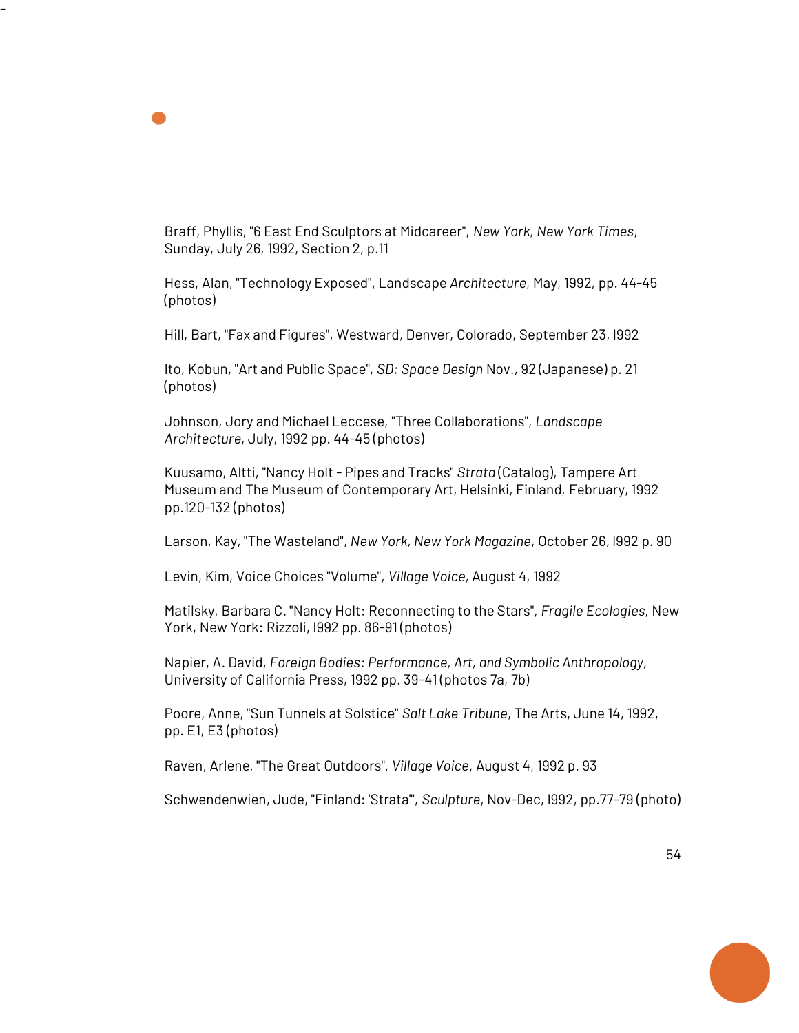Braff, Phyllis, "6 East End Sculptors at Midcareer", *New York, New York Times*, Sunday, July 26, 1992, Section 2, p.11

-

Hess, Alan, "Technology Exposed", Landscape *Architecture*, May, 1992, pp. 44-45 (photos)

Hill, Bart, "Fax and Figures", Westward*,* Denver, Colorado, September 23, l992

Ito, Kobun, "Art and Public Space", *SD: Space Design* Nov., 92 (Japanese) p. 21 (photos)

Johnson, Jory and Michael Leccese, "Three Collaborations", *Landscape Architecture*, July, 1992 pp. 44-45 (photos)

Kuusamo, Altti, "Nancy Holt - Pipes and Tracks" *Strata* (Catalog), Tampere Art Museum and The Museum of Contemporary Art, Helsinki, Finland, February, 1992 pp.120-132 (photos)

Larson, Kay, "The Wasteland", *New York, New York Magazine*, October 26, l992 p. 90

Levin, Kim, Voice Choices "Volume", *Village Voice,* August 4, 1992

Matilsky, Barbara C. "Nancy Holt: Reconnecting to the Stars", *Fragile Ecologies*, New York, New York: Rizzoli, l992 pp. 86-91 (photos)

Napier, A. David, *Foreign Bodies: Performance, Art, and Symbolic Anthropology,* University of California Press, 1992 pp. 39-41 (photos 7a, 7b)

Poore, Anne, "Sun Tunnels at Solstice" *Salt Lake Tribune*, The Arts, June 14, 1992, pp. E1, E3 (photos)

Raven, Arlene, "The Great Outdoors", *Village Voice*, August 4, 1992 p. 93

Schwendenwien, Jude, "Finland: 'Strata'", *Sculpture*, Nov-Dec, l992, pp.77-79 (photo)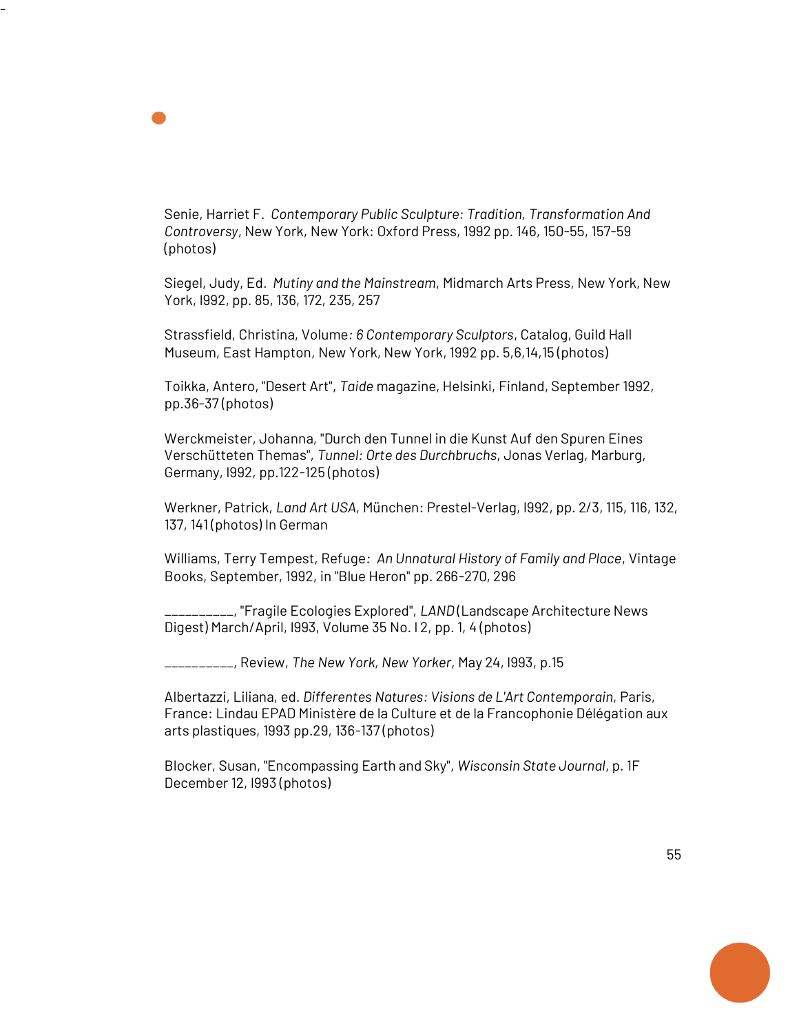Senie, Harriet F. *Contemporary Public Sculpture: Tradition, Transformation And Controversy*, New York, New York: Oxford Press, 1992 pp. 146, 150-55, 157-59 (photos)

-

Siegel, Judy, Ed. *Mutiny and the Mainstream*, Midmarch Arts Press, New York, New York, l992, pp. 85, 136, 172, 235, 257

Strassfield, Christina, Volume*: 6 Contemporary Sculptors*, Catalog, Guild Hall Museum, East Hampton, New York, New York, 1992 pp. 5,6,14,15 (photos)

Toikka, Antero, "Desert Art", *Taide* magazine, Helsinki, Finland, September 1992, pp.36-37 (photos)

Werckmeister, Johanna, "Durch den Tunnel in die Kunst Auf den Spuren Eines Verschütteten Themas", *Tunnel: Orte des Durchbruchs*, Jonas Verlag, Marburg, Germany, l992, pp.122-125 (photos)

Werkner, Patrick, *Land Art USA,* München: Prestel-Verlag, l992, pp. 2/3, 115, 116, 132, 137, 141 (photos) In German

Williams, Terry Tempest, Refuge*: An Unnatural History of Family and Place*, Vintage Books, September, 1992, in "Blue Heron" pp. 266-270, 296

\_\_\_\_\_\_\_\_\_\_, "Fragile Ecologies Explored", *LAND* (Landscape Architecture News Digest) March/April, l993, Volume 35 No. l 2, pp. 1, 4 (photos)

\_\_\_\_\_\_\_\_\_\_, Review, *The New York, New Yorker*, May 24, l993, p.15

Albertazzi, Liliana, ed. *Differentes Natures: Visions de L'Art Contemporain*, Paris, France: Lindau EPAD Ministère de la Culture et de la Francophonie Délégation aux arts plastiques, 1993 pp.29, 136-137 (photos)

Blocker, Susan, "Encompassing Earth and Sky", *Wisconsin State Journal*, p. 1F December 12, l993 (photos)

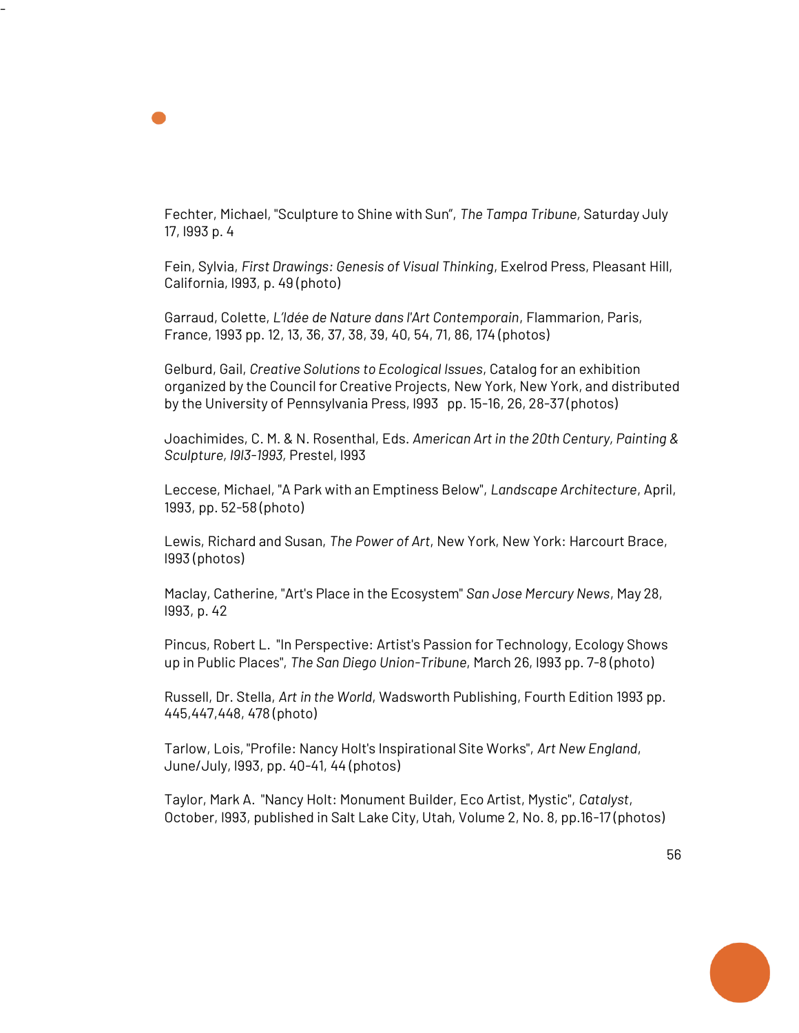Fechter, Michael, "Sculpture to Shine with Sun", *The Tampa Tribune,* Saturday July 17, l993 p. 4

-

Fein, Sylvia, *First Drawings: Genesis of Visual Thinking*, Exelrod Press, Pleasant Hill, California, l993, p. 49 (photo)

Garraud, Colette, *L'Idée de Nature dans l'Art Contemporain*, Flammarion, Paris, France, 1993 pp. 12, 13, 36, 37, 38, 39, 40, 54, 71, 86, 174 (photos)

Gelburd, Gail, *Creative Solutions to Ecological Issues*, Catalog for an exhibition organized by the Council for Creative Projects, New York, New York, and distributed by the University of Pennsylvania Press, l993 pp. 15-16, 26, 28-37 (photos)

Joachimides, C. M. & N. Rosenthal, Eds. *American Art in the 20th Century, Painting & Sculpture, l9l3-1993,* Prestel, l993

Leccese, Michael, "A Park with an Emptiness Below", *Landscape Architecture*, April, 1993, pp. 52-58 (photo)

Lewis, Richard and Susan, *The Power of Art*, New York, New York: Harcourt Brace, l993 (photos)

Maclay, Catherine, "Art's Place in the Ecosystem" *San Jose Mercury News*, May 28, l993, p. 42

Pincus, Robert L. "In Perspective: Artist's Passion for Technology, Ecology Shows up in Public Places", *The San Diego Union-Tribune*, March 26, l993 pp. 7-8 (photo)

Russell, Dr. Stella, *Art in the World*, Wadsworth Publishing, Fourth Edition 1993 pp. 445,447,448, 478 (photo)

Tarlow, Lois, "Profile: Nancy Holt's Inspirational Site Works", *Art New England*, June/July, l993, pp. 40-41, 44 (photos)

Taylor, Mark A. "Nancy Holt: Monument Builder, Eco Artist, Mystic", *Catalyst*, October, l993, published in Salt Lake City, Utah, Volume 2, No. 8, pp.16-17 (photos)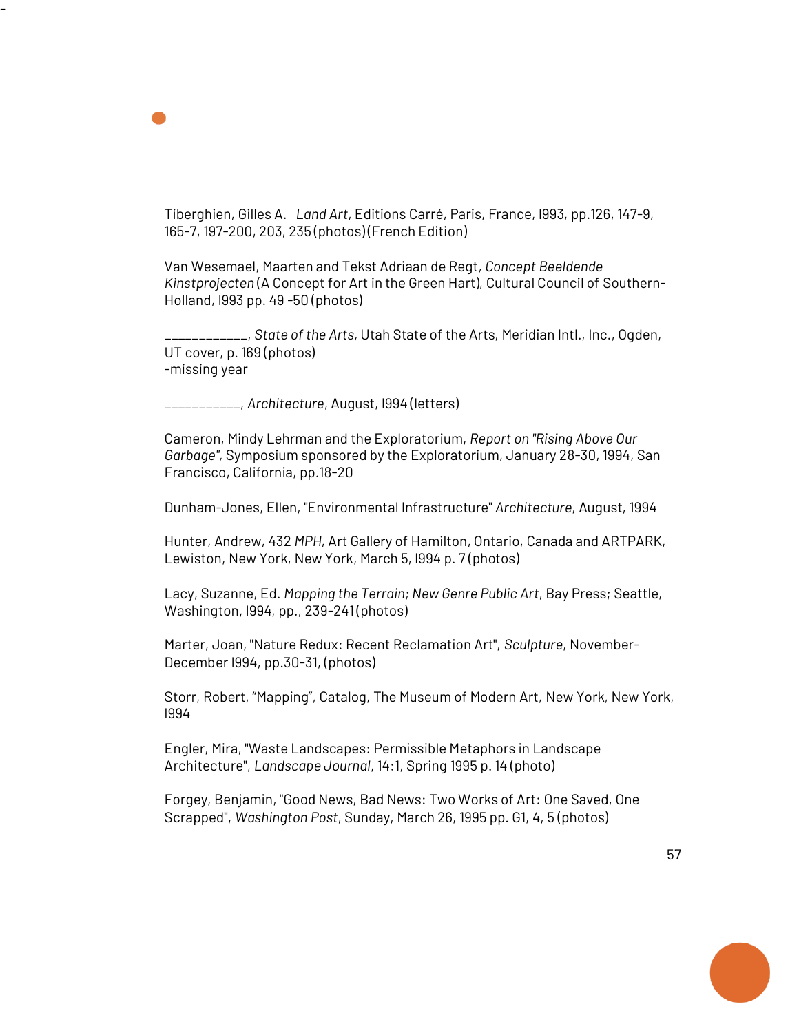Tiberghien, Gilles A. *Land Art*, Editions Carré, Paris, France, l993, pp.126, 147-9, 165-7, 197-200, 203, 235 (photos) (French Edition)

Van Wesemael, Maarten and Tekst Adriaan de Regt*, Concept Beeldende Kinstprojecten* (A Concept for Art in the Green Hart), Cultural Council of Southern-Holland, l993 pp. 49 -50 (photos)

\_\_\_\_\_\_\_\_\_\_\_\_, *State of the Arts,* Utah State of the Arts, Meridian Intl., Inc., Ogden, UT cover, p. 169 (photos) -missing year

\_\_\_\_\_\_\_\_\_\_\_, *Architecture*, August, l994 (letters)

-

Cameron, Mindy Lehrman and the Exploratorium, *Report on "Rising Above Our Garbage",* Symposium sponsored by the Exploratorium, January 28-30, 1994, San Francisco, California, pp.18-20

Dunham-Jones, Ellen, "Environmental Infrastructure" *Architecture*, August, 1994

Hunter, Andrew, 432 *MPH*, Art Gallery of Hamilton, Ontario, Canada and ARTPARK, Lewiston, New York, New York, March 5, l994 p. 7 (photos)

Lacy, Suzanne, Ed. *Mapping the Terrain; New Genre Public Art*, Bay Press; Seattle, Washington, 1994, pp., 239-241(photos)

Marter, Joan, "Nature Redux: Recent Reclamation Art", *Sculpture*, November-December l994, pp.30-31, (photos)

Storr, Robert, "Mapping", Catalog, The Museum of Modern Art, New York, New York, l994

Engler, Mira, "Waste Landscapes: Permissible Metaphors in Landscape Architecture", *Landscape Journal*, 14:1, Spring 1995 p. 14 (photo)

Forgey, Benjamin, "Good News, Bad News: Two Works of Art: One Saved, One Scrapped", *Washington Post*, Sunday, March 26, 1995 pp. G1, 4, 5 (photos)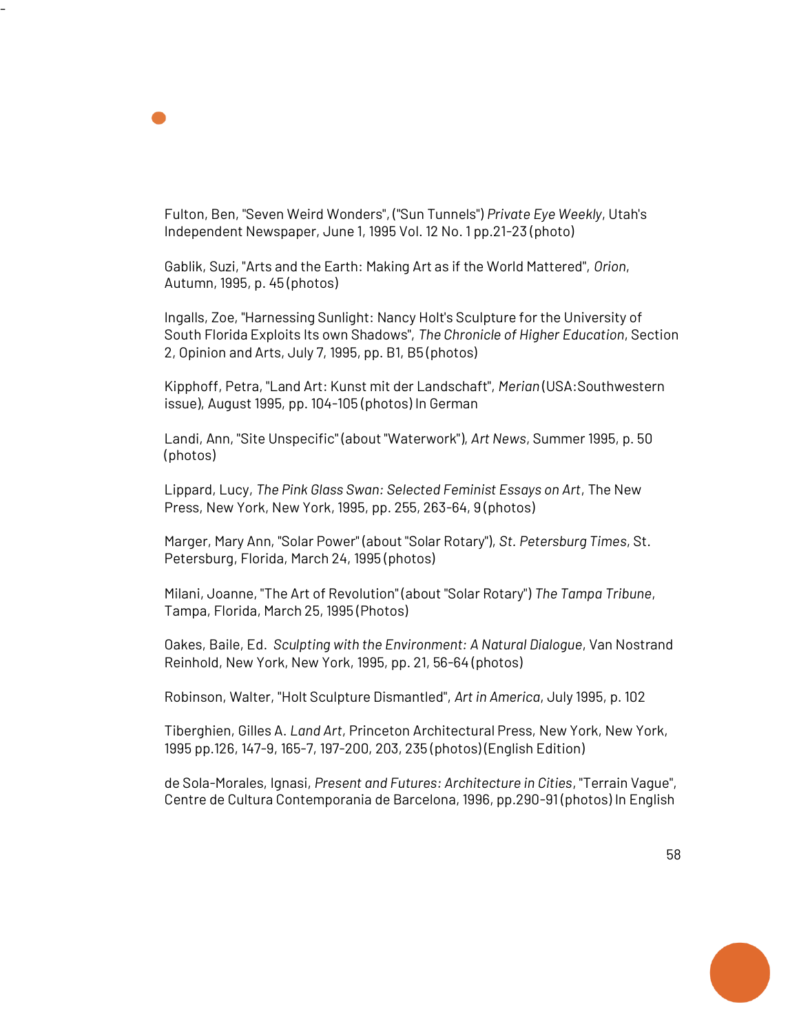

-

Gablik, Suzi, "Arts and the Earth: Making Art as if the World Mattered", *Orion*, Autumn, 1995, p. 45 (photos)

Ingalls, Zoe, "Harnessing Sunlight: Nancy Holt's Sculpture for the University of South Florida Exploits Its own Shadows", *The Chronicle of Higher Education*, Section 2, Opinion and Arts, July 7, 1995, pp. B1, B5 (photos)

Kipphoff, Petra, "Land Art: Kunst mit der Landschaft", *Merian* (USA:Southwestern issue), August 1995, pp. 104-105 (photos) In German

Landi, Ann, "Site Unspecific" (about "Waterwork"), *Art News*, Summer 1995, p. 50 (photos)

Lippard, Lucy, *The Pink Glass Swan: Selected Feminist Essays on Art*, The New Press, New York, New York, 1995, pp. 255, 263-64, 9 (photos)

Marger, Mary Ann, "Solar Power" (about "Solar Rotary"), *St. Petersburg Times*, St. Petersburg, Florida, March 24, 1995 (photos)

Milani, Joanne, "The Art of Revolution" (about "Solar Rotary") *The Tampa Tribune*, Tampa, Florida, March 25, 1995 (Photos)

Oakes, Baile, Ed. *Sculpting with the Environment: A Natural Dialogue*, Van Nostrand Reinhold, New York, New York, 1995, pp. 21, 56-64 (photos)

Robinson, Walter, "Holt Sculpture Dismantled", *Art in America*, July 1995, p. 102

Tiberghien, Gilles A. *Land Art*, Princeton Architectural Press, New York, New York, 1995 pp.126, 147-9, 165-7, 197-200, 203, 235 (photos) (English Edition)

de Sola-Morales, Ignasi, *Present and Futures: Architecture in Cities*, "Terrain Vague", Centre de Cultura Contemporania de Barcelona, 1996, pp.290-91 (photos) In English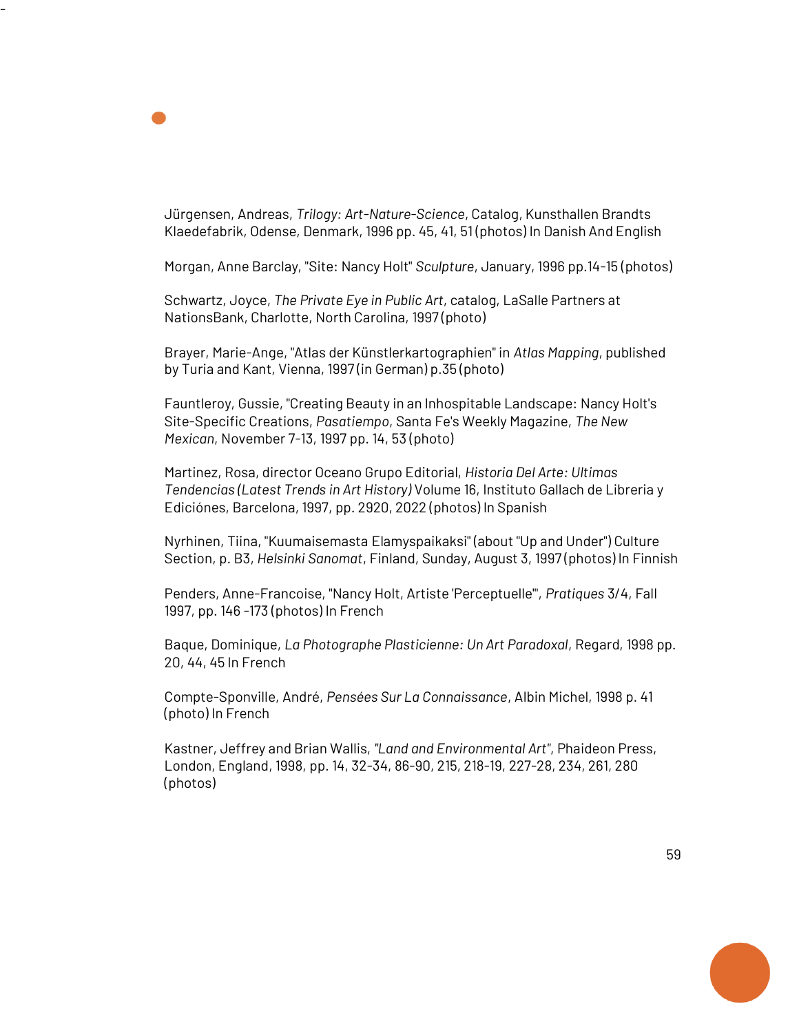Jürgensen, Andreas, *Trilogy: Art-Nature-Science*, Catalog, Kunsthallen Brandts Klaedefabrik, Odense, Denmark, 1996 pp. 45, 41, 51 (photos) In Danish And English

Morgan, Anne Barclay, "Site: Nancy Holt" *Sculpture*, January, 1996 pp.14-15 (photos)

Schwartz, Joyce, *The Private Eye in Public Art*, catalog, LaSalle Partners at NationsBank, Charlotte, North Carolina, 1997 (photo)

-

Brayer, Marie-Ange, "Atlas der Künstlerkartographien" in *Atlas Mapping*, published by Turia and Kant, Vienna, 1997 (in German) p.35 (photo)

Fauntleroy, Gussie, "Creating Beauty in an Inhospitable Landscape: Nancy Holt's Site-Specific Creations, *Pasatiempo*, Santa Fe's Weekly Magazine, *The New Mexican*, November 7-13, 1997 pp. 14, 53 (photo)

Martinez, Rosa, director Oceano Grupo Editorial, *Historia Del Arte: Ultimas Tendencias (Latest Trends in Art History)* Volume 16, Instituto Gallach de Libreria y Ediciónes, Barcelona, 1997, pp. 2920, 2022 (photos) In Spanish

Nyrhinen, Tiina, "Kuumaisemasta Elamyspaikaksi" (about "Up and Under") Culture Section, p. B3, *Helsinki Sanomat*, Finland, Sunday, August 3, 1997 (photos) In Finnish

Penders, Anne-Francoise, "Nancy Holt, Artiste 'Perceptuelle'", *Pratiques* 3/4, Fall 1997, pp. 146 -173 (photos) In French

Baque, Dominique, *La Photographe Plasticienne: Un Art Paradoxal*, Regard, 1998 pp. 20, 44, 45 In French

Compte-Sponville, André, *Pensées Sur La Connaissance*, Albin Michel, 1998 p. 41 (photo) In French

Kastner, Jeffrey and Brian Wallis, *"Land and Environmental Art"*, Phaideon Press, London, England, 1998, pp. 14, 32-34, 86-90, 215, 218-19, 227-28, 234, 261, 280 (photos)

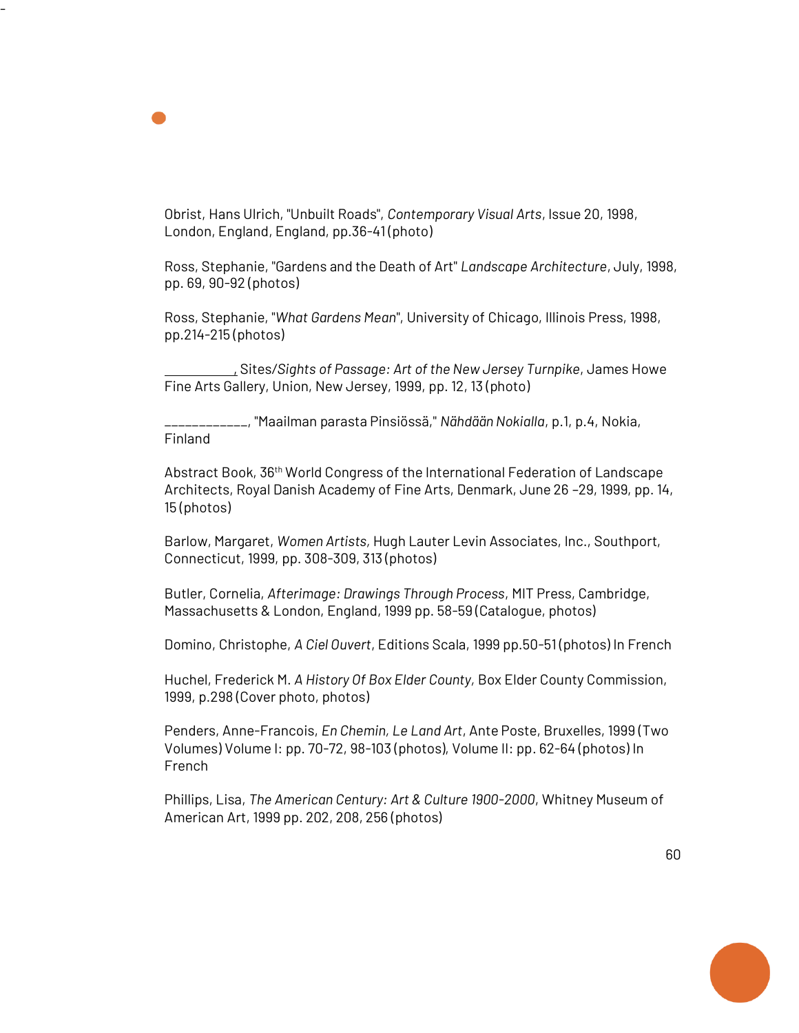Obrist, Hans Ulrich, "Unbuilt Roads", *Contemporary Visual Arts*, Issue 20, 1998, London, England, England, pp.36-41 (photo)

-

Ross, Stephanie, "Gardens and the Death of Art" *Landscape Architecture*, July, 1998, pp. 69, 90-92 (photos)

Ross, Stephanie, "*What Gardens Mean*", University of Chicago, Illinois Press, 1998, pp.214-215 (photos)

 , Sites*/Sights of Passage: Art of the New Jersey Turnpike*, James Howe Fine Arts Gallery, Union, New Jersey, 1999, pp. 12, 13 (photo)

\_\_\_\_\_\_\_\_\_\_\_\_, "Maailman parasta Pinsiössä," *Nähdään Nokialla*, p.1, p.4, Nokia, Finland

Abstract Book, 36<sup>th</sup> World Congress of the International Federation of Landscape Architects, Royal Danish Academy of Fine Arts, Denmark, June 26 –29, 1999, pp. 14, 15 (photos)

Barlow, Margaret, *Women Artists,* Hugh Lauter Levin Associates, Inc., Southport, Connecticut, 1999, pp. 308-309, 313 (photos)

Butler, Cornelia, *Afterimage: Drawings Through Process*, MIT Press, Cambridge, Massachusetts & London, England, 1999 pp. 58-59 (Catalogue, photos)

Domino, Christophe, *A Ciel Ouvert*, Editions Scala, 1999 pp.50-51 (photos) In French

Huchel, Frederick M. *A History Of Box Elder County,* Box Elder County Commission, 1999, p.298 (Cover photo, photos)

Penders, Anne-Francois, *En Chemin, Le Land Art*, Ante Poste, Bruxelles, 1999 (Two Volumes) Volume I: pp. 70-72, 98-103 (photos), Volume II: pp. 62-64 (photos) In French

Phillips, Lisa, *The American Century: Art & Culture 1900-2000*, Whitney Museum of American Art, 1999 pp. 202, 208, 256 (photos)

60

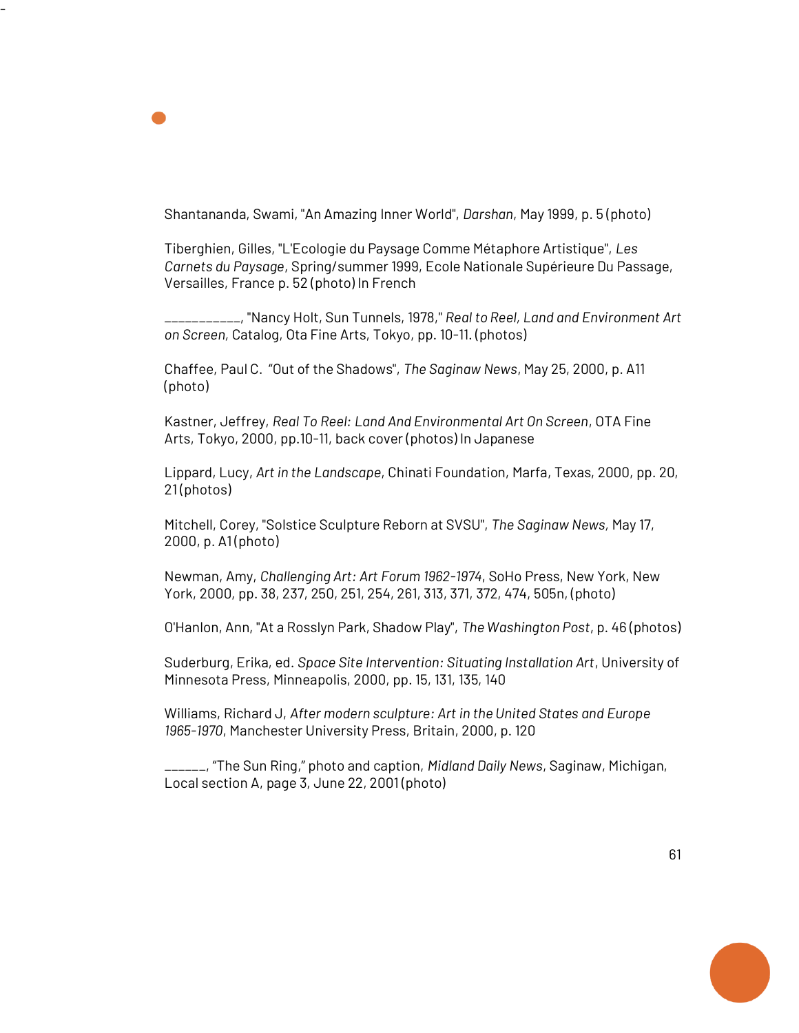Shantananda, Swami, "An Amazing Inner World", *Darshan*, May 1999, p. 5 (photo)

-

Tiberghien, Gilles, "L'Ecologie du Paysage Comme Métaphore Artistique", *Les Carnets du Paysage*, Spring/summer 1999, Ecole Nationale Supérieure Du Passage, Versailles, France p. 52 (photo) In French

\_\_\_\_\_\_\_\_\_\_\_, "Nancy Holt, Sun Tunnels, 1978," *Real to Reel, Land and Environment Art on Screen,* Catalog, Ota Fine Arts, Tokyo, pp. 10-11. (photos)

Chaffee, Paul C. "Out of the Shadows", *The Saginaw News*, May 25, 2000, p. A11 (photo)

Kastner, Jeffrey, *Real To Reel: Land And Environmental Art On Screen*, OTA Fine Arts, Tokyo, 2000, pp.10-11, back cover (photos) In Japanese

Lippard, Lucy, *Art in the Landscape*, Chinati Foundation, Marfa, Texas, 2000, pp. 20, 21 (photos)

Mitchell, Corey, "Solstice Sculpture Reborn at SVSU", *The Saginaw News,* May 17, 2000, p. A1 (photo)

Newman, Amy, *Challenging Art: Art Forum 1962-1974*, SoHo Press, New York, New York, 2000, pp. 38, 237, 250, 251, 254, 261, 313, 371, 372, 474, 505n, (photo)

O'Hanlon, Ann, "At a Rosslyn Park, Shadow Play", *The Washington Post*, p. 46 (photos)

Suderburg, Erika, ed. *Space Site Intervention: Situating Installation Art*, University of Minnesota Press, Minneapolis, 2000, pp. 15, 131, 135, 140

Williams, Richard J, *After modern sculpture: Art in the United States and Europe 1965-1970*, Manchester University Press, Britain, 2000, p. 120

\_\_\_\_\_\_, "The Sun Ring," photo and caption, *Midland Daily News*, Saginaw, Michigan, Local section A, page 3, June 22, 2001 (photo)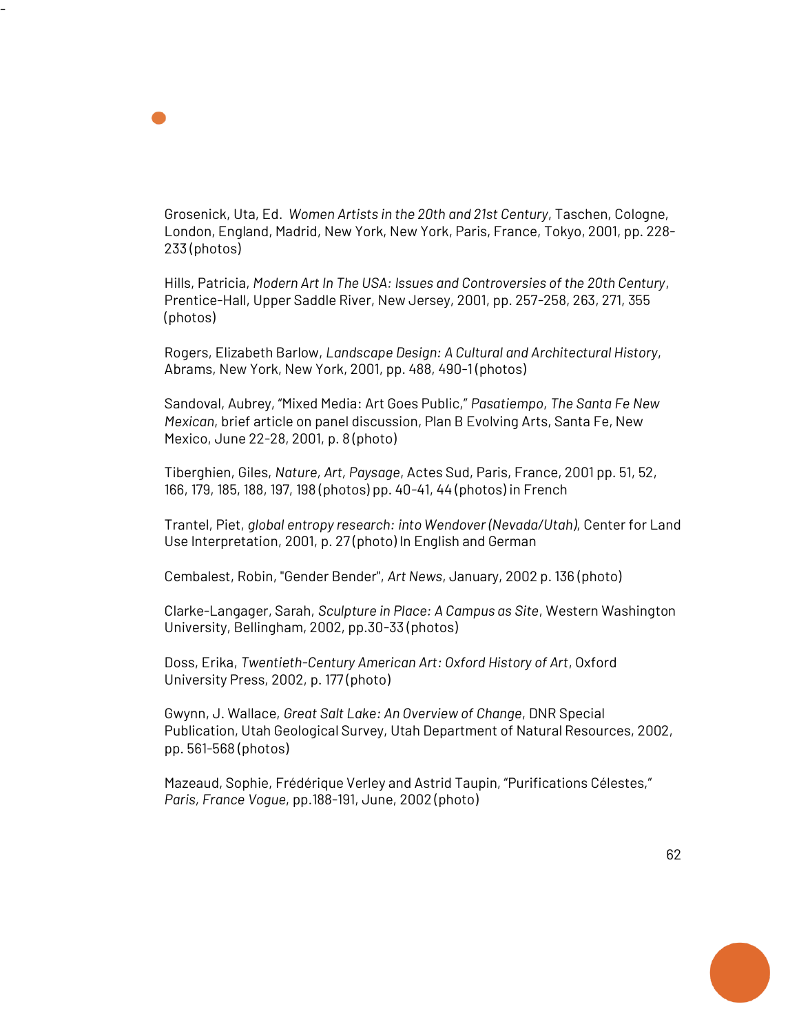Grosenick, Uta, Ed. *Women Artists in the 20th and 21st Century*, Taschen, Cologne, London, England, Madrid, New York, New York, Paris, France, Tokyo, 2001, pp. 228- 233 (photos)

-

Hills, Patricia, *Modern Art In The USA: Issues and Controversies of the 20th Century*, Prentice-Hall, Upper Saddle River, New Jersey, 2001, pp. 257-258, 263, 271, 355 (photos)

Rogers, Elizabeth Barlow, *Landscape Design: A Cultural and Architectural History*, Abrams, New York, New York, 2001, pp. 488, 490-1 (photos)

Sandoval, Aubrey, "Mixed Media: Art Goes Public," *Pasatiempo*, *The Santa Fe New Mexican*, brief article on panel discussion, Plan B Evolving Arts, Santa Fe, New Mexico, June 22-28, 2001, p. 8 (photo)

Tiberghien, Giles, *Nature, Art, Paysage*, Actes Sud, Paris, France, 2001 pp. 51, 52, 166, 179, 185, 188, 197, 198 (photos) pp. 40-41, 44 (photos) in French

Trantel, Piet, *global entropy research: into Wendover (Nevada/Utah)*, Center for Land Use Interpretation, 2001, p. 27 (photo) In English and German

Cembalest, Robin, "Gender Bender", *Art News*, January, 2002 p. 136 (photo)

Clarke-Langager, Sarah, *Sculpture in Place: A Campus as Site*, Western Washington University, Bellingham, 2002, pp.30-33 (photos)

Doss, Erika, *Twentieth-Century American Art: Oxford History of Art*, Oxford University Press, 2002, p. 177 (photo)

Gwynn, J. Wallace, *Great Salt Lake: An Overview of Change*, DNR Special Publication, Utah Geological Survey, Utah Department of Natural Resources, 2002, pp. 561-568 (photos)

Mazeaud, Sophie, Frédérique Verley and Astrid Taupin, "Purifications Célestes," *Paris, France Vogue*, pp.188-191, June, 2002 (photo)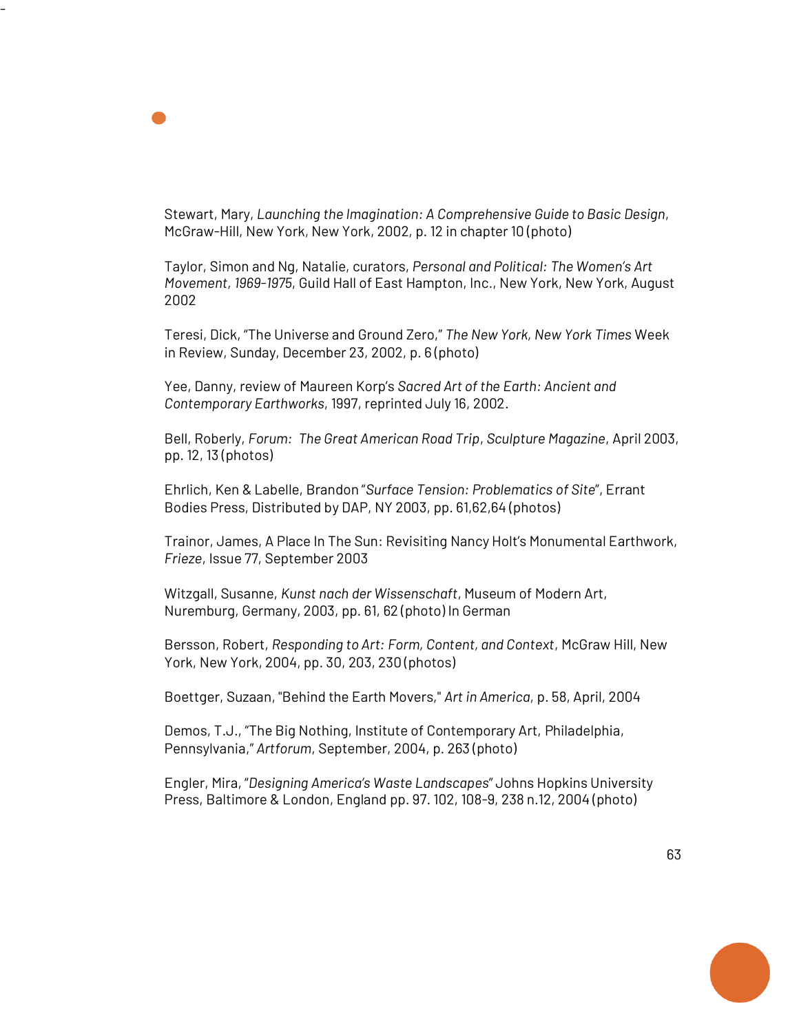Stewart, Mary, *Launching the Imagination: A Comprehensive Guide to Basic Design*, McGraw-Hill, New York, New York, 2002, p. 12 in chapter 10 (photo)

-

Taylor, Simon and Ng, Natalie, curators, *Personal and Political: The Women's Art Movement, 1969-1975*, Guild Hall of East Hampton, Inc., New York, New York, August 2002

Teresi, Dick, "The Universe and Ground Zero," *The New York, New York Times* Week in Review, Sunday, December 23, 2002, p. 6 (photo)

Yee, Danny, review of Maureen Korp's *Sacred Art of the Earth: Ancient and Contemporary Earthworks*, 1997, reprinted July 16, 2002.

Bell, Roberly, *Forum: The Great American Road Trip*, *Sculpture Magazine*, April 2003, pp. 12, 13 (photos)

Ehrlich, Ken & Labelle, Brandon "*Surface Tension: Problematics of Site*", Errant Bodies Press, Distributed by DAP, NY 2003, pp. 61,62,64 (photos)

Trainor, James, A Place In The Sun: Revisiting Nancy Holt's Monumental Earthwork, *Frieze*, Issue 77, September 2003

Witzgall, Susanne, *Kunst nach der Wissenschaft*, Museum of Modern Art, Nuremburg, Germany, 2003, pp. 61, 62 (photo) In German

Bersson, Robert, *Responding to Art: Form, Content, and Context*, McGraw Hill, New York, New York, 2004, pp. 30, 203, 230 (photos)

Boettger, Suzaan, "Behind the Earth Movers," *Art in America*, p. 58, April, 2004

Demos, T.J., "The Big Nothing, Institute of Contemporary Art, Philadelphia, Pennsylvania," *Artforum*, September, 2004, p. 263 (photo)

Engler, Mira, "*Designing America's Waste Landscapes*" Johns Hopkins University Press, Baltimore & London, England pp. 97. 102, 108-9, 238 n.12, 2004 (photo)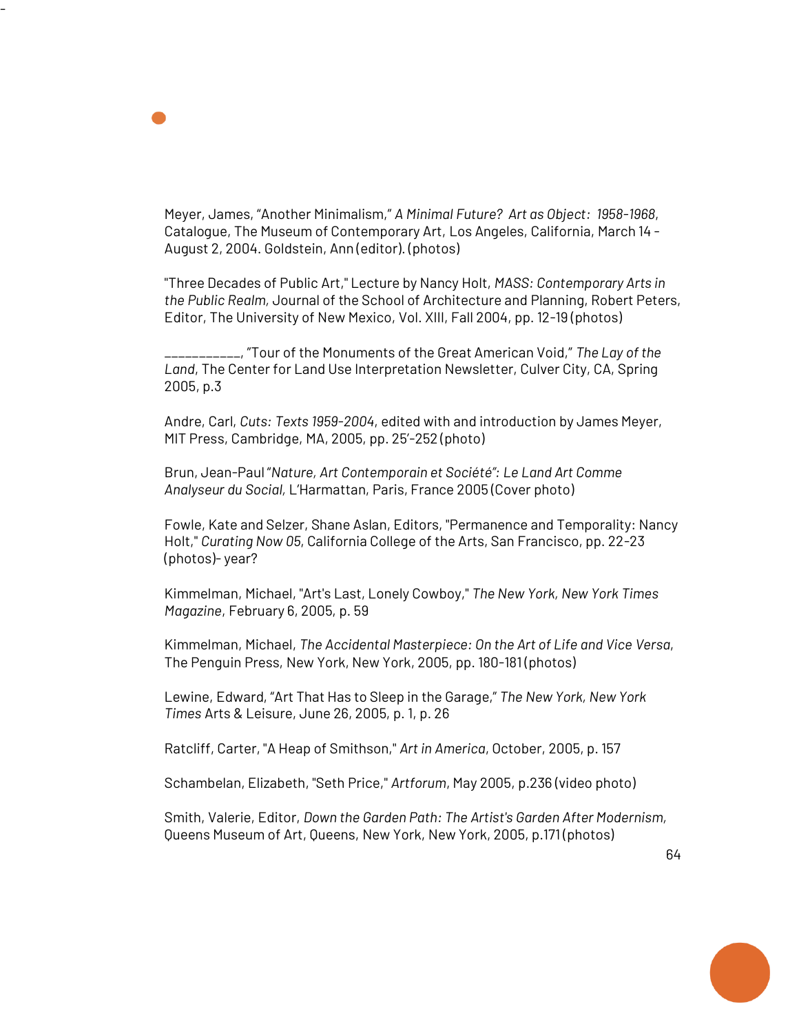Meyer, James, "Another Minimalism," *A Minimal Future? Art as Object: 1958-1968*, Catalogue, The Museum of Contemporary Art, Los Angeles, California, March 14 - August 2, 2004. Goldstein, Ann (editor). (photos)

-

"Three Decades of Public Art," Lecture by Nancy Holt, *MASS: Contemporary Arts in the Public Realm,* Journal of the School of Architecture and Planning, Robert Peters, Editor, The University of New Mexico, Vol. XIII, Fall 2004, pp. 12-19 (photos)

\_\_\_\_\_\_\_\_\_\_\_, "Tour of the Monuments of the Great American Void," *The Lay of the Land*, The Center for Land Use Interpretation Newsletter, Culver City, CA, Spring 2005, p.3

Andre, Carl, *Cuts: Texts 1959-2004*, edited with and introduction by James Meyer, MIT Press, Cambridge, MA, 2005, pp. 25'-252 (photo)

Brun, Jean-Paul "*Nature, Art Contemporain et Société": Le Land Art Comme Analyseur du Social,* L'Harmattan, Paris, France 2005 (Cover photo)

Fowle, Kate and Selzer, Shane Aslan, Editors, "Permanence and Temporality: Nancy Holt," *Curating Now 05*, California College of the Arts, San Francisco, pp. 22-23 (photos)- year?

Kimmelman, Michael, "Art's Last, Lonely Cowboy," *The New York, New York Times Magazine*, February 6, 2005, p. 59

Kimmelman, Michael, *The Accidental Masterpiece: On the Art of Life and Vice Versa*, The Penguin Press, New York, New York, 2005, pp. 180-181 (photos)

Lewine, Edward, "Art That Has to Sleep in the Garage," *The New York, New York Times* Arts & Leisure, June 26, 2005, p. 1, p. 26

Ratcliff, Carter, "A Heap of Smithson," *Art in America*, October, 2005, p. 157

Schambelan, Elizabeth, "Seth Price," *Artforum*, May 2005, p.236 (video photo)

Smith, Valerie, Editor, *Down the Garden Path: The Artist's Garden After Modernism,*  Queens Museum of Art, Queens, New York, New York, 2005, p.171 (photos)

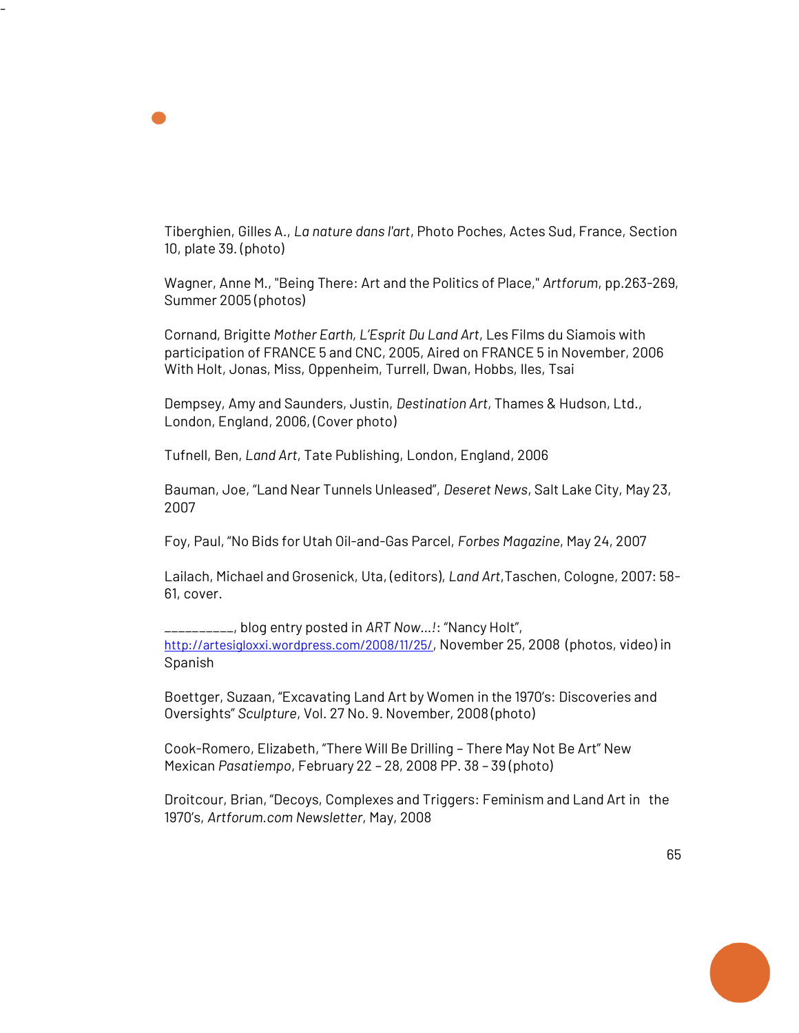Tiberghien, Gilles A., *La nature dans l'art*, Photo Poches, Actes Sud, France, Section 10, plate 39. (photo)

Wagner, Anne M., "Being There: Art and the Politics of Place," *Artforum*, pp.263-269, Summer 2005 (photos)

Cornand, Brigitte *Mother Earth, L'Esprit Du Land Art*, Les Films du Siamois with participation of FRANCE 5 and CNC, 2005, Aired on FRANCE 5 in November, 2006 With Holt, Jonas, Miss, Oppenheim, Turrell, Dwan, Hobbs, Iles, Tsai

Dempsey, Amy and Saunders, Justin, *Destination Art,* Thames & Hudson, Ltd., London, England, 2006, (Cover photo)

Tufnell, Ben, *Land Art*, Tate Publishing, London, England, 2006

-

Bauman, Joe, "Land Near Tunnels Unleased", *Deseret News*, Salt Lake City, May 23, 2007

Foy, Paul, "No Bids for Utah Oil-and-Gas Parcel, *Forbes Magazine*, May 24, 2007

Lailach, Michael and Grosenick, Uta, (editors), *Land Art*,Taschen, Cologne, 2007: 58- 61, cover.

\_\_\_\_\_\_\_\_\_\_, blog entry posted in *ART Now…!*: "Nancy Holt", <http://artesigloxxi.wordpress.com/2008/11/25/>, November 25, 2008 (photos, video) in Spanish

Boettger, Suzaan, "Excavating Land Art by Women in the 1970's: Discoveries and Oversights" *Sculpture*, Vol. 27 No. 9. November, 2008 (photo)

Cook-Romero, Elizabeth, "There Will Be Drilling – There May Not Be Art" New Mexican *Pasatiempo*, February 22 – 28, 2008 PP. 38 – 39 (photo)

Droitcour, Brian, "Decoys, Complexes and Triggers: Feminism and Land Art in the 1970's, *Artforum.com Newsletter*, May, 2008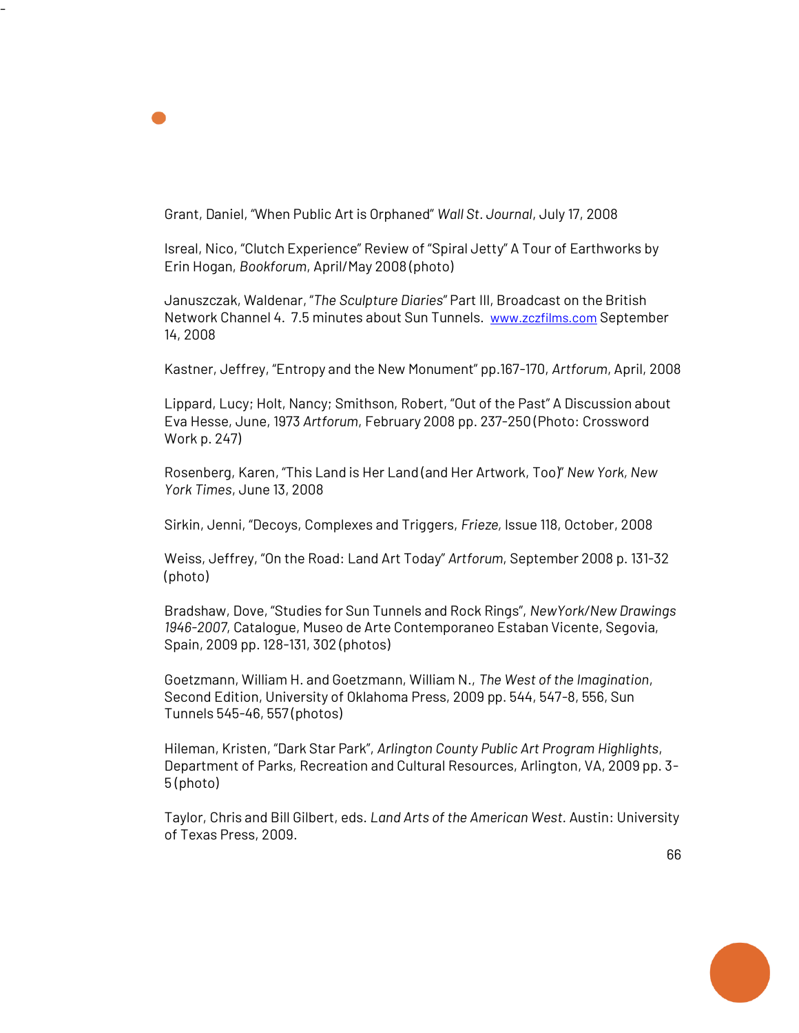Grant, Daniel, "When Public Art is Orphaned" *Wall St. Journal*, July 17, 2008

-

Isreal, Nico, "Clutch Experience" Review of "Spiral Jetty" A Tour of Earthworks by Erin Hogan, *Bookforum*, April/May 2008 (photo)

Januszczak, Waldenar, "*The Sculpture Diaries*" Part III, Broadcast on the British Network Channel 4. 7.5 minutes about Sun Tunnels. [www.zczfilms.com](http://www.zczfilms.com/) September 14, 2008

Kastner, Jeffrey, "Entropy and the New Monument" pp.167-170, *Artforum*, April, 2008

Lippard, Lucy; Holt, Nancy; Smithson, Robert, "Out of the Past" A Discussion about Eva Hesse, June, 1973 *Artforum*, February 2008 pp. 237-250 (Photo: Crossword Work p. 247)

Rosenberg, Karen, "This Land is Her Land (and Her Artwork, Too)" *New York, New York Times*, June 13, 2008

Sirkin, Jenni, "Decoys, Complexes and Triggers, *Frieze,* Issue 118, October, 2008

Weiss, Jeffrey, "On the Road: Land Art Today" *Artforum*, September 2008 p. 131-32 (photo)

Bradshaw, Dove, "Studies for Sun Tunnels and Rock Rings", *NewYork/New Drawings 1946-2007*, Catalogue, Museo de Arte Contemporaneo Estaban Vicente, Segovia, Spain, 2009 pp. 128-131, 302 (photos)

Goetzmann, William H. and Goetzmann, William N., *The West of the Imagination*, Second Edition, University of Oklahoma Press, 2009 pp. 544, 547-8, 556, Sun Tunnels 545-46, 557 (photos)

Hileman, Kristen, "Dark Star Park", *Arlington County Public Art Program Highlights*, Department of Parks, Recreation and Cultural Resources, Arlington, VA, 2009 pp. 3- 5 (photo)

Taylor, Chris and Bill Gilbert, eds. *Land Arts of the American West.* Austin: University of Texas Press, 2009.

66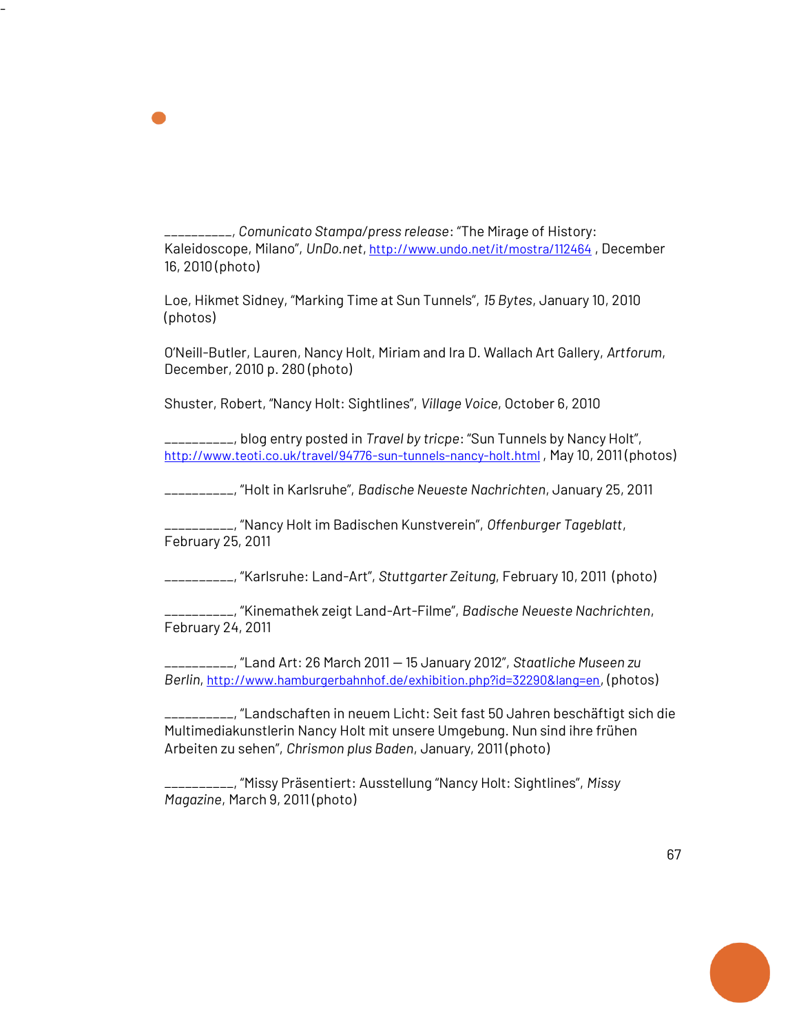*\_\_\_\_\_\_\_\_\_\_, Comunicato Stampa/press release*: "The Mirage of History: Kaleidoscope, Milano", *UnDo.net*, <http://www.undo.net/it/mostra/112464> , December 16, 2010 (photo)

Loe, Hikmet Sidney, "Marking Time at Sun Tunnels", *15 Bytes*, January 10, 2010 (photos)

O'Neill-Butler, Lauren, Nancy Holt, Miriam and Ira D. Wallach Art Gallery, *Artforum*, December, 2010 p. 280 (photo)

Shuster, Robert, "Nancy Holt: Sightlines", *Village Voice*, October 6, 2010

-

\_\_\_\_\_\_\_\_\_\_, blog entry posted in *Travel by tricpe*: "Sun Tunnels by Nancy Holt", <http://www.teoti.co.uk/travel/94776-sun-tunnels-nancy-holt.html>, May 10, 2011 (photos)

\_\_\_\_\_\_\_\_\_\_, "Holt in Karlsruhe", *Badische Neueste Nachrichten*, January 25, 2011

\_\_\_\_\_\_\_\_\_\_, "Nancy Holt im Badischen Kunstverein", *Offenburger Tageblatt*, February 25, 2011

\_\_\_\_\_\_\_\_\_\_, "Karlsruhe: Land-Art", *Stuttgarter Zeitung*, February 10, 2011 (photo)

\_\_\_\_\_\_\_\_\_\_, "Kinemathek zeigt Land-Art-Filme", *Badische Neueste Nachrichten*, February 24, 2011

\_\_\_\_\_\_\_\_\_\_, "Land Art: 26 March 2011 — 15 January 2012", *Staatliche Museen zu Berlin*, <http://www.hamburgerbahnhof.de/exhibition.php?id=32290&lang=en>, (photos)

\_\_\_\_\_\_\_\_\_\_, "Landschaften in neuem Licht: Seit fast 50 Jahren beschäftigt sich die Multimediakunstlerin Nancy Holt mit unsere Umgebung. Nun sind ihre frühen Arbeiten zu sehen", *Chrismon plus Baden*, January, 2011 (photo)

\_\_\_\_\_\_\_\_\_\_, "Missy Präsentiert: Ausstellung "Nancy Holt: Sightlines", *Missy Magazine*, March 9, 2011 (photo)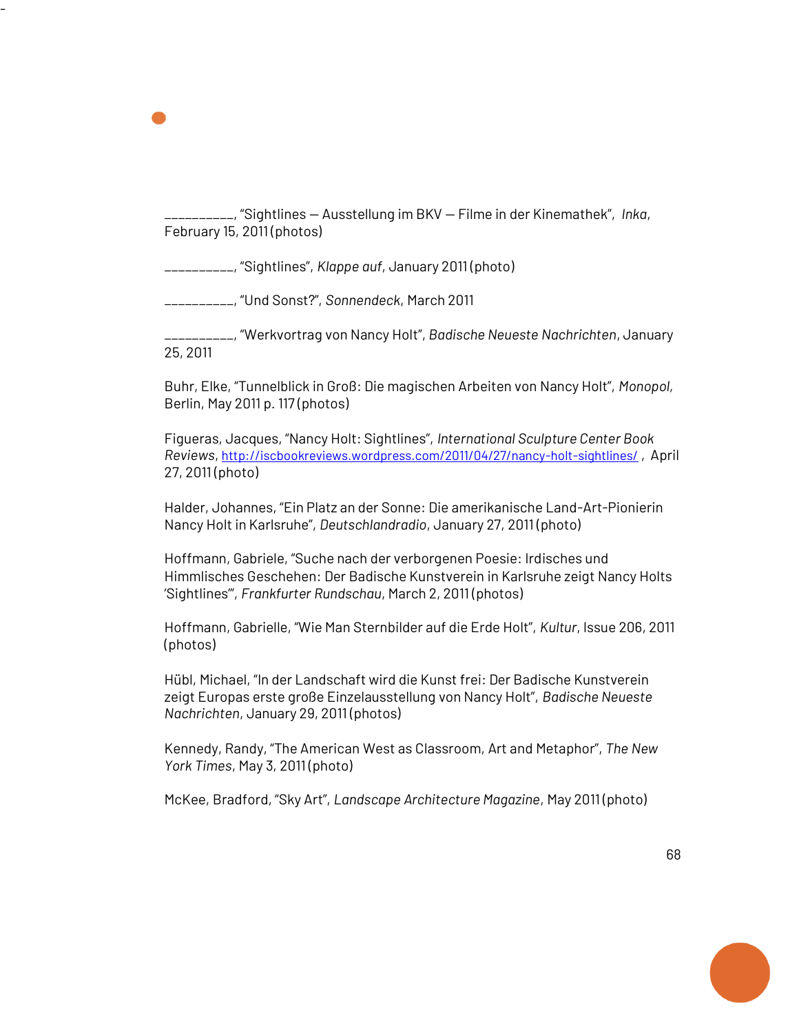\_\_\_\_\_\_\_\_\_\_, "Sightlines — Ausstellung im BKV — Filme in der Kinemathek", *Inka*, February 15, 2011 (photos)

\_\_\_\_\_\_\_\_\_\_, "Sightlines", *Klappe auf*, January 2011 (photo)

\_\_\_\_\_\_\_\_\_\_, "Und Sonst?", *Sonnendeck*, March 2011

-

\_\_\_\_\_\_\_\_\_\_, "Werkvortrag von Nancy Holt", *Badische Neueste Nachrichten*, January 25, 2011

Buhr, Elke, "Tunnelblick in Groß: Die magischen Arbeiten von Nancy Holt", *Monopol,* Berlin, May 2011 p. 117 (photos)

Figueras, Jacques, "Nancy Holt: Sightlines", *International Sculpture Center Book Reviews*, <http://iscbookreviews.wordpress.com/2011/04/27/nancy-holt-sightlines/> , April 27, 2011 (photo)

Halder, Johannes, "Ein Platz an der Sonne: Die amerikanische Land-Art-Pionierin Nancy Holt in Karlsruhe", *Deutschlandradio*, January 27, 2011 (photo)

Hoffmann, Gabriele, "Suche nach der verborgenen Poesie: Irdisches und Himmlisches Geschehen: Der Badische Kunstverein in Karlsruhe zeigt Nancy Holts 'Sightlines'", *Frankfurter Rundschau*, March 2, 2011 (photos)

Hoffmann, Gabrielle, "Wie Man Sternbilder auf die Erde Holt", *Kultur*, Issue 206, 2011 (photos)

Hübl, Michael, "In der Landschaft wird die Kunst frei: Der Badische Kunstverein zeigt Europas erste große Einzelausstellung von Nancy Holt", *Badische Neueste Nachrichten*, January 29, 2011 (photos)

Kennedy, Randy, "The American West as Classroom, Art and Metaphor", *The New York Times*, May 3, 2011 (photo)

McKee, Bradford, "Sky Art", *Landscape Architecture Magazine*, May 2011 (photo)

68

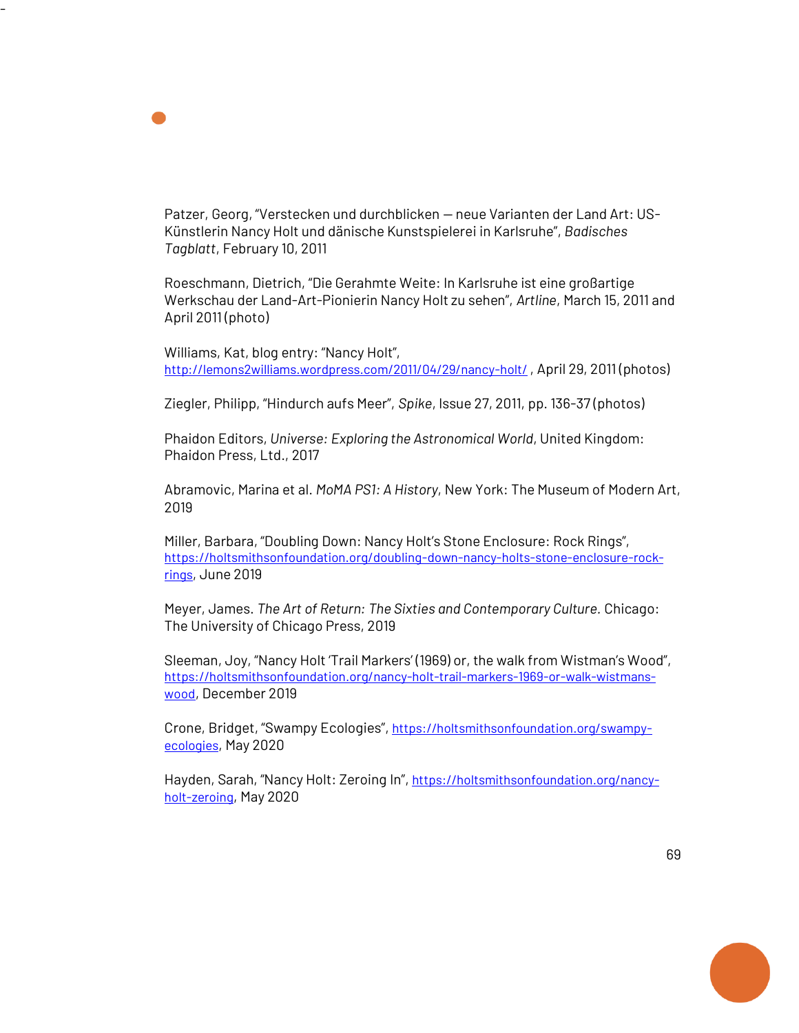Patzer, Georg, "Verstecken und durchblicken — neue Varianten der Land Art: US-Künstlerin Nancy Holt und dänische Kunstspielerei in Karlsruhe", *Badisches Tagblatt*, February 10, 2011

-

Roeschmann, Dietrich, "Die Gerahmte Weite: In Karlsruhe ist eine großartige Werkschau der Land-Art-Pionierin Nancy Holt zu sehen", *Artline*, March 15, 2011 and April 2011 (photo)

Williams, Kat, blog entry: "Nancy Holt", <http://lemons2williams.wordpress.com/2011/04/29/nancy-holt/> , April 29, 2011 (photos)

Ziegler, Philipp, "Hindurch aufs Meer", *Spike*, Issue 27, 2011, pp. 136-37 (photos)

Phaidon Editors, *Universe: Exploring the Astronomical World*, United Kingdom: Phaidon Press, Ltd., 2017

Abramovic, Marina et al. *MoMA PS1: A History*, New York: The Museum of Modern Art, 2019

Miller, Barbara, "Doubling Down: Nancy Holt's Stone Enclosure: Rock Rings", [https://holtsmithsonfoundation.org/doubling-down-nancy-holts-stone-enclosure-rock](https://holtsmithsonfoundation.org/doubling-down-nancy-holts-stone-enclosure-rock-rings)[rings](https://holtsmithsonfoundation.org/doubling-down-nancy-holts-stone-enclosure-rock-rings), June 2019

Meyer, James. *The Art of Return: The Sixties and Contemporary Culture.* Chicago: The University of Chicago Press, 2019

Sleeman, Joy, "Nancy Holt 'Trail Markers' (1969) or, the walk from Wistman's Wood", [https://holtsmithsonfoundation.org/nancy-holt-trail-markers-1969-or-walk-wistmans](https://holtsmithsonfoundation.org/nancy-holt-trail-markers-1969-or-walk-wistmans-wood)[wood](https://holtsmithsonfoundation.org/nancy-holt-trail-markers-1969-or-walk-wistmans-wood), December 2019

Crone, Bridget, "Swampy Ecologies", [https://holtsmithsonfoundation.org/swampy](https://holtsmithsonfoundation.org/swampy-ecologies)[ecologies](https://holtsmithsonfoundation.org/swampy-ecologies), May 2020

Hayden, Sarah, "Nancy Holt: Zeroing In", [https://holtsmithsonfoundation.org/nancy](https://holtsmithsonfoundation.org/nancy-holt-zeroing)[holt-zeroing](https://holtsmithsonfoundation.org/nancy-holt-zeroing), May 2020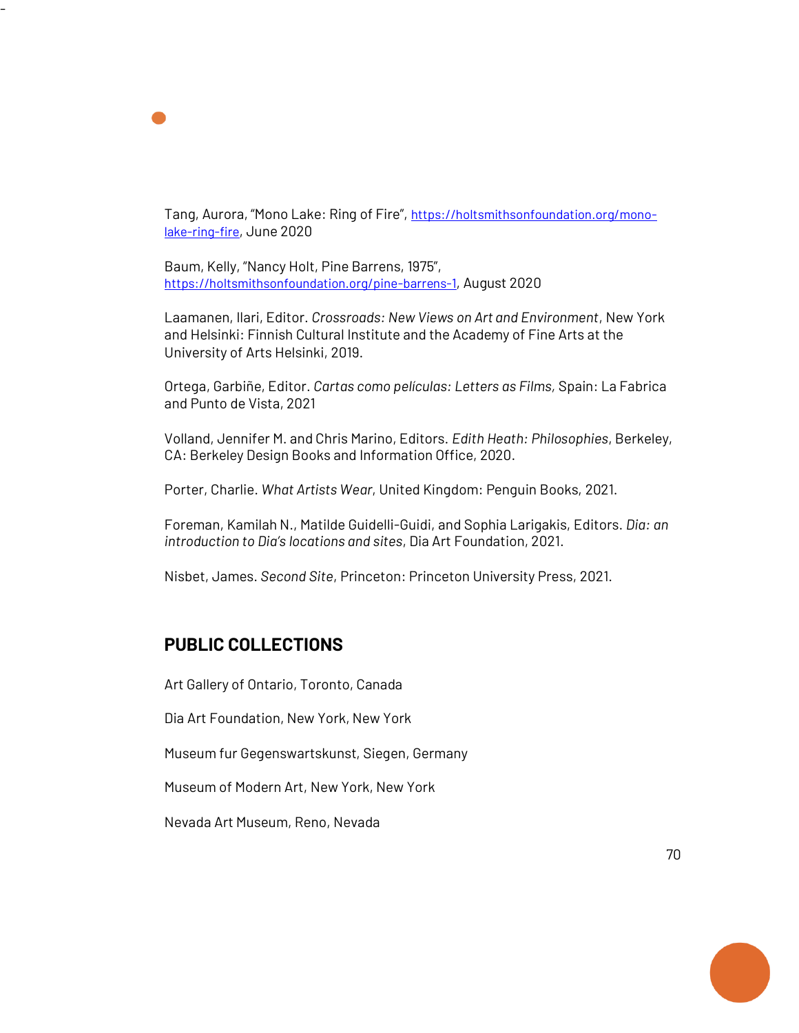Tang, Aurora, "Mono Lake: Ring of Fire", [https://holtsmithsonfoundation.org/mono](https://holtsmithsonfoundation.org/mono-lake-ring-fire)[lake-ring-fire](https://holtsmithsonfoundation.org/mono-lake-ring-fire), June 2020

Baum, Kelly, "Nancy Holt, Pine Barrens, 1975", <https://holtsmithsonfoundation.org/pine-barrens-1>, August 2020

Laamanen, Ilari, Editor. *Crossroads: New Views on Art and Environment*, New York and Helsinki: Finnish Cultural Institute and the Academy of Fine Arts at the University of Arts Helsinki, 2019.

Ortega, Garbiñe, Editor. *Cartas como películas: Letters as Films,* Spain: La Fabrica and Punto de Vista, 2021

Volland, Jennifer M. and Chris Marino, Editors. *Edith Heath: Philosophies*, Berkeley, CA: Berkeley Design Books and Information Office, 2020.

Porter, Charlie. *What Artists Wear*, United Kingdom: Penguin Books, 2021.

Foreman, Kamilah N., Matilde Guidelli-Guidi, and Sophia Larigakis, Editors. *Dia: an introduction to Dia's locations and sites*, Dia Art Foundation, 2021.

<span id="page-69-0"></span>Nisbet, James. *Second Site*, Princeton: Princeton University Press, 2021.

## **PUBLIC COLLECTIONS**

-

Art Gallery of Ontario, Toronto, Canada

Dia Art Foundation, New York, New York

Museum fur Gegenswartskunst, Siegen, Germany

Museum of Modern Art, New York, New York

Nevada Art Museum, Reno, Nevada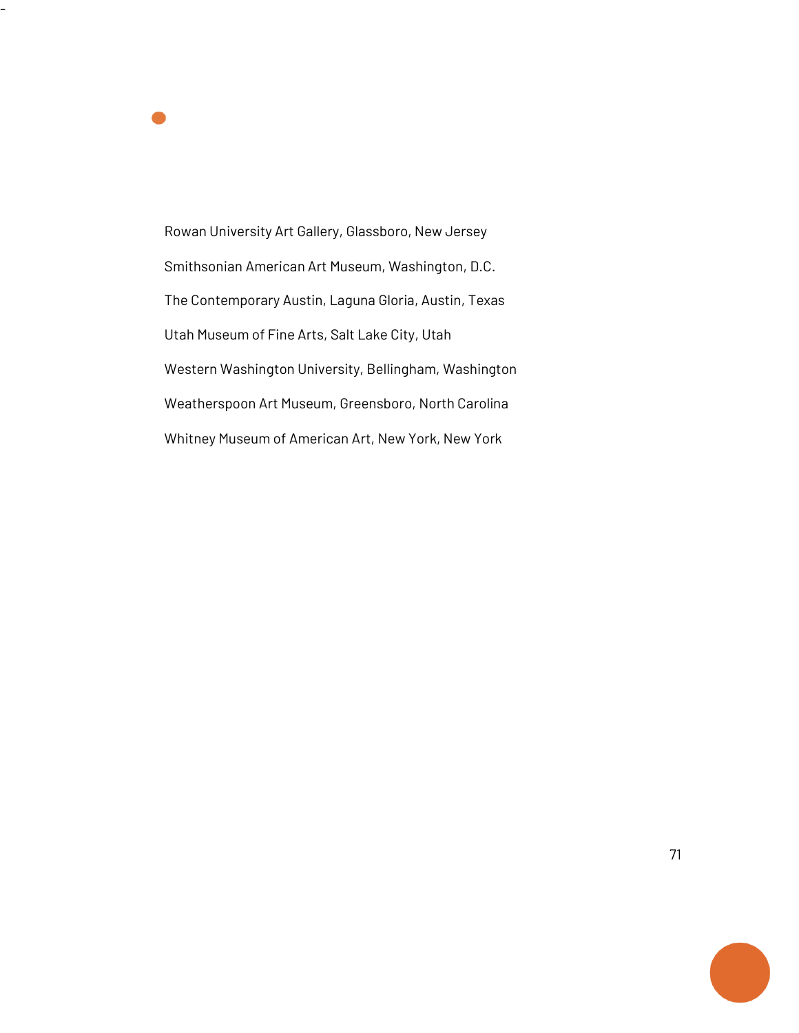Rowan University Art Gallery, Glassboro, New Jersey Smithsonian American Art Museum, Washington, D.C. The Contemporary Austin, Laguna Gloria, Austin, Texas Utah Museum of Fine Arts, Salt Lake City, Utah Western Washington University, Bellingham, Washington Weatherspoon Art Museum, Greensboro, North Carolina Whitney Museum of American Art, New York, New York

-